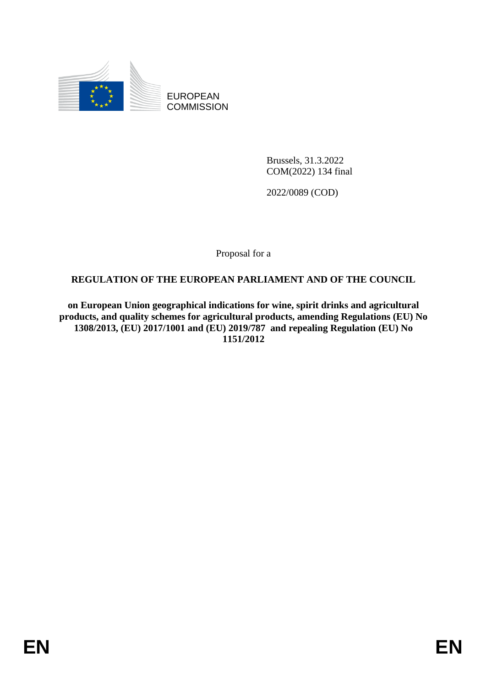

EUROPEAN **COMMISSION** 

> Brussels, 31.3.2022 COM(2022) 134 final

2022/0089 (COD)

Proposal for a

# **REGULATION OF THE EUROPEAN PARLIAMENT AND OF THE COUNCIL**

**on European Union geographical indications for wine, spirit drinks and agricultural products, and quality schemes for agricultural products, amending Regulations (EU) No 1308/2013, (EU) 2017/1001 and (EU) 2019/787 and repealing Regulation (EU) No 1151/2012**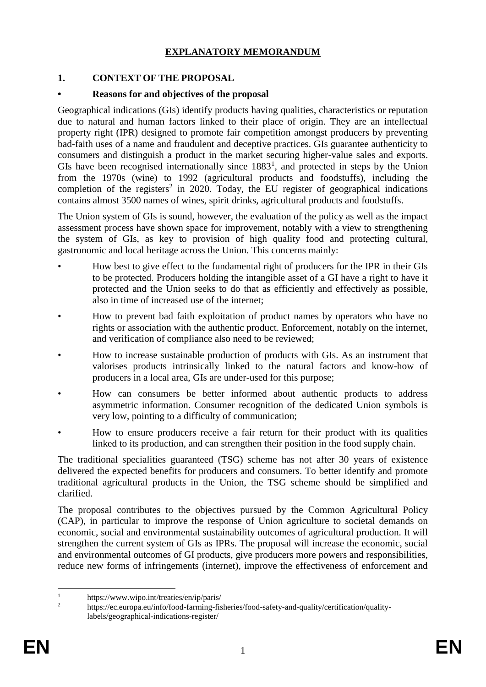# **EXPLANATORY MEMORANDUM**

# **1. CONTEXT OF THE PROPOSAL**

### **• Reasons for and objectives of the proposal**

Geographical indications (GIs) identify products having qualities, characteristics or reputation due to natural and human factors linked to their place of origin. They are an intellectual property right (IPR) designed to promote fair competition amongst producers by preventing bad-faith uses of a name and fraudulent and deceptive practices. GIs guarantee authenticity to consumers and distinguish a product in the market securing higher-value sales and exports. GIs have been recognised internationally since  $1883<sup>1</sup>$ , and protected in steps by the Union from the 1970s (wine) to 1992 (agricultural products and foodstuffs), including the completion of the registers<sup>2</sup> in 2020. Today, the EU register of geographical indications contains almost 3500 names of wines, spirit drinks, agricultural products and foodstuffs.

The Union system of GIs is sound, however, the evaluation of the policy as well as the impact assessment process have shown space for improvement, notably with a view to strengthening the system of GIs, as key to provision of high quality food and protecting cultural, gastronomic and local heritage across the Union. This concerns mainly:

- How best to give effect to the fundamental right of producers for the IPR in their GIs to be protected. Producers holding the intangible asset of a GI have a right to have it protected and the Union seeks to do that as efficiently and effectively as possible, also in time of increased use of the internet;
- How to prevent bad faith exploitation of product names by operators who have no rights or association with the authentic product. Enforcement, notably on the internet, and verification of compliance also need to be reviewed;
- How to increase sustainable production of products with GIs. As an instrument that valorises products intrinsically linked to the natural factors and know-how of producers in a local area, GIs are under-used for this purpose;
- How can consumers be better informed about authentic products to address asymmetric information. Consumer recognition of the dedicated Union symbols is very low, pointing to a difficulty of communication;
- How to ensure producers receive a fair return for their product with its qualities linked to its production, and can strengthen their position in the food supply chain.

The traditional specialities guaranteed (TSG) scheme has not after 30 years of existence delivered the expected benefits for producers and consumers. To better identify and promote traditional agricultural products in the Union, the TSG scheme should be simplified and clarified.

The proposal contributes to the objectives pursued by the Common Agricultural Policy (CAP), in particular to improve the response of Union agriculture to societal demands on economic, social and environmental sustainability outcomes of agricultural production. It will strengthen the current system of GIs as IPRs. The proposal will increase the economic, social and environmental outcomes of GI products, give producers more powers and responsibilities, reduce new forms of infringements (internet), improve the effectiveness of enforcement and

 $\mathbf{1}$ <sup>1</sup> https://www.wipo.int/treaties/en/ip/paris/

<sup>2</sup> https://ec.europa.eu/info/food-farming-fisheries/food-safety-and-quality/certification/qualitylabels/geographical-indications-register/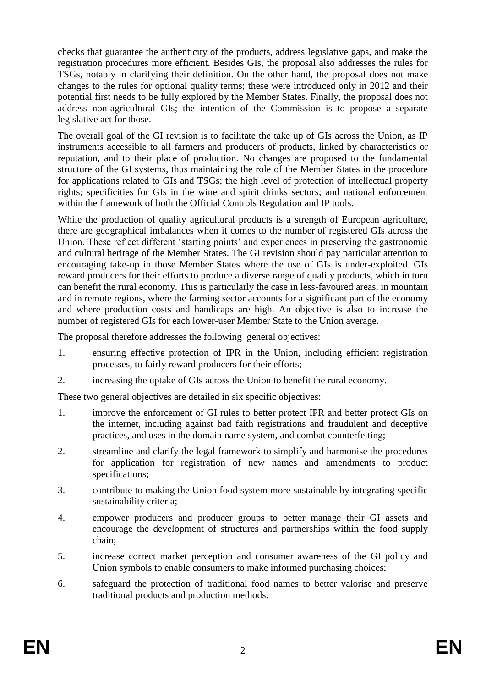checks that guarantee the authenticity of the products, address legislative gaps, and make the registration procedures more efficient. Besides GIs, the proposal also addresses the rules for TSGs, notably in clarifying their definition. On the other hand, the proposal does not make changes to the rules for optional quality terms; these were introduced only in 2012 and their potential first needs to be fully explored by the Member States. Finally, the proposal does not address non-agricultural GIs; the intention of the Commission is to propose a separate legislative act for those.

The overall goal of the GI revision is to facilitate the take up of GIs across the Union, as IP instruments accessible to all farmers and producers of products, linked by characteristics or reputation, and to their place of production. No changes are proposed to the fundamental structure of the GI systems, thus maintaining the role of the Member States in the procedure for applications related to GIs and TSGs; the high level of protection of intellectual property rights; specificities for GIs in the wine and spirit drinks sectors; and national enforcement within the framework of both the Official Controls Regulation and IP tools.

While the production of quality agricultural products is a strength of European agriculture, there are geographical imbalances when it comes to the number of registered GIs across the Union. These reflect different 'starting points' and experiences in preserving the gastronomic and cultural heritage of the Member States. The GI revision should pay particular attention to encouraging take-up in those Member States where the use of GIs is under-exploited. GIs reward producers for their efforts to produce a diverse range of quality products, which in turn can benefit the rural economy. This is particularly the case in less-favoured areas, in mountain and in remote regions, where the farming sector accounts for a significant part of the economy and where production costs and handicaps are high. An objective is also to increase the number of registered GIs for each lower-user Member State to the Union average.

The proposal therefore addresses the following general objectives:

- 1. ensuring effective protection of IPR in the Union, including efficient registration processes, to fairly reward producers for their efforts;
- 2. increasing the uptake of GIs across the Union to benefit the rural economy.

These two general objectives are detailed in six specific objectives:

- 1. improve the enforcement of GI rules to better protect IPR and better protect GIs on the internet, including against bad faith registrations and fraudulent and deceptive practices, and uses in the domain name system, and combat counterfeiting;
- 2. streamline and clarify the legal framework to simplify and harmonise the procedures for application for registration of new names and amendments to product specifications;
- 3. contribute to making the Union food system more sustainable by integrating specific sustainability criteria;
- 4. empower producers and producer groups to better manage their GI assets and encourage the development of structures and partnerships within the food supply chain;
- 5. increase correct market perception and consumer awareness of the GI policy and Union symbols to enable consumers to make informed purchasing choices;
- 6. safeguard the protection of traditional food names to better valorise and preserve traditional products and production methods.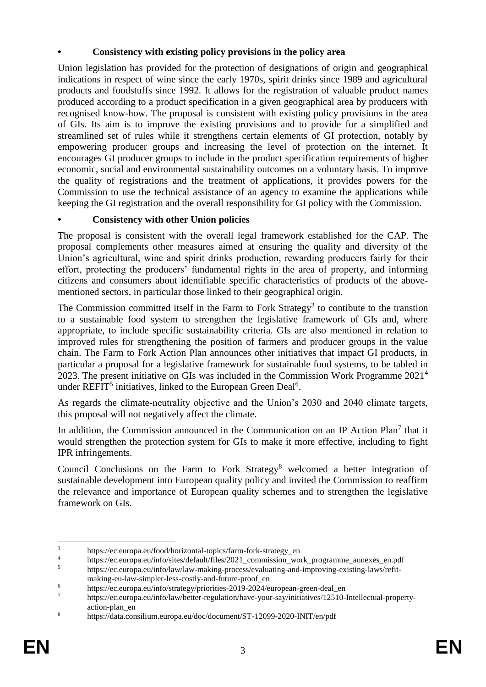# **• Consistency with existing policy provisions in the policy area**

Union legislation has provided for the protection of designations of origin and geographical indications in respect of wine since the early 1970s, spirit drinks since 1989 and agricultural products and foodstuffs since 1992. It allows for the registration of valuable product names produced according to a product specification in a given geographical area by producers with recognised know-how. The proposal is consistent with existing policy provisions in the area of GIs. Its aim is to improve the existing provisions and to provide for a simplified and streamlined set of rules while it strengthens certain elements of GI protection, notably by empowering producer groups and increasing the level of protection on the internet. It encourages GI producer groups to include in the product specification requirements of higher economic, social and environmental sustainability outcomes on a voluntary basis. To improve the quality of registrations and the treatment of applications, it provides powers for the Commission to use the technical assistance of an agency to examine the applications while keeping the GI registration and the overall responsibility for GI policy with the Commission.

# **• Consistency with other Union policies**

The proposal is consistent with the overall legal framework established for the CAP. The proposal complements other measures aimed at ensuring the quality and diversity of the Union's agricultural, wine and spirit drinks production, rewarding producers fairly for their effort, protecting the producers' fundamental rights in the area of property, and informing citizens and consumers about identifiable specific characteristics of products of the abovementioned sectors, in particular those linked to their geographical origin.

The Commission committed itself in the Farm to Fork Strategy<sup>3</sup> to contibute to the transtion to a sustainable food system to strengthen the legislative framework of GIs and, where appropriate, to include specific sustainability criteria. GIs are also mentioned in relation to improved rules for strengthening the position of farmers and producer groups in the value chain. The Farm to Fork Action Plan announces other initiatives that impact GI products, in particular a proposal for a legislative framework for sustainable food systems, to be tabled in 2023. The present initiative on GIs was included in the Commission Work Programme 2021<sup>4</sup> under REFIT<sup>5</sup> initiatives, linked to the European Green Deal<sup>6</sup>.

As regards the climate-neutrality objective and the Union's 2030 and 2040 climate targets, this proposal will not negatively affect the climate.

In addition, the Commission announced in the Communication on an IP Action Plan<sup>7</sup> that it would strengthen the protection system for GIs to make it more effective, including to fight IPR infringements.

Council Conclusions on the Farm to Fork Strategy<sup>8</sup> welcomed a better integration of sustainable development into European quality policy and invited the Commission to reaffirm the relevance and importance of European quality schemes and to strengthen the legislative framework on GIs.

 $\overline{3}$  $\frac{3}{4}$  https://ec.europa.eu/food/horizontal-topics/farm-fork-strategy\_en

<sup>&</sup>lt;sup>4</sup> https://ec.europa.eu/info/sites/default/files/2021\_commission\_work\_programme\_annexes\_en.pdf<br><sup>5</sup> https://ec.europa.eu/info/law/law-making-process/evaluating-and-improving-existing-laws/refit-

<sup>5</sup> https://ec.europa.eu/info/law/law-making-process/evaluating-and-improving-existing-laws/refitmaking-eu-law-simpler-less-costly-and-future-proof\_en

<sup>&</sup>lt;sup>6</sup> https://ec.europa.eu/info/strategy/priorities-2019-2024/european-green-deal\_en<br>
https://eq.europe.eu/info/leur/better.regulation/bette requisition/initiatives/12510

<sup>7</sup> https://ec.europa.eu/info/law/better-regulation/have-your-say/initiatives/12510-Intellectual-propertyaction-plan\_en

<sup>8</sup> https://data.consilium.europa.eu/doc/document/ST-12099-2020-INIT/en/pdf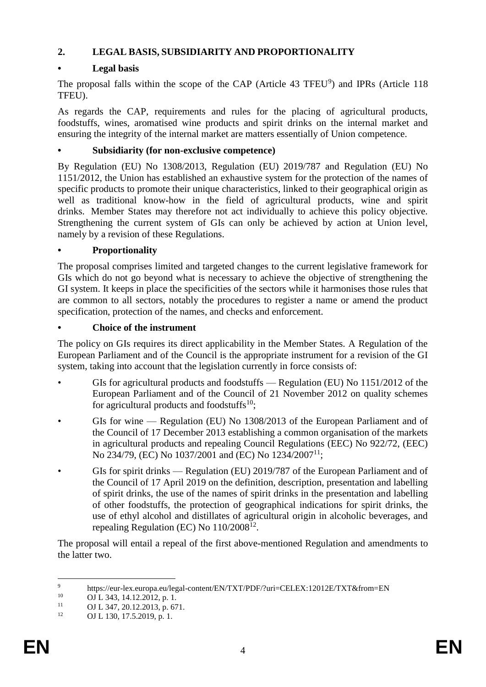# **2. LEGAL BASIS, SUBSIDIARITY AND PROPORTIONALITY**

# **• Legal basis**

The proposal falls within the scope of the CAP (Article 43 TFEU<sup>9</sup>) and IPRs (Article 118 TFEU).

As regards the CAP, requirements and rules for the placing of agricultural products, foodstuffs, wines, aromatised wine products and spirit drinks on the internal market and ensuring the integrity of the internal market are matters essentially of Union competence.

# **• Subsidiarity (for non-exclusive competence)**

By Regulation (EU) No 1308/2013, Regulation (EU) 2019/787 and Regulation (EU) No 1151/2012, the Union has established an exhaustive system for the protection of the names of specific products to promote their unique characteristics, linked to their geographical origin as well as traditional know-how in the field of agricultural products, wine and spirit drinks. Member States may therefore not act individually to achieve this policy objective. Strengthening the current system of GIs can only be achieved by action at Union level, namely by a revision of these Regulations.

# **• Proportionality**

The proposal comprises limited and targeted changes to the current legislative framework for GIs which do not go beyond what is necessary to achieve the objective of strengthening the GI system. It keeps in place the specificities of the sectors while it harmonises those rules that are common to all sectors, notably the procedures to register a name or amend the product specification, protection of the names, and checks and enforcement.

# **• Choice of the instrument**

The policy on GIs requires its direct applicability in the Member States. A Regulation of the European Parliament and of the Council is the appropriate instrument for a revision of the GI system, taking into account that the legislation currently in force consists of:

- GIs for agricultural products and foodstuffs Regulation (EU) No 1151/2012 of the European Parliament and of the Council of 21 November 2012 on quality schemes for agricultural products and foodstuffs $10$ ;
- GIs for wine Regulation (EU) No 1308/2013 of the European Parliament and of the Council of 17 December 2013 establishing a common organisation of the markets in agricultural products and repealing Council Regulations (EEC) No 922/72, (EEC) No 234/79, (EC) No 1037/2001 and (EC) No 1234/2007<sup>11</sup>;
- GIs for spirit drinks Regulation (EU) 2019/787 of the European Parliament and of the Council of 17 April 2019 on the definition, description, presentation and labelling of spirit drinks, the use of the names of spirit drinks in the presentation and labelling of other foodstuffs, the protection of geographical indications for spirit drinks, the use of ethyl alcohol and distillates of agricultural origin in alcoholic beverages, and repealing Regulation (EC) No  $110/2008^{12}$ .

The proposal will entail a repeal of the first above-mentioned Regulation and amendments to the latter two.

 $\overline{9}$ <sup>9</sup> https://eur-lex.europa.eu/legal-content/EN/TXT/PDF/?uri=CELEX:12012E/TXT&from=EN<br><sup>10</sup>  $\Omega$ <sub>L</sub> 242 14 12 2012 p. 1

 $10$  OJ L 343, 14.12.2012, p. 1.

<sup>&</sup>lt;sup>11</sup> OJ L 347, 20.12.2013, p. 671.

OJ L 130, 17.5.2019, p. 1.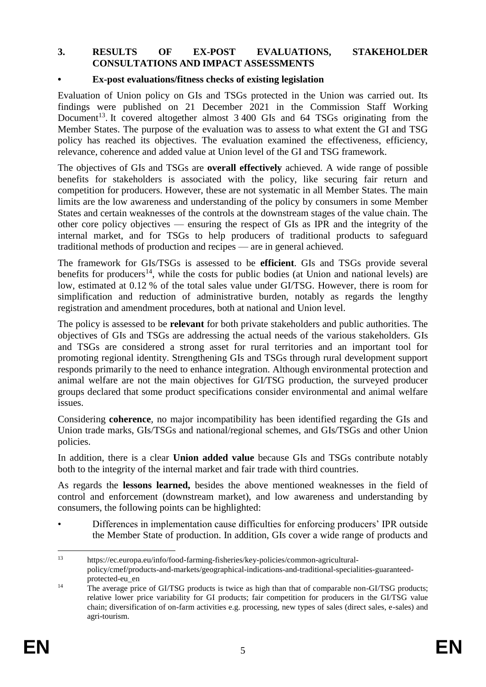#### **3. RESULTS OF EX-POST EVALUATIONS, STAKEHOLDER CONSULTATIONS AND IMPACT ASSESSMENTS**

#### **• Ex-post evaluations/fitness checks of existing legislation**

Evaluation of Union policy on GIs and TSGs protected in the Union was carried out. Its findings were published on 21 December 2021 in the Commission Staff Working Document<sup>13</sup>. It covered altogether almost 3 400 GIs and 64 TSGs originating from the Member States. The purpose of the evaluation was to assess to what extent the GI and TSG policy has reached its objectives. The evaluation examined the effectiveness, efficiency, relevance, coherence and added value at Union level of the GI and TSG framework.

The objectives of GIs and TSGs are **overall effectively** achieved. A wide range of possible benefits for stakeholders is associated with the policy, like securing fair return and competition for producers. However, these are not systematic in all Member States. The main limits are the low awareness and understanding of the policy by consumers in some Member States and certain weaknesses of the controls at the downstream stages of the value chain. The other core policy objectives — ensuring the respect of GIs as IPR and the integrity of the internal market, and for TSGs to help producers of traditional products to safeguard traditional methods of production and recipes — are in general achieved.

The framework for GIs/TSGs is assessed to be **efficient**. GIs and TSGs provide several benefits for producers<sup>14</sup>, while the costs for public bodies (at Union and national levels) are low, estimated at 0.12 % of the total sales value under GI/TSG. However, there is room for simplification and reduction of administrative burden, notably as regards the lengthy registration and amendment procedures, both at national and Union level.

The policy is assessed to be **relevant** for both private stakeholders and public authorities. The objectives of GIs and TSGs are addressing the actual needs of the various stakeholders. GIs and TSGs are considered a strong asset for rural territories and an important tool for promoting regional identity. Strengthening GIs and TSGs through rural development support responds primarily to the need to enhance integration. Although environmental protection and animal welfare are not the main objectives for GI/TSG production, the surveyed producer groups declared that some product specifications consider environmental and animal welfare issues.

Considering **coherence**, no major incompatibility has been identified regarding the GIs and Union trade marks, GIs/TSGs and national/regional schemes, and GIs/TSGs and other Union policies.

In addition, there is a clear **Union added value** because GIs and TSGs contribute notably both to the integrity of the internal market and fair trade with third countries.

As regards the **lessons learned,** besides the above mentioned weaknesses in the field of control and enforcement (downstream market), and low awareness and understanding by consumers, the following points can be highlighted:

• Differences in implementation cause difficulties for enforcing producers' IPR outside the Member State of production. In addition, GIs cover a wide range of products and

 $13$ <sup>13</sup> https://ec.europa.eu/info/food-farming-fisheries/key-policies/common-agriculturalpolicy/cmef/products-and-markets/geographical-indications-and-traditional-specialities-guaranteedprotected-eu\_en

<sup>&</sup>lt;sup>14</sup> The average price of GI/TSG products is twice as high than that of comparable non-GI/TSG products; relative lower price variability for GI products; fair competition for producers in the GI/TSG value chain; diversification of on-farm activities e.g. processing, new types of sales (direct sales, e-sales) and agri-tourism.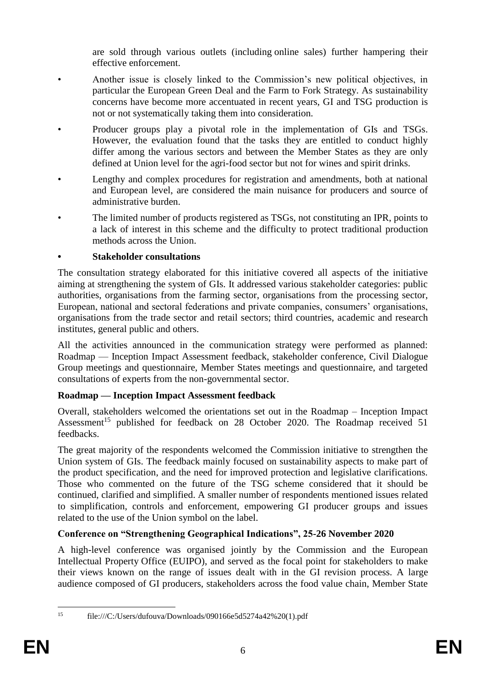are sold through various outlets (including online sales) further hampering their effective enforcement.

- Another issue is closely linked to the Commission's new political objectives, in particular the European Green Deal and the Farm to Fork Strategy. As sustainability concerns have become more accentuated in recent years, GI and TSG production is not or not systematically taking them into consideration.
- Producer groups play a pivotal role in the implementation of GIs and TSGs. However, the evaluation found that the tasks they are entitled to conduct highly differ among the various sectors and between the Member States as they are only defined at Union level for the agri-food sector but not for wines and spirit drinks.
- Lengthy and complex procedures for registration and amendments, both at national and European level, are considered the main nuisance for producers and source of administrative burden.
- The limited number of products registered as TSGs, not constituting an IPR, points to a lack of interest in this scheme and the difficulty to protect traditional production methods across the Union.

# **• Stakeholder consultations**

The consultation strategy elaborated for this initiative covered all aspects of the initiative aiming at strengthening the system of GIs. It addressed various stakeholder categories: public authorities, organisations from the farming sector, organisations from the processing sector, European, national and sectoral federations and private companies, consumers' organisations, organisations from the trade sector and retail sectors; third countries, academic and research institutes, general public and others.

All the activities announced in the communication strategy were performed as planned: Roadmap — Inception Impact Assessment feedback, stakeholder conference, Civil Dialogue Group meetings and questionnaire, Member States meetings and questionnaire, and targeted consultations of experts from the non-governmental sector.

# **Roadmap — Inception Impact Assessment feedback**

Overall, stakeholders welcomed the orientations set out in the Roadmap – Inception Impact Assessment<sup>15</sup> published for feedback on 28 October 2020. The Roadmap received 51 feedbacks.

The great majority of the respondents welcomed the Commission initiative to strengthen the Union system of GIs. The feedback mainly focused on sustainability aspects to make part of the product specification, and the need for improved protection and legislative clarifications. Those who commented on the future of the TSG scheme considered that it should be continued, clarified and simplified. A smaller number of respondents mentioned issues related to simplification, controls and enforcement, empowering GI producer groups and issues related to the use of the Union symbol on the label.

# **Conference on "Strengthening Geographical Indications", 25-26 November 2020**

A high-level conference was organised jointly by the Commission and the European Intellectual Property Office (EUIPO), and served as the focal point for stakeholders to make their views known on the range of issues dealt with in the GI revision process. A large audience composed of GI producers, stakeholders across the food value chain, Member State

 $15$ 

<sup>15</sup> file:///C:/Users/dufouva/Downloads/090166e5d5274a42%20(1).pdf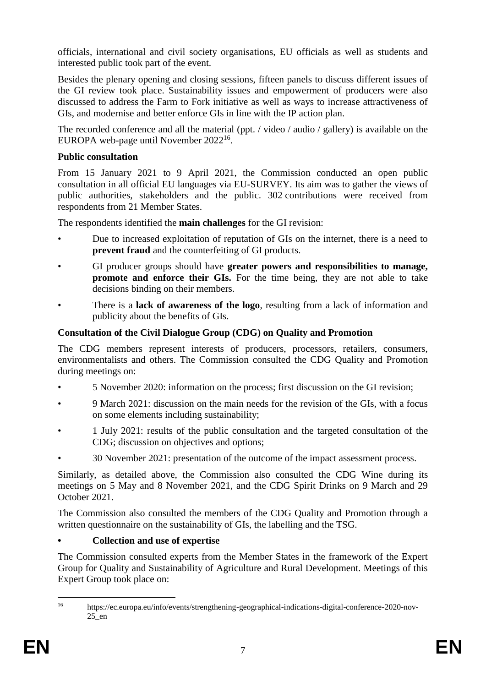officials, international and civil society organisations, EU officials as well as students and interested public took part of the event.

Besides the plenary opening and closing sessions, fifteen panels to discuss different issues of the GI review took place. Sustainability issues and empowerment of producers were also discussed to address the Farm to Fork initiative as well as ways to increase attractiveness of GIs, and modernise and better enforce GIs in line with the IP action plan.

The recorded conference and all the material (ppt. / video / audio / gallery) is available on the EUROPA web-page until November 2022<sup>16</sup>.

### **Public consultation**

From 15 January 2021 to 9 April 2021, the Commission conducted an open public consultation in all official EU languages via EU-SURVEY. Its aim was to gather the views of public authorities, stakeholders and the public. 302 contributions were received from respondents from 21 Member States.

The respondents identified the **main challenges** for the GI revision:

- Due to increased exploitation of reputation of GIs on the internet, there is a need to **prevent fraud** and the counterfeiting of GI products.
- GI producer groups should have **greater powers and responsibilities to manage, promote and enforce their GIs.** For the time being, they are not able to take decisions binding on their members.
- There is a **lack of awareness of the logo**, resulting from a lack of information and publicity about the benefits of GIs.

### **Consultation of the Civil Dialogue Group (CDG) on Quality and Promotion**

The CDG members represent interests of producers, processors, retailers, consumers, environmentalists and others. The Commission consulted the CDG Quality and Promotion during meetings on:

- 5 November 2020: information on the process; first discussion on the GI revision;
- 9 March 2021: discussion on the main needs for the revision of the GIs, with a focus on some elements including sustainability;
- 1 July 2021: results of the public consultation and the targeted consultation of the CDG; discussion on objectives and options;
- 30 November 2021: presentation of the outcome of the impact assessment process.

Similarly, as detailed above, the Commission also consulted the CDG Wine during its meetings on 5 May and 8 November 2021, and the CDG Spirit Drinks on 9 March and 29 October 2021.

The Commission also consulted the members of the CDG Quality and Promotion through a written questionnaire on the sustainability of GIs, the labelling and the TSG.

# **• Collection and use of expertise**

The Commission consulted experts from the Member States in the framework of the Expert Group for Quality and Sustainability of Agriculture and Rural Development. Meetings of this Expert Group took place on:

 $16^{1}$ <sup>16</sup> https://ec.europa.eu/info/events/strengthening-geographical-indications-digital-conference-2020-nov-25\_en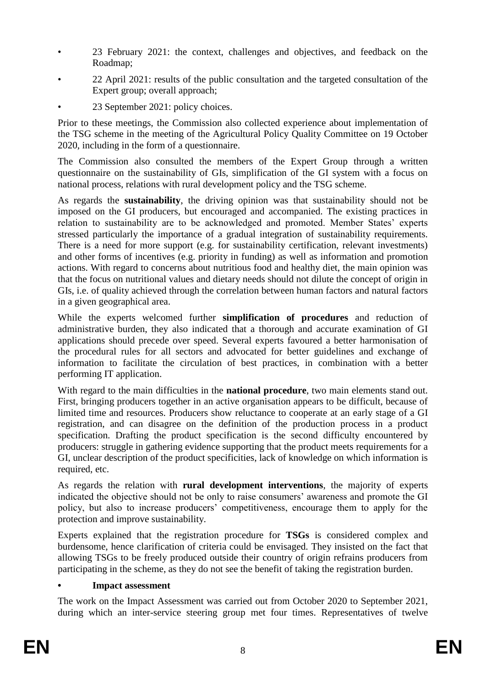- 23 February 2021: the context, challenges and objectives, and feedback on the Roadmap;
- 22 April 2021: results of the public consultation and the targeted consultation of the Expert group; overall approach;
- 23 September 2021: policy choices.

Prior to these meetings, the Commission also collected experience about implementation of the TSG scheme in the meeting of the Agricultural Policy Quality Committee on 19 October 2020, including in the form of a questionnaire.

The Commission also consulted the members of the Expert Group through a written questionnaire on the sustainability of GIs, simplification of the GI system with a focus on national process, relations with rural development policy and the TSG scheme.

As regards the **sustainability**, the driving opinion was that sustainability should not be imposed on the GI producers, but encouraged and accompanied. The existing practices in relation to sustainability are to be acknowledged and promoted. Member States' experts stressed particularly the importance of a gradual integration of sustainability requirements. There is a need for more support (e.g. for sustainability certification, relevant investments) and other forms of incentives (e.g. priority in funding) as well as information and promotion actions. With regard to concerns about nutritious food and healthy diet, the main opinion was that the focus on nutritional values and dietary needs should not dilute the concept of origin in GIs, i.e. of quality achieved through the correlation between human factors and natural factors in a given geographical area.

While the experts welcomed further **simplification of procedures** and reduction of administrative burden, they also indicated that a thorough and accurate examination of GI applications should precede over speed. Several experts favoured a better harmonisation of the procedural rules for all sectors and advocated for better guidelines and exchange of information to facilitate the circulation of best practices, in combination with a better performing IT application.

With regard to the main difficulties in the **national procedure**, two main elements stand out. First, bringing producers together in an active organisation appears to be difficult, because of limited time and resources. Producers show reluctance to cooperate at an early stage of a GI registration, and can disagree on the definition of the production process in a product specification. Drafting the product specification is the second difficulty encountered by producers: struggle in gathering evidence supporting that the product meets requirements for a GI, unclear description of the product specificities, lack of knowledge on which information is required, etc.

As regards the relation with **rural development interventions**, the majority of experts indicated the objective should not be only to raise consumers' awareness and promote the GI policy, but also to increase producers' competitiveness, encourage them to apply for the protection and improve sustainability.

Experts explained that the registration procedure for **TSGs** is considered complex and burdensome, hence clarification of criteria could be envisaged. They insisted on the fact that allowing TSGs to be freely produced outside their country of origin refrains producers from participating in the scheme, as they do not see the benefit of taking the registration burden.

# **• Impact assessment**

The work on the Impact Assessment was carried out from October 2020 to September 2021, during which an inter-service steering group met four times. Representatives of twelve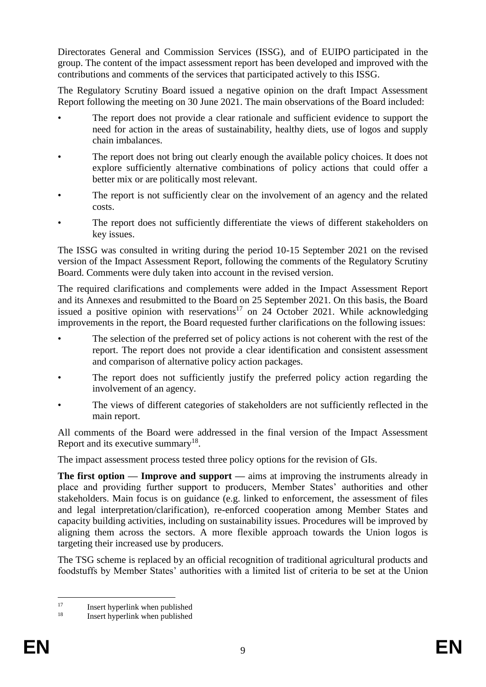Directorates General and Commission Services (ISSG), and of EUIPO participated in the group. The content of the impact assessment report has been developed and improved with the contributions and comments of the services that participated actively to this ISSG.

The Regulatory Scrutiny Board issued a negative opinion on the draft Impact Assessment Report following the meeting on 30 June 2021. The main observations of the Board included:

- The report does not provide a clear rationale and sufficient evidence to support the need for action in the areas of sustainability, healthy diets, use of logos and supply chain imbalances.
- The report does not bring out clearly enough the available policy choices. It does not explore sufficiently alternative combinations of policy actions that could offer a better mix or are politically most relevant.
- The report is not sufficiently clear on the involvement of an agency and the related costs.
- The report does not sufficiently differentiate the views of different stakeholders on key issues.

The ISSG was consulted in writing during the period 10-15 September 2021 on the revised version of the Impact Assessment Report, following the comments of the Regulatory Scrutiny Board. Comments were duly taken into account in the revised version.

The required clarifications and complements were added in the Impact Assessment Report and its Annexes and resubmitted to the Board on 25 September 2021. On this basis, the Board issued a positive opinion with reservations<sup>17</sup> on 24 October 2021. While acknowledging improvements in the report, the Board requested further clarifications on the following issues:

- The selection of the preferred set of policy actions is not coherent with the rest of the report. The report does not provide a clear identification and consistent assessment and comparison of alternative policy action packages.
- The report does not sufficiently justify the preferred policy action regarding the involvement of an agency.
- The views of different categories of stakeholders are not sufficiently reflected in the main report.

All comments of the Board were addressed in the final version of the Impact Assessment Report and its executive summary $18$ .

The impact assessment process tested three policy options for the revision of GIs.

**The first option — <b>Improve and support** — aims at improving the instruments already in place and providing further support to producers, Member States' authorities and other stakeholders. Main focus is on guidance (e.g. linked to enforcement, the assessment of files and legal interpretation/clarification), re-enforced cooperation among Member States and capacity building activities, including on sustainability issues. Procedures will be improved by aligning them across the sectors. A more flexible approach towards the Union logos is targeting their increased use by producers.

The TSG scheme is replaced by an official recognition of traditional agricultural products and foodstuffs by Member States' authorities with a limited list of criteria to be set at the Union

 $17$  $\frac{17}{18}$  Insert hyperlink when published

Insert hyperlink when published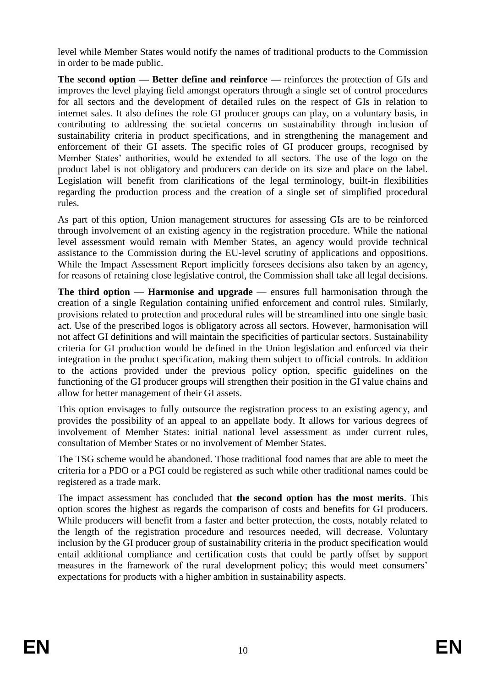level while Member States would notify the names of traditional products to the Commission in order to be made public.

**The second option — Better define and reinforce —** reinforces the protection of GIs and improves the level playing field amongst operators through a single set of control procedures for all sectors and the development of detailed rules on the respect of GIs in relation to internet sales. It also defines the role GI producer groups can play, on a voluntary basis, in contributing to addressing the societal concerns on sustainability through inclusion of sustainability criteria in product specifications, and in strengthening the management and enforcement of their GI assets. The specific roles of GI producer groups, recognised by Member States' authorities, would be extended to all sectors. The use of the logo on the product label is not obligatory and producers can decide on its size and place on the label. Legislation will benefit from clarifications of the legal terminology, built-in flexibilities regarding the production process and the creation of a single set of simplified procedural rules.

As part of this option, Union management structures for assessing GIs are to be reinforced through involvement of an existing agency in the registration procedure. While the national level assessment would remain with Member States, an agency would provide technical assistance to the Commission during the EU-level scrutiny of applications and oppositions. While the Impact Assessment Report implicitly foresees decisions also taken by an agency, for reasons of retaining close legislative control, the Commission shall take all legal decisions.

**The third option — Harmonise and upgrade** — ensures full harmonisation through the creation of a single Regulation containing unified enforcement and control rules. Similarly, provisions related to protection and procedural rules will be streamlined into one single basic act. Use of the prescribed logos is obligatory across all sectors. However, harmonisation will not affect GI definitions and will maintain the specificities of particular sectors. Sustainability criteria for GI production would be defined in the Union legislation and enforced via their integration in the product specification, making them subject to official controls. In addition to the actions provided under the previous policy option, specific guidelines on the functioning of the GI producer groups will strengthen their position in the GI value chains and allow for better management of their GI assets.

This option envisages to fully outsource the registration process to an existing agency, and provides the possibility of an appeal to an appellate body. It allows for various degrees of involvement of Member States: initial national level assessment as under current rules, consultation of Member States or no involvement of Member States.

The TSG scheme would be abandoned. Those traditional food names that are able to meet the criteria for a PDO or a PGI could be registered as such while other traditional names could be registered as a trade mark.

The impact assessment has concluded that **the second option has the most merits**. This option scores the highest as regards the comparison of costs and benefits for GI producers. While producers will benefit from a faster and better protection, the costs, notably related to the length of the registration procedure and resources needed, will decrease. Voluntary inclusion by the GI producer group of sustainability criteria in the product specification would entail additional compliance and certification costs that could be partly offset by support measures in the framework of the rural development policy; this would meet consumers' expectations for products with a higher ambition in sustainability aspects.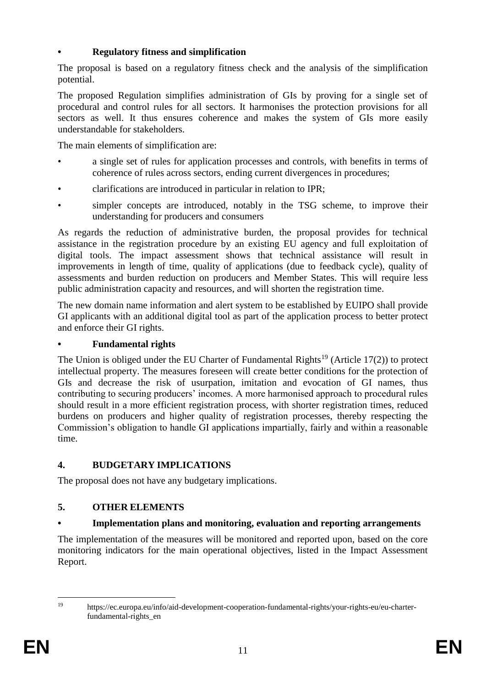# **• Regulatory fitness and simplification**

The proposal is based on a regulatory fitness check and the analysis of the simplification potential.

The proposed Regulation simplifies administration of GIs by proving for a single set of procedural and control rules for all sectors. It harmonises the protection provisions for all sectors as well. It thus ensures coherence and makes the system of GIs more easily understandable for stakeholders.

The main elements of simplification are:

- a single set of rules for application processes and controls, with benefits in terms of coherence of rules across sectors, ending current divergences in procedures;
- clarifications are introduced in particular in relation to IPR;
- simpler concepts are introduced, notably in the TSG scheme, to improve their understanding for producers and consumers

As regards the reduction of administrative burden, the proposal provides for technical assistance in the registration procedure by an existing EU agency and full exploitation of digital tools. The impact assessment shows that technical assistance will result in improvements in length of time, quality of applications (due to feedback cycle), quality of assessments and burden reduction on producers and Member States. This will require less public administration capacity and resources, and will shorten the registration time.

The new domain name information and alert system to be established by EUIPO shall provide GI applicants with an additional digital tool as part of the application process to better protect and enforce their GI rights.

# **• Fundamental rights**

The Union is obliged under the EU Charter of Fundamental Rights<sup>19</sup> (Article 17(2)) to protect intellectual property. The measures foreseen will create better conditions for the protection of GIs and decrease the risk of usurpation, imitation and evocation of GI names, thus contributing to securing producers' incomes. A more harmonised approach to procedural rules should result in a more efficient registration process, with shorter registration times, reduced burdens on producers and higher quality of registration processes, thereby respecting the Commission's obligation to handle GI applications impartially, fairly and within a reasonable time.

# **4. BUDGETARY IMPLICATIONS**

The proposal does not have any budgetary implications.

# **5. OTHER ELEMENTS**

# **• Implementation plans and monitoring, evaluation and reporting arrangements**

The implementation of the measures will be monitored and reported upon, based on the core monitoring indicators for the main operational objectives, listed in the Impact Assessment Report.

 $19$ 

<sup>19</sup> https://ec.europa.eu/info/aid-development-cooperation-fundamental-rights/your-rights-eu/eu-charterfundamental-rights\_en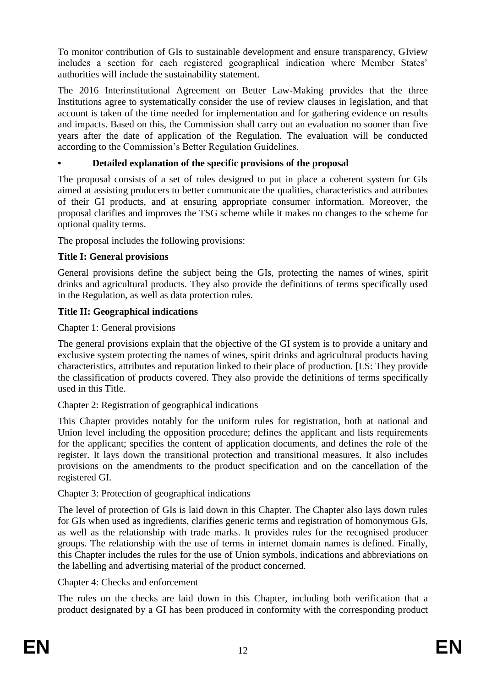To monitor contribution of GIs to sustainable development and ensure transparency, GIview includes a section for each registered geographical indication where Member States' authorities will include the sustainability statement.

The 2016 Interinstitutional Agreement on Better Law-Making provides that the three Institutions agree to systematically consider the use of review clauses in legislation, and that account is taken of the time needed for implementation and for gathering evidence on results and impacts. Based on this, the Commission shall carry out an evaluation no sooner than five years after the date of application of the Regulation. The evaluation will be conducted according to the Commission's Better Regulation Guidelines.

# **• Detailed explanation of the specific provisions of the proposal**

The proposal consists of a set of rules designed to put in place a coherent system for GIs aimed at assisting producers to better communicate the qualities, characteristics and attributes of their GI products, and at ensuring appropriate consumer information. Moreover, the proposal clarifies and improves the TSG scheme while it makes no changes to the scheme for optional quality terms.

The proposal includes the following provisions:

# **Title I: General provisions**

General provisions define the subject being the GIs, protecting the names of wines, spirit drinks and agricultural products. They also provide the definitions of terms specifically used in the Regulation, as well as data protection rules.

# **Title II: Geographical indications**

Chapter 1: General provisions

The general provisions explain that the objective of the GI system is to provide a unitary and exclusive system protecting the names of wines, spirit drinks and agricultural products having characteristics, attributes and reputation linked to their place of production. [LS: They provide the classification of products covered. They also provide the definitions of terms specifically used in this Title.

Chapter 2: Registration of geographical indications

This Chapter provides notably for the uniform rules for registration, both at national and Union level including the opposition procedure; defines the applicant and lists requirements for the applicant; specifies the content of application documents, and defines the role of the register. It lays down the transitional protection and transitional measures. It also includes provisions on the amendments to the product specification and on the cancellation of the registered GI.

# Chapter 3: Protection of geographical indications

The level of protection of GIs is laid down in this Chapter. The Chapter also lays down rules for GIs when used as ingredients, clarifies generic terms and registration of homonymous GIs, as well as the relationship with trade marks. It provides rules for the recognised producer groups. The relationship with the use of terms in internet domain names is defined. Finally, this Chapter includes the rules for the use of Union symbols, indications and abbreviations on the labelling and advertising material of the product concerned.

Chapter 4: Checks and enforcement

The rules on the checks are laid down in this Chapter, including both verification that a product designated by a GI has been produced in conformity with the corresponding product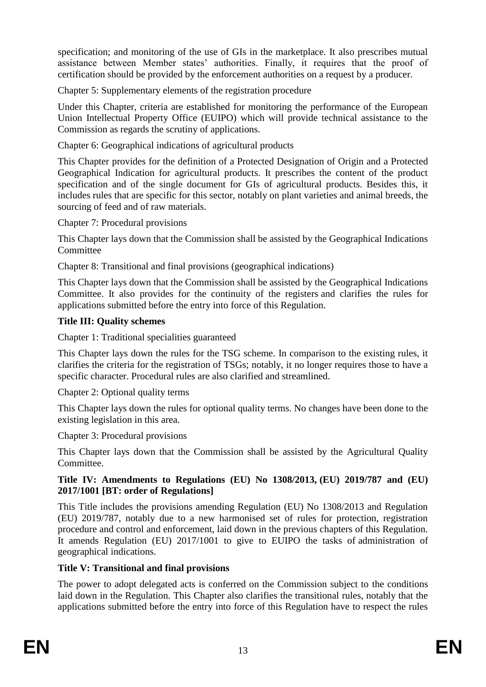specification; and monitoring of the use of GIs in the marketplace. It also prescribes mutual assistance between Member states' authorities. Finally, it requires that the proof of certification should be provided by the enforcement authorities on a request by a producer.

Chapter 5: Supplementary elements of the registration procedure

Under this Chapter, criteria are established for monitoring the performance of the European Union Intellectual Property Office (EUIPO) which will provide technical assistance to the Commission as regards the scrutiny of applications.

Chapter 6: Geographical indications of agricultural products

This Chapter provides for the definition of a Protected Designation of Origin and a Protected Geographical Indication for agricultural products. It prescribes the content of the product specification and of the single document for GIs of agricultural products. Besides this, it includes rules that are specific for this sector, notably on plant varieties and animal breeds, the sourcing of feed and of raw materials.

Chapter 7: Procedural provisions

This Chapter lays down that the Commission shall be assisted by the Geographical Indications **Committee** 

Chapter 8: Transitional and final provisions (geographical indications)

This Chapter lays down that the Commission shall be assisted by the Geographical Indications Committee. It also provides for the continuity of the registers and clarifies the rules for applications submitted before the entry into force of this Regulation.

# **Title III: Quality schemes**

Chapter 1: Traditional specialities guaranteed

This Chapter lays down the rules for the TSG scheme. In comparison to the existing rules, it clarifies the criteria for the registration of TSGs; notably, it no longer requires those to have a specific character. Procedural rules are also clarified and streamlined.

Chapter 2: Optional quality terms

This Chapter lays down the rules for optional quality terms. No changes have been done to the existing legislation in this area.

Chapter 3: Procedural provisions

This Chapter lays down that the Commission shall be assisted by the Agricultural Quality Committee.

# **Title IV: Amendments to Regulations (EU) No 1308/2013, (EU) 2019/787 and (EU) 2017/1001 [BT: order of Regulations]**

This Title includes the provisions amending Regulation (EU) No 1308/2013 and Regulation (EU) 2019/787, notably due to a new harmonised set of rules for protection, registration procedure and control and enforcement, laid down in the previous chapters of this Regulation. It amends Regulation (EU) 2017/1001 to give to EUIPO the tasks of administration of geographical indications.

# **Title V: Transitional and final provisions**

The power to adopt delegated acts is conferred on the Commission subject to the conditions laid down in the Regulation. This Chapter also clarifies the transitional rules, notably that the applications submitted before the entry into force of this Regulation have to respect the rules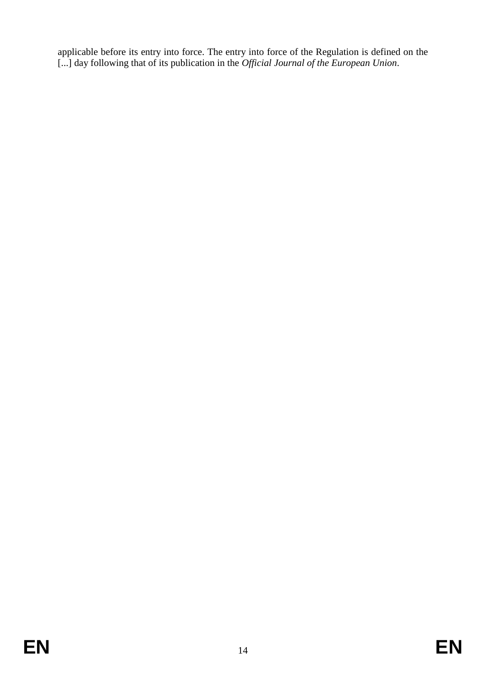applicable before its entry into force. The entry into force of the Regulation is defined on the [...] day following that of its publication in the *Official Journal of the European Union*.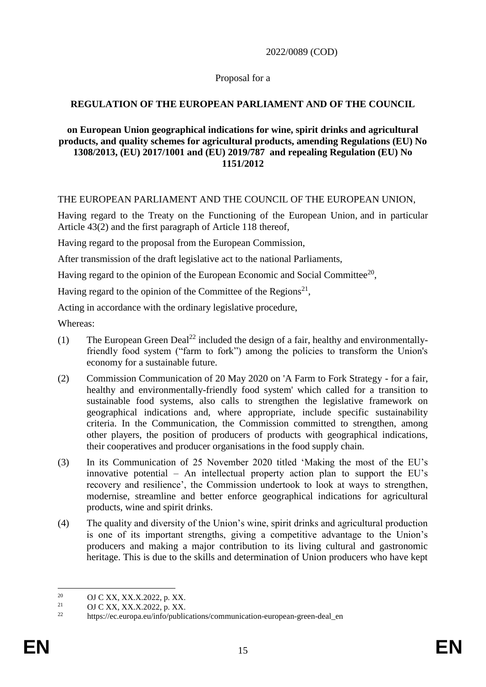2022/0089 (COD)

### Proposal for a

# **REGULATION OF THE EUROPEAN PARLIAMENT AND OF THE COUNCIL**

#### **on European Union geographical indications for wine, spirit drinks and agricultural products, and quality schemes for agricultural products, amending Regulations (EU) No 1308/2013, (EU) 2017/1001 and (EU) 2019/787 and repealing Regulation (EU) No 1151/2012**

#### THE EUROPEAN PARLIAMENT AND THE COUNCIL OF THE EUROPEAN UNION,

Having regard to the Treaty on the Functioning of the European Union, and in particular Article 43(2) and the first paragraph of Article 118 thereof,

Having regard to the proposal from the European Commission,

After transmission of the draft legislative act to the national Parliaments,

Having regard to the opinion of the European Economic and Social Committee<sup>20</sup>,

Having regard to the opinion of the Committee of the Regions<sup>21</sup>,

Acting in accordance with the ordinary legislative procedure,

Whereas:

- (1) The European Green Deal<sup>22</sup> included the design of a fair, healthy and environmentallyfriendly food system ("farm to fork") among the policies to transform the Union's economy for a sustainable future.
- (2) Commission Communication of 20 May 2020 on 'A Farm to Fork Strategy for a fair, healthy and environmentally-friendly food system' which called for a transition to sustainable food systems, also calls to strengthen the legislative framework on geographical indications and, where appropriate, include specific sustainability criteria. In the Communication, the Commission committed to strengthen, among other players, the position of producers of products with geographical indications, their cooperatives and producer organisations in the food supply chain.
- (3) In its Communication of 25 November 2020 titled 'Making the most of the EU's innovative potential – An intellectual property action plan to support the EU's recovery and resilience', the Commission undertook to look at ways to strengthen, modernise, streamline and better enforce geographical indications for agricultural products, wine and spirit drinks.
- (4) The quality and diversity of the Union's wine, spirit drinks and agricultural production is one of its important strengths, giving a competitive advantage to the Union's producers and making a major contribution to its living cultural and gastronomic heritage. This is due to the skills and determination of Union producers who have kept

1

<sup>&</sup>lt;sup>20</sup> OJ C XX, XX.X.2022, p. XX.<br>
<sup>21</sup> OJ C VY, XX V 2022, p. XX.

<sup>21</sup> OJ C XX, XX.X.2022, p. XX.

https://ec.europa.eu/info/publications/communication-european-green-deal en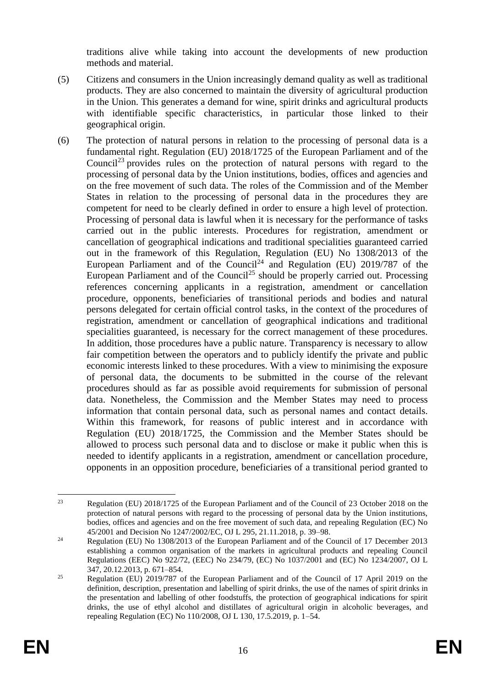traditions alive while taking into account the developments of new production methods and material.

- (5) Citizens and consumers in the Union increasingly demand quality as well as traditional products. They are also concerned to maintain the diversity of agricultural production in the Union. This generates a demand for wine, spirit drinks and agricultural products with identifiable specific characteristics, in particular those linked to their geographical origin.
- (6) The protection of natural persons in relation to the processing of personal data is a fundamental right. Regulation (EU) 2018/1725 of the European Parliament and of the Council<sup>23</sup> provides rules on the protection of natural persons with regard to the processing of personal data by the Union institutions, bodies, offices and agencies and on the free movement of such data. The roles of the Commission and of the Member States in relation to the processing of personal data in the procedures they are competent for need to be clearly defined in order to ensure a high level of protection. Processing of personal data is lawful when it is necessary for the performance of tasks carried out in the public interests. Procedures for registration, amendment or cancellation of geographical indications and traditional specialities guaranteed carried out in the framework of this Regulation, Regulation (EU) No 1308/2013 of the European Parliament and of the Council<sup>24</sup> and Regulation (EU) 2019/787 of the European Parliament and of the Council<sup>25</sup> should be properly carried out. Processing references concerning applicants in a registration, amendment or cancellation procedure, opponents, beneficiaries of transitional periods and bodies and natural persons delegated for certain official control tasks, in the context of the procedures of registration, amendment or cancellation of geographical indications and traditional specialities guaranteed, is necessary for the correct management of these procedures. In addition, those procedures have a public nature. Transparency is necessary to allow fair competition between the operators and to publicly identify the private and public economic interests linked to these procedures. With a view to minimising the exposure of personal data, the documents to be submitted in the course of the relevant procedures should as far as possible avoid requirements for submission of personal data. Nonetheless, the Commission and the Member States may need to process information that contain personal data, such as personal names and contact details. Within this framework, for reasons of public interest and in accordance with Regulation (EU) 2018/1725, the Commission and the Member States should be allowed to process such personal data and to disclose or make it public when this is needed to identify applicants in a registration, amendment or cancellation procedure, opponents in an opposition procedure, beneficiaries of a transitional period granted to

<sup>1</sup> <sup>23</sup> Regulation (EU) 2018/1725 of the European Parliament and of the Council of 23 October 2018 on the protection of natural persons with regard to the processing of personal data by the Union institutions, bodies, offices and agencies and on the free movement of such data, and repealing Regulation (EC) No 45/2001 and Decision No 1247/2002/EC, OJ L 295, 21.11.2018, p. 39–98.

<sup>&</sup>lt;sup>24</sup> Regulation (EU) No 1308/2013 of the European Parliament and of the Council of 17 December 2013 establishing a common organisation of the markets in agricultural products and repealing Council Regulations (EEC) No 922/72, (EEC) No 234/79, (EC) No 1037/2001 and (EC) No 1234/2007, OJ L 347, 20.12.2013, p. 671–854.

<sup>&</sup>lt;sup>25</sup> Regulation (EU)  $\frac{2019}{787}$  of the European Parliament and of the Council of 17 April 2019 on the definition, description, presentation and labelling of spirit drinks, the use of the names of spirit drinks in the presentation and labelling of other foodstuffs, the protection of geographical indications for spirit drinks, the use of ethyl alcohol and distillates of agricultural origin in alcoholic beverages, and repealing Regulation (EC) No 110/2008, OJ L 130, 17.5.2019, p. 1–54.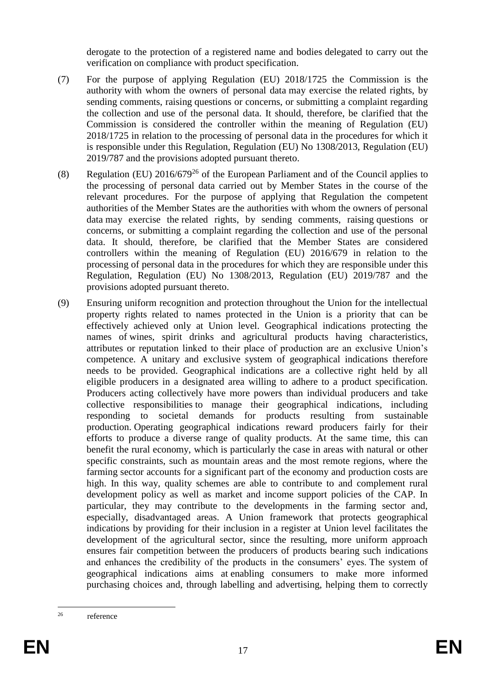derogate to the protection of a registered name and bodies delegated to carry out the verification on compliance with product specification.

- (7) For the purpose of applying Regulation (EU) 2018/1725 the Commission is the authority with whom the owners of personal data may exercise the related rights, by sending comments, raising questions or concerns, or submitting a complaint regarding the collection and use of the personal data. It should, therefore, be clarified that the Commission is considered the controller within the meaning of Regulation (EU) 2018/1725 in relation to the processing of personal data in the procedures for which it is responsible under this Regulation, Regulation (EU) No 1308/2013, Regulation (EU) 2019/787 and the provisions adopted pursuant thereto.
- (8) Regulation (EU)  $2016/679^{26}$  of the European Parliament and of the Council applies to the processing of personal data carried out by Member States in the course of the relevant procedures. For the purpose of applying that Regulation the competent authorities of the Member States are the authorities with whom the owners of personal data may exercise the related rights, by sending comments, raising questions or concerns, or submitting a complaint regarding the collection and use of the personal data. It should, therefore, be clarified that the Member States are considered controllers within the meaning of Regulation (EU) 2016/679 in relation to the processing of personal data in the procedures for which they are responsible under this Regulation, Regulation (EU) No 1308/2013, Regulation (EU) 2019/787 and the provisions adopted pursuant thereto.
- (9) Ensuring uniform recognition and protection throughout the Union for the intellectual property rights related to names protected in the Union is a priority that can be effectively achieved only at Union level. Geographical indications protecting the names of wines, spirit drinks and agricultural products having characteristics, attributes or reputation linked to their place of production are an exclusive Union's competence. A unitary and exclusive system of geographical indications therefore needs to be provided. Geographical indications are a collective right held by all eligible producers in a designated area willing to adhere to a product specification. Producers acting collectively have more powers than individual producers and take collective responsibilities to manage their geographical indications, including responding to societal demands for products resulting from sustainable production. Operating geographical indications reward producers fairly for their efforts to produce a diverse range of quality products. At the same time, this can benefit the rural economy, which is particularly the case in areas with natural or other specific constraints, such as mountain areas and the most remote regions, where the farming sector accounts for a significant part of the economy and production costs are high. In this way, quality schemes are able to contribute to and complement rural development policy as well as market and income support policies of the CAP. In particular, they may contribute to the developments in the farming sector and, especially, disadvantaged areas. A Union framework that protects geographical indications by providing for their inclusion in a register at Union level facilitates the development of the agricultural sector, since the resulting, more uniform approach ensures fair competition between the producers of products bearing such indications and enhances the credibility of the products in the consumers' eyes. The system of geographical indications aims at enabling consumers to make more informed purchasing choices and, through labelling and advertising, helping them to correctly

 $26$ reference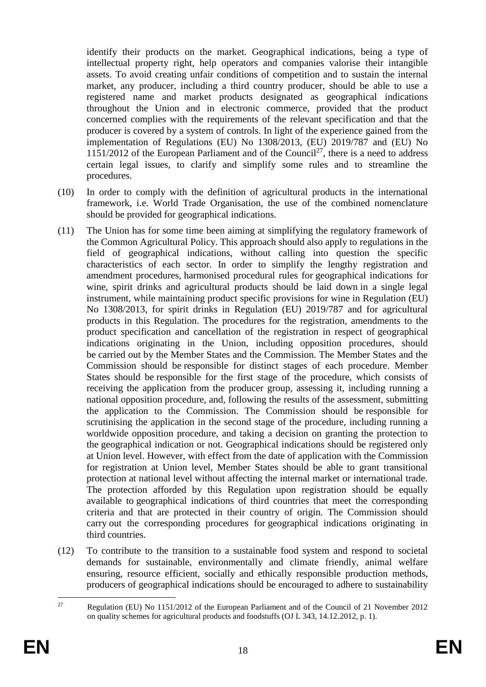identify their products on the market. Geographical indications, being a type of intellectual property right, help operators and companies valorise their intangible assets. To avoid creating unfair conditions of competition and to sustain the internal market, any producer, including a third country producer, should be able to use a registered name and market products designated as geographical indications throughout the Union and in electronic commerce, provided that the product concerned complies with the requirements of the relevant specification and that the producer is covered by a system of controls. In light of the experience gained from the implementation of Regulations (EU) No 1308/2013, (EU) 2019/787 and (EU) No  $1151/2012$  of the European Parliament and of the Council<sup>27</sup>, there is a need to address certain legal issues, to clarify and simplify some rules and to streamline the procedures.

- (10) In order to comply with the definition of agricultural products in the international framework, i.e. World Trade Organisation, the use of the combined nomenclature should be provided for geographical indications.
- (11) The Union has for some time been aiming at simplifying the regulatory framework of the Common Agricultural Policy. This approach should also apply to regulations in the field of geographical indications, without calling into question the specific characteristics of each sector. In order to simplify the lengthy registration and amendment procedures, harmonised procedural rules for geographical indications for wine, spirit drinks and agricultural products should be laid down in a single legal instrument, while maintaining product specific provisions for wine in Regulation (EU) No 1308/2013, for spirit drinks in Regulation (EU) 2019/787 and for agricultural products in this Regulation. The procedures for the registration, amendments to the product specification and cancellation of the registration in respect of geographical indications originating in the Union, including opposition procedures, should be carried out by the Member States and the Commission. The Member States and the Commission should be responsible for distinct stages of each procedure. Member States should be responsible for the first stage of the procedure, which consists of receiving the application from the producer group, assessing it, including running a national opposition procedure, and, following the results of the assessment, submitting the application to the Commission. The Commission should be responsible for scrutinising the application in the second stage of the procedure, including running a worldwide opposition procedure, and taking a decision on granting the protection to the geographical indication or not. Geographical indications should be registered only at Union level. However, with effect from the date of application with the Commission for registration at Union level, Member States should be able to grant transitional protection at national level without affecting the internal market or international trade. The protection afforded by this Regulation upon registration should be equally available to geographical indications of third countries that meet the corresponding criteria and that are protected in their country of origin. The Commission should carry out the corresponding procedures for geographical indications originating in third countries.
- (12) To contribute to the transition to a sustainable food system and respond to societal demands for sustainable, environmentally and climate friendly, animal welfare ensuring, resource efficient, socially and ethically responsible production methods, producers of geographical indications should be encouraged to adhere to sustainability

 $27$ <sup>27</sup> Regulation (EU) No 1151/2012 of the European Parliament and of the Council of 21 November 2012 on quality schemes for agricultural products and foodstuffs (OJ L 343, 14.12.2012, p. 1).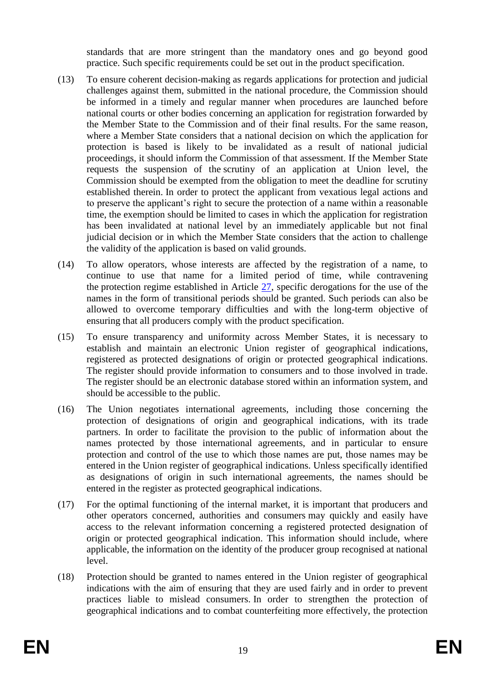standards that are more stringent than the mandatory ones and go beyond good practice. Such specific requirements could be set out in the product specification.

- (13) To ensure coherent decision-making as regards applications for protection and judicial challenges against them, submitted in the national procedure, the Commission should be informed in a timely and regular manner when procedures are launched before national courts or other bodies concerning an application for registration forwarded by the Member State to the Commission and of their final results. For the same reason, where a Member State considers that a national decision on which the application for protection is based is likely to be invalidated as a result of national judicial proceedings, it should inform the Commission of that assessment. If the Member State requests the suspension of the scrutiny of an application at Union level, the Commission should be exempted from the obligation to meet the deadline for scrutiny established therein. In order to protect the applicant from vexatious legal actions and to preserve the applicant's right to secure the protection of a name within a reasonable time, the exemption should be limited to cases in which the application for registration has been invalidated at national level by an immediately applicable but not final judicial decision or in which the Member State considers that the action to challenge the validity of the application is based on valid grounds.
- (14) To allow operators, whose interests are affected by the registration of a name, to continue to use that name for a limited period of time, while contravening the protection regime established in Article [27,](#page-43-0) specific derogations for the use of the names in the form of transitional periods should be granted. Such periods can also be allowed to overcome temporary difficulties and with the long-term objective of ensuring that all producers comply with the product specification.
- (15) To ensure transparency and uniformity across Member States, it is necessary to establish and maintain an electronic Union register of geographical indications, registered as protected designations of origin or protected geographical indications. The register should provide information to consumers and to those involved in trade. The register should be an electronic database stored within an information system, and should be accessible to the public.
- (16) The Union negotiates international agreements, including those concerning the protection of designations of origin and geographical indications, with its trade partners. In order to facilitate the provision to the public of information about the names protected by those international agreements, and in particular to ensure protection and control of the use to which those names are put, those names may be entered in the Union register of geographical indications. Unless specifically identified as designations of origin in such international agreements, the names should be entered in the register as protected geographical indications.
- (17) For the optimal functioning of the internal market, it is important that producers and other operators concerned, authorities and consumers may quickly and easily have access to the relevant information concerning a registered protected designation of origin or protected geographical indication. This information should include, where applicable, the information on the identity of the producer group recognised at national level.
- (18) Protection should be granted to names entered in the Union register of geographical indications with the aim of ensuring that they are used fairly and in order to prevent practices liable to mislead consumers. In order to strengthen the protection of geographical indications and to combat counterfeiting more effectively, the protection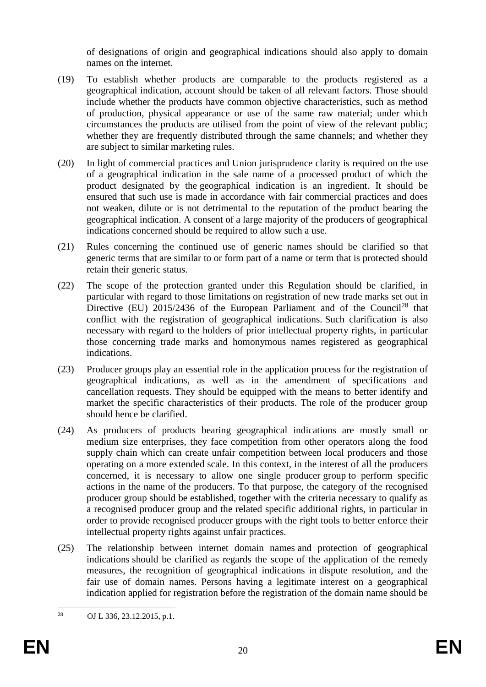of designations of origin and geographical indications should also apply to domain names on the internet.

- (19) To establish whether products are comparable to the products registered as a geographical indication, account should be taken of all relevant factors. Those should include whether the products have common objective characteristics, such as method of production, physical appearance or use of the same raw material; under which circumstances the products are utilised from the point of view of the relevant public; whether they are frequently distributed through the same channels; and whether they are subject to similar marketing rules.
- (20) In light of commercial practices and Union jurisprudence clarity is required on the use of a geographical indication in the sale name of a processed product of which the product designated by the geographical indication is an ingredient. It should be ensured that such use is made in accordance with fair commercial practices and does not weaken, dilute or is not detrimental to the reputation of the product bearing the geographical indication. A consent of a large majority of the producers of geographical indications concerned should be required to allow such a use.
- (21) Rules concerning the continued use of generic names should be clarified so that generic terms that are similar to or form part of a name or term that is protected should retain their generic status.
- (22) The scope of the protection granted under this Regulation should be clarified, in particular with regard to those limitations on registration of new trade marks set out in Directive (EU)  $2015/2436$  of the European Parliament and of the Council<sup>28</sup> that conflict with the registration of geographical indications. Such clarification is also necessary with regard to the holders of prior intellectual property rights, in particular those concerning trade marks and homonymous names registered as geographical indications.
- (23) Producer groups play an essential role in the application process for the registration of geographical indications, as well as in the amendment of specifications and cancellation requests. They should be equipped with the means to better identify and market the specific characteristics of their products. The role of the producer group should hence be clarified.
- (24) As producers of products bearing geographical indications are mostly small or medium size enterprises, they face competition from other operators along the food supply chain which can create unfair competition between local producers and those operating on a more extended scale. In this context, in the interest of all the producers concerned, it is necessary to allow one single producer group to perform specific actions in the name of the producers. To that purpose, the category of the recognised producer group should be established, together with the criteria necessary to qualify as a recognised producer group and the related specific additional rights, in particular in order to provide recognised producer groups with the right tools to better enforce their intellectual property rights against unfair practices.
- (25) The relationship between internet domain names and protection of geographical indications should be clarified as regards the scope of the application of the remedy measures, the recognition of geographical indications in dispute resolution, and the fair use of domain names. Persons having a legitimate interest on a geographical indication applied for registration before the registration of the domain name should be

 $28$ <sup>28</sup> OJ L 336, 23.12.2015, p.1.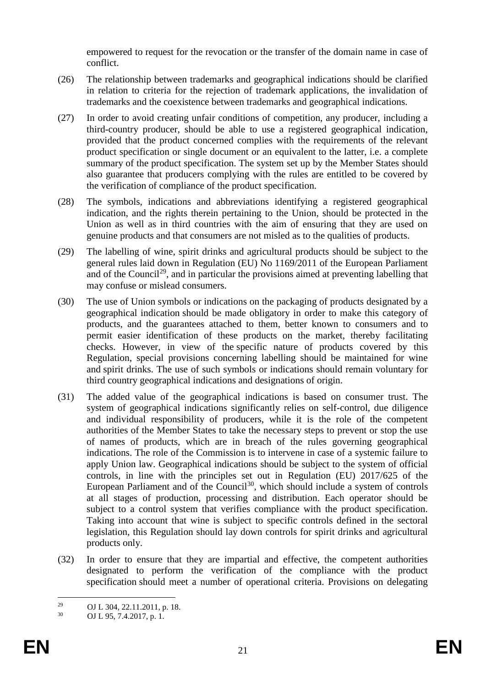empowered to request for the revocation or the transfer of the domain name in case of conflict.

- (26) The relationship between trademarks and geographical indications should be clarified in relation to criteria for the rejection of trademark applications, the invalidation of trademarks and the coexistence between trademarks and geographical indications.
- (27) In order to avoid creating unfair conditions of competition, any producer, including a third-country producer, should be able to use a registered geographical indication, provided that the product concerned complies with the requirements of the relevant product specification or single document or an equivalent to the latter, i.e. a complete summary of the product specification. The system set up by the Member States should also guarantee that producers complying with the rules are entitled to be covered by the verification of compliance of the product specification.
- (28) The symbols, indications and abbreviations identifying a registered geographical indication, and the rights therein pertaining to the Union, should be protected in the Union as well as in third countries with the aim of ensuring that they are used on genuine products and that consumers are not misled as to the qualities of products.
- (29) The labelling of wine, spirit drinks and agricultural products should be subject to the general rules laid down in Regulation (EU) No 1169/2011 of the European Parliament and of the Council<sup>29</sup>, and in particular the provisions aimed at preventing labelling that may confuse or mislead consumers.
- (30) The use of Union symbols or indications on the packaging of products designated by a geographical indication should be made obligatory in order to make this category of products, and the guarantees attached to them, better known to consumers and to permit easier identification of these products on the market, thereby facilitating checks. However, in view of the specific nature of products covered by this Regulation, special provisions concerning labelling should be maintained for wine and spirit drinks. The use of such symbols or indications should remain voluntary for third country geographical indications and designations of origin.
- (31) The added value of the geographical indications is based on consumer trust. The system of geographical indications significantly relies on self-control, due diligence and individual responsibility of producers, while it is the role of the competent authorities of the Member States to take the necessary steps to prevent or stop the use of names of products, which are in breach of the rules governing geographical indications. The role of the Commission is to intervene in case of a systemic failure to apply Union law. Geographical indications should be subject to the system of official controls, in line with the principles set out in Regulation (EU) 2017/625 of the European Parliament and of the Council<sup>30</sup>, which should include a system of controls at all stages of production, processing and distribution. Each operator should be subject to a control system that verifies compliance with the product specification. Taking into account that wine is subject to specific controls defined in the sectoral legislation, this Regulation should lay down controls for spirit drinks and agricultural products only.
- (32) In order to ensure that they are impartial and effective, the competent authorities designated to perform the verification of the compliance with the product specification should meet a number of operational criteria. Provisions on delegating

 $29$ <sup>29</sup> OJ L 304, 22.11.2011, p. 18.

<sup>30</sup> OJ L 95, 7.4.2017, p. 1.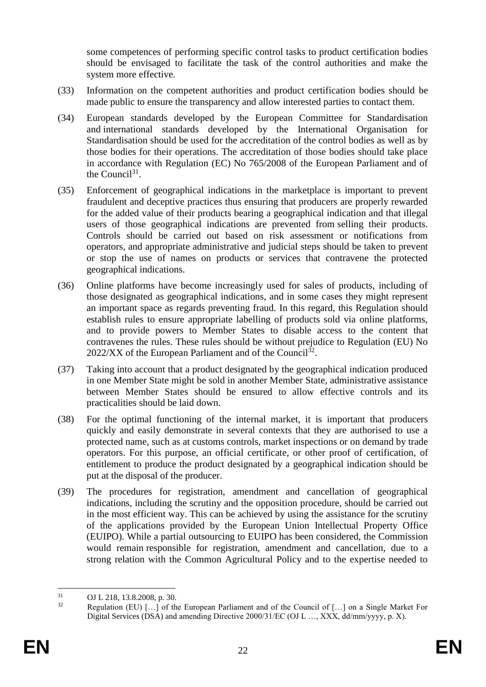some competences of performing specific control tasks to product certification bodies should be envisaged to facilitate the task of the control authorities and make the system more effective.

- (33) Information on the competent authorities and product certification bodies should be made public to ensure the transparency and allow interested parties to contact them.
- (34) European standards developed by the European Committee for Standardisation and international standards developed by the International Organisation for Standardisation should be used for the accreditation of the control bodies as well as by those bodies for their operations. The accreditation of those bodies should take place in accordance with Regulation (EC) No 765/2008 of the European Parliament and of the Council<sup>31</sup>.
- (35) Enforcement of geographical indications in the marketplace is important to prevent fraudulent and deceptive practices thus ensuring that producers are properly rewarded for the added value of their products bearing a geographical indication and that illegal users of those geographical indications are prevented from selling their products. Controls should be carried out based on risk assessment or notifications from operators, and appropriate administrative and judicial steps should be taken to prevent or stop the use of names on products or services that contravene the protected geographical indications.
- (36) Online platforms have become increasingly used for sales of products, including of those designated as geographical indications, and in some cases they might represent an important space as regards preventing fraud. In this regard, this Regulation should establish rules to ensure appropriate labelling of products sold via online platforms, and to provide powers to Member States to disable access to the content that contravenes the rules. These rules should be without prejudice to Regulation (EU) No  $2022/XX$  of the European Parliament and of the Council<sup>32</sup>.
- (37) Taking into account that a product designated by the geographical indication produced in one Member State might be sold in another Member State, administrative assistance between Member States should be ensured to allow effective controls and its practicalities should be laid down.
- (38) For the optimal functioning of the internal market, it is important that producers quickly and easily demonstrate in several contexts that they are authorised to use a protected name, such as at customs controls, market inspections or on demand by trade operators. For this purpose, an official certificate, or other proof of certification, of entitlement to produce the product designated by a geographical indication should be put at the disposal of the producer.
- (39) The procedures for registration, amendment and cancellation of geographical indications, including the scrutiny and the opposition procedure, should be carried out in the most efficient way. This can be achieved by using the assistance for the scrutiny of the applications provided by the European Union Intellectual Property Office (EUIPO). While a partial outsourcing to EUIPO has been considered, the Commission would remain responsible for registration, amendment and cancellation, due to a strong relation with the Common Agricultural Policy and to the expertise needed to

1

 $31$  OJ L 218, 13.8.2008, p. 30.

Regulation (EU) [...] of the European Parliament and of the Council of [...] on a Single Market For Digital Services (DSA) and amending Directive 2000/31/EC (OJ L …, XXX, dd/mm/yyyy, p. X).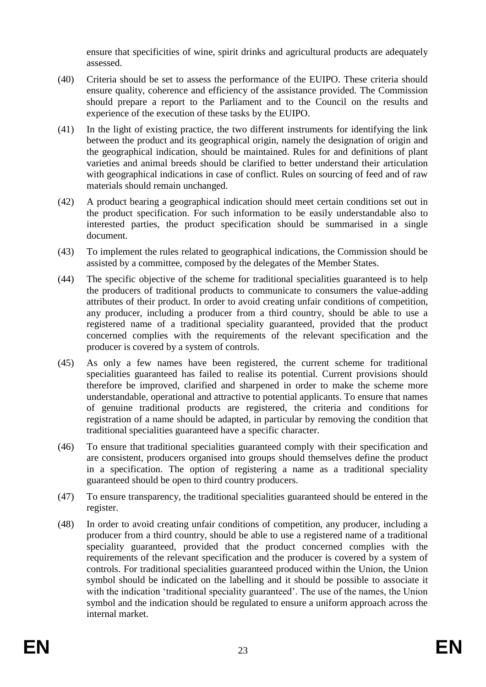ensure that specificities of wine, spirit drinks and agricultural products are adequately assessed.

- (40) Criteria should be set to assess the performance of the EUIPO. These criteria should ensure quality, coherence and efficiency of the assistance provided. The Commission should prepare a report to the Parliament and to the Council on the results and experience of the execution of these tasks by the EUIPO.
- (41) In the light of existing practice, the two different instruments for identifying the link between the product and its geographical origin, namely the designation of origin and the geographical indication, should be maintained. Rules for and definitions of plant varieties and animal breeds should be clarified to better understand their articulation with geographical indications in case of conflict. Rules on sourcing of feed and of raw materials should remain unchanged.
- (42) A product bearing a geographical indication should meet certain conditions set out in the product specification. For such information to be easily understandable also to interested parties, the product specification should be summarised in a single document.
- (43) To implement the rules related to geographical indications, the Commission should be assisted by a committee, composed by the delegates of the Member States.
- (44) The specific objective of the scheme for traditional specialities guaranteed is to help the producers of traditional products to communicate to consumers the value-adding attributes of their product. In order to avoid creating unfair conditions of competition, any producer, including a producer from a third country, should be able to use a registered name of a traditional speciality guaranteed, provided that the product concerned complies with the requirements of the relevant specification and the producer is covered by a system of controls.
- (45) As only a few names have been registered, the current scheme for traditional specialities guaranteed has failed to realise its potential. Current provisions should therefore be improved, clarified and sharpened in order to make the scheme more understandable, operational and attractive to potential applicants. To ensure that names of genuine traditional products are registered, the criteria and conditions for registration of a name should be adapted, in particular by removing the condition that traditional specialities guaranteed have a specific character.
- (46) To ensure that traditional specialities guaranteed comply with their specification and are consistent, producers organised into groups should themselves define the product in a specification. The option of registering a name as a traditional speciality guaranteed should be open to third country producers.
- (47) To ensure transparency, the traditional specialities guaranteed should be entered in the register.
- (48) In order to avoid creating unfair conditions of competition, any producer, including a producer from a third country, should be able to use a registered name of a traditional speciality guaranteed, provided that the product concerned complies with the requirements of the relevant specification and the producer is covered by a system of controls. For traditional specialities guaranteed produced within the Union, the Union symbol should be indicated on the labelling and it should be possible to associate it with the indication 'traditional speciality guaranteed'. The use of the names, the Union symbol and the indication should be regulated to ensure a uniform approach across the internal market.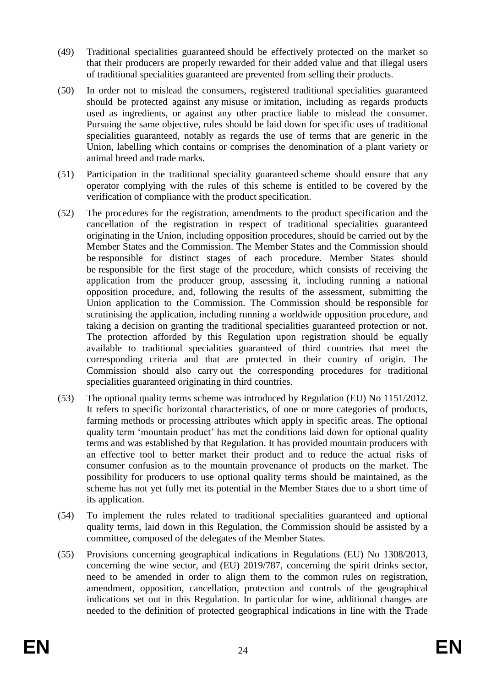- (49) Traditional specialities guaranteed should be effectively protected on the market so that their producers are properly rewarded for their added value and that illegal users of traditional specialities guaranteed are prevented from selling their products.
- (50) In order not to mislead the consumers, registered traditional specialities guaranteed should be protected against any misuse or imitation, including as regards products used as ingredients, or against any other practice liable to mislead the consumer. Pursuing the same objective, rules should be laid down for specific uses of traditional specialities guaranteed, notably as regards the use of terms that are generic in the Union, labelling which contains or comprises the denomination of a plant variety or animal breed and trade marks.
- (51) Participation in the traditional speciality guaranteed scheme should ensure that any operator complying with the rules of this scheme is entitled to be covered by the verification of compliance with the product specification.
- (52) The procedures for the registration, amendments to the product specification and the cancellation of the registration in respect of traditional specialities guaranteed originating in the Union, including opposition procedures, should be carried out by the Member States and the Commission. The Member States and the Commission should be responsible for distinct stages of each procedure. Member States should be responsible for the first stage of the procedure, which consists of receiving the application from the producer group, assessing it, including running a national opposition procedure, and, following the results of the assessment, submitting the Union application to the Commission. The Commission should be responsible for scrutinising the application, including running a worldwide opposition procedure, and taking a decision on granting the traditional specialities guaranteed protection or not. The protection afforded by this Regulation upon registration should be equally available to traditional specialities guaranteed of third countries that meet the corresponding criteria and that are protected in their country of origin. The Commission should also carry out the corresponding procedures for traditional specialities guaranteed originating in third countries.
- (53) The optional quality terms scheme was introduced by Regulation (EU) No 1151/2012. It refers to specific horizontal characteristics, of one or more categories of products, farming methods or processing attributes which apply in specific areas. The optional quality term 'mountain product' has met the conditions laid down for optional quality terms and was established by that Regulation. It has provided mountain producers with an effective tool to better market their product and to reduce the actual risks of consumer confusion as to the mountain provenance of products on the market. The possibility for producers to use optional quality terms should be maintained, as the scheme has not yet fully met its potential in the Member States due to a short time of its application.
- (54) To implement the rules related to traditional specialities guaranteed and optional quality terms, laid down in this Regulation, the Commission should be assisted by a committee, composed of the delegates of the Member States.
- (55) Provisions concerning geographical indications in Regulations (EU) No 1308/2013, concerning the wine sector, and (EU) 2019/787, concerning the spirit drinks sector, need to be amended in order to align them to the common rules on registration, amendment, opposition, cancellation, protection and controls of the geographical indications set out in this Regulation. In particular for wine, additional changes are needed to the definition of protected geographical indications in line with the Trade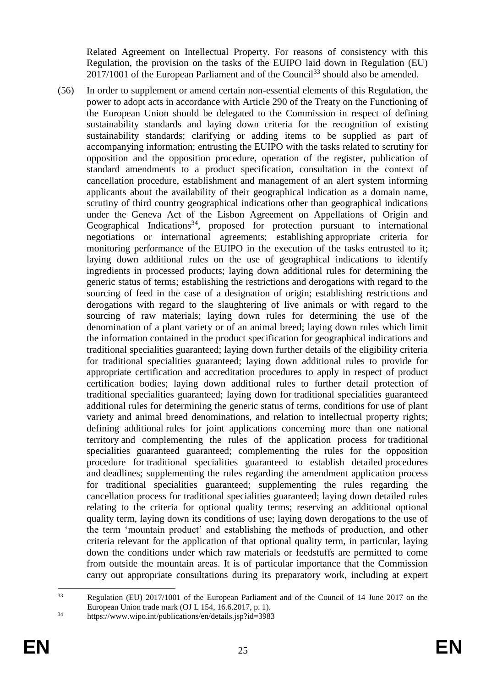Related Agreement on Intellectual Property. For reasons of consistency with this Regulation, the provision on the tasks of the EUIPO laid down in Regulation (EU)  $2017/1001$  of the European Parliament and of the Council<sup>33</sup> should also be amended.

(56) In order to supplement or amend certain non-essential elements of this Regulation, the power to adopt acts in accordance with Article 290 of the Treaty on the Functioning of the European Union should be delegated to the Commission in respect of defining sustainability standards and laying down criteria for the recognition of existing sustainability standards; clarifying or adding items to be supplied as part of accompanying information; entrusting the EUIPO with the tasks related to scrutiny for opposition and the opposition procedure, operation of the register, publication of standard amendments to a product specification, consultation in the context of cancellation procedure, establishment and management of an alert system informing applicants about the availability of their geographical indication as a domain name, scrutiny of third country geographical indications other than geographical indications under the Geneva Act of the Lisbon Agreement on Appellations of Origin and Geographical Indications<sup>34</sup>, proposed for protection pursuant to international negotiations or international agreements; establishing appropriate criteria for monitoring performance of the EUIPO in the execution of the tasks entrusted to it; laying down additional rules on the use of geographical indications to identify ingredients in processed products; laying down additional rules for determining the generic status of terms; establishing the restrictions and derogations with regard to the sourcing of feed in the case of a designation of origin; establishing restrictions and derogations with regard to the slaughtering of live animals or with regard to the sourcing of raw materials; laying down rules for determining the use of the denomination of a plant variety or of an animal breed; laying down rules which limit the information contained in the product specification for geographical indications and traditional specialities guaranteed; laying down further details of the eligibility criteria for traditional specialities guaranteed; laying down additional rules to provide for appropriate certification and accreditation procedures to apply in respect of product certification bodies; laying down additional rules to further detail protection of traditional specialities guaranteed; laying down for traditional specialities guaranteed additional rules for determining the generic status of terms, conditions for use of plant variety and animal breed denominations, and relation to intellectual property rights; defining additional rules for joint applications concerning more than one national territory and complementing the rules of the application process for traditional specialities guaranteed guaranteed; complementing the rules for the opposition procedure for traditional specialities guaranteed to establish detailed procedures and deadlines; supplementing the rules regarding the amendment application process for traditional specialities guaranteed; supplementing the rules regarding the cancellation process for traditional specialities guaranteed; laying down detailed rules relating to the criteria for optional quality terms; reserving an additional optional quality term, laying down its conditions of use; laying down derogations to the use of the term 'mountain product' and establishing the methods of production, and other criteria relevant for the application of that optional quality term, in particular, laying down the conditions under which raw materials or feedstuffs are permitted to come from outside the mountain areas. It is of particular importance that the Commission carry out appropriate consultations during its preparatory work, including at expert

1

<sup>33</sup> Regulation (EU) 2017/1001 of the European Parliament and of the Council of 14 June 2017 on the European Union trade mark (OJ L 154, 16.6.2017, p. 1).

 $\frac{34}{100}$  https://www.wipo.int/publications/en/details.jsp?id=3983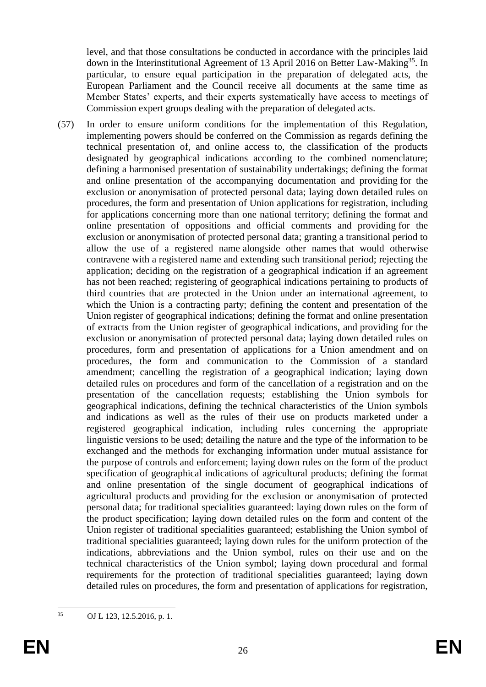level, and that those consultations be conducted in accordance with the principles laid down in the Interinstitutional Agreement of 13 April 2016 on Better Law-Making<sup>35</sup>. In particular, to ensure equal participation in the preparation of delegated acts, the European Parliament and the Council receive all documents at the same time as Member States' experts, and their experts systematically have access to meetings of Commission expert groups dealing with the preparation of delegated acts.

(57) In order to ensure uniform conditions for the implementation of this Regulation, implementing powers should be conferred on the Commission as regards defining the technical presentation of, and online access to, the classification of the products designated by geographical indications according to the combined nomenclature; defining a harmonised presentation of sustainability undertakings; defining the format and online presentation of the accompanying documentation and providing for the exclusion or anonymisation of protected personal data; laying down detailed rules on procedures, the form and presentation of Union applications for registration, including for applications concerning more than one national territory; defining the format and online presentation of oppositions and official comments and providing for the exclusion or anonymisation of protected personal data; granting a transitional period to allow the use of a registered name alongside other names that would otherwise contravene with a registered name and extending such transitional period; rejecting the application; deciding on the registration of a geographical indication if an agreement has not been reached; registering of geographical indications pertaining to products of third countries that are protected in the Union under an international agreement, to which the Union is a contracting party; defining the content and presentation of the Union register of geographical indications; defining the format and online presentation of extracts from the Union register of geographical indications, and providing for the exclusion or anonymisation of protected personal data; laying down detailed rules on procedures, form and presentation of applications for a Union amendment and on procedures, the form and communication to the Commission of a standard amendment; cancelling the registration of a geographical indication; laying down detailed rules on procedures and form of the cancellation of a registration and on the presentation of the cancellation requests; establishing the Union symbols for geographical indications, defining the technical characteristics of the Union symbols and indications as well as the rules of their use on products marketed under a registered geographical indication, including rules concerning the appropriate linguistic versions to be used; detailing the nature and the type of the information to be exchanged and the methods for exchanging information under mutual assistance for the purpose of controls and enforcement; laying down rules on the form of the product specification of geographical indications of agricultural products; defining the format and online presentation of the single document of geographical indications of agricultural products and providing for the exclusion or anonymisation of protected personal data; for traditional specialities guaranteed: laying down rules on the form of the product specification; laying down detailed rules on the form and content of the Union register of traditional specialities guaranteed; establishing the Union symbol of traditional specialities guaranteed; laying down rules for the uniform protection of the indications, abbreviations and the Union symbol, rules on their use and on the technical characteristics of the Union symbol; laying down procedural and formal requirements for the protection of traditional specialities guaranteed; laying down detailed rules on procedures, the form and presentation of applications for registration,

 $35$ <sup>35</sup> OJ L 123, 12.5.2016, p. 1.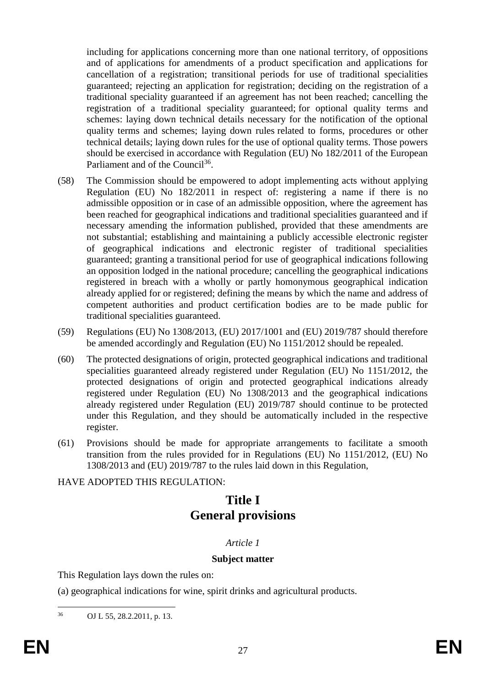including for applications concerning more than one national territory, of oppositions and of applications for amendments of a product specification and applications for cancellation of a registration; transitional periods for use of traditional specialities guaranteed; rejecting an application for registration; deciding on the registration of a traditional speciality guaranteed if an agreement has not been reached; cancelling the registration of a traditional speciality guaranteed; for optional quality terms and schemes: laying down technical details necessary for the notification of the optional quality terms and schemes; laying down rules related to forms, procedures or other technical details; laying down rules for the use of optional quality terms. Those powers should be exercised in accordance with Regulation (EU) No 182/2011 of the European Parliament and of the Council<sup>36</sup>. .

- (58) The Commission should be empowered to adopt implementing acts without applying Regulation (EU) No 182/2011 in respect of: registering a name if there is no admissible opposition or in case of an admissible opposition, where the agreement has been reached for geographical indications and traditional specialities guaranteed and if necessary amending the information published, provided that these amendments are not substantial; establishing and maintaining a publicly accessible electronic register of geographical indications and electronic register of traditional specialities guaranteed; granting a transitional period for use of geographical indications following an opposition lodged in the national procedure; cancelling the geographical indications registered in breach with a wholly or partly homonymous geographical indication already applied for or registered; defining the means by which the name and address of competent authorities and product certification bodies are to be made public for traditional specialities guaranteed.
- (59) Regulations (EU) No 1308/2013, (EU) 2017/1001 and (EU) 2019/787 should therefore be amended accordingly and Regulation (EU) No 1151/2012 should be repealed.
- (60) The protected designations of origin, protected geographical indications and traditional specialities guaranteed already registered under Regulation (EU) No 1151/2012, the protected designations of origin and protected geographical indications already registered under Regulation (EU) No 1308/2013 and the geographical indications already registered under Regulation (EU) 2019/787 should continue to be protected under this Regulation, and they should be automatically included in the respective register.
- (61) Provisions should be made for appropriate arrangements to facilitate a smooth transition from the rules provided for in Regulations (EU) No 1151/2012, (EU) No 1308/2013 and (EU) 2019/787 to the rules laid down in this Regulation,

#### HAVE ADOPTED THIS REGULATION:

# **Title I General provisions**

#### *Article 1*

#### **Subject matter**

This Regulation lays down the rules on:

(a) geographical indications for wine, spirit drinks and agricultural products.

 $36$ OJ L 55, 28.2.2011, p. 13.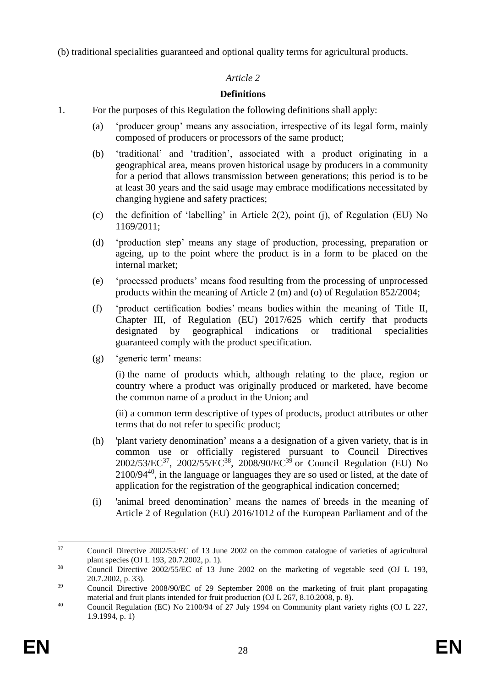(b) traditional specialities guaranteed and optional quality terms for agricultural products.

# *Article 2*

# **Definitions**

- 1. For the purposes of this Regulation the following definitions shall apply:
	- (a) 'producer group' means any association, irrespective of its legal form, mainly composed of producers or processors of the same product;
	- (b) 'traditional' and 'tradition', associated with a product originating in a geographical area, means proven historical usage by producers in a community for a period that allows transmission between generations; this period is to be at least 30 years and the said usage may embrace modifications necessitated by changing hygiene and safety practices;
	- (c) the definition of 'labelling' in Article 2(2), point (j), of Regulation (EU) No 1169/2011;
	- (d) 'production step' means any stage of production, processing, preparation or ageing, up to the point where the product is in a form to be placed on the internal market;
	- (e) 'processed products' means food resulting from the processing of unprocessed products within the meaning of Article 2 (m) and (o) of Regulation 852/2004;
	- (f) 'product certification bodies' means bodies within the meaning of Title II, Chapter III, of Regulation (EU) 2017/625 which certify that products designated by geographical indications or traditional specialities guaranteed comply with the product specification.
	- (g) 'generic term' means:

(i) the name of products which, although relating to the place, region or country where a product was originally produced or marketed, have become the common name of a product in the Union; and

(ii) a common term descriptive of types of products, product attributes or other terms that do not refer to specific product;

- (h) 'plant variety denomination' means a a designation of a given variety, that is in common use or officially registered pursuant to Council Directives  $2002/53/EC^{37}$ ,  $2002/55/EC^{38}$ ,  $2008/90/EC^{39}$  or Council Regulation (EU) No 2100/94<sup>40</sup>, in the language or languages they are so used or listed, at the date of application for the registration of the geographical indication concerned;
- (i) 'animal breed denomination' means the names of breeds in the meaning of Article 2 of Regulation (EU) 2016/1012 of the European Parliament and of the

<sup>37</sup> <sup>37</sup> Council Directive 2002/53/EC of 13 June 2002 on the common catalogue of varieties of agricultural plant species (OJ L 193, 20.7.2002, p. 1).

<sup>&</sup>lt;sup>38</sup> Council Directive 2002/55/EC of 13 June 2002 on the marketing of vegetable seed (OJ L 193, 20.7.2002, p. 33).

<sup>&</sup>lt;sup>39</sup> Council Directive 2008/90/EC of 29 September 2008 on the marketing of fruit plant propagating material and fruit plants intended for fruit production (OJ L 267, 8.10.2008, p. 8).

<sup>&</sup>lt;sup>40</sup> Council Regulation (EC) No 2100/94 of 27 July 1994 on Community plant variety rights (OJ L 227, 1.9.1994, p. 1)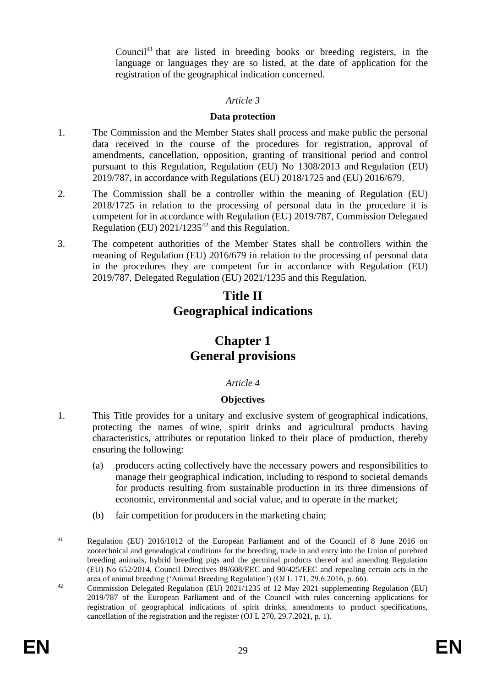Council<sup>41</sup> that are listed in breeding books or breeding registers, in the language or languages they are so listed, at the date of application for the registration of the geographical indication concerned.

#### *Article 3*

#### **Data protection**

- 1. The Commission and the Member States shall process and make public the personal data received in the course of the procedures for registration, approval of amendments, cancellation, opposition, granting of transitional period and control pursuant to this Regulation, Regulation (EU) No 1308/2013 and Regulation (EU) 2019/787, in accordance with Regulations (EU) 2018/1725 and (EU) 2016/679.
- 2. The Commission shall be a controller within the meaning of Regulation (EU) 2018/1725 in relation to the processing of personal data in the procedure it is competent for in accordance with Regulation (EU) 2019/787, Commission Delegated Regulation (EU)  $2021/1235^{42}$  and this Regulation.
- 3. The competent authorities of the Member States shall be controllers within the meaning of Regulation (EU) 2016/679 in relation to the processing of personal data in the procedures they are competent for in accordance with Regulation (EU) 2019/787, Delegated Regulation (EU) 2021/1235 and this Regulation.

# **Title II Geographical indications**

# **Chapter 1 General provisions**

#### *Article 4*

#### **Objectives**

- 1. This Title provides for a unitary and exclusive system of geographical indications, protecting the names of wine, spirit drinks and agricultural products having characteristics, attributes or reputation linked to their place of production, thereby ensuring the following:
	- (a) producers acting collectively have the necessary powers and responsibilities to manage their geographical indication, including to respond to societal demands for products resulting from sustainable production in its three dimensions of economic, environmental and social value, and to operate in the market;
	- (b) fair competition for producers in the marketing chain;

 $41$ <sup>41</sup> Regulation (EU) 2016/1012 of the European Parliament and of the Council of 8 June 2016 on zootechnical and genealogical conditions for the breeding, trade in and entry into the Union of purebred breeding animals, hybrid breeding pigs and the germinal products thereof and amending Regulation (EU) No 652/2014, Council Directives 89/608/EEC and 90/425/EEC and repealing certain acts in the area of animal breeding ('Animal Breeding Regulation') (OJ L 171, 29.6.2016, p. 66).

<sup>&</sup>lt;sup>42</sup> Commission Delegated Regulation (EU)  $2021/1235$  of 12 May 2021 supplementing Regulation (EU) 2019/787 of the European Parliament and of the Council with rules concerning applications for registration of geographical indications of spirit drinks, amendments to product specifications, cancellation of the registration and the register (OJ L 270, 29.7.2021, p. 1).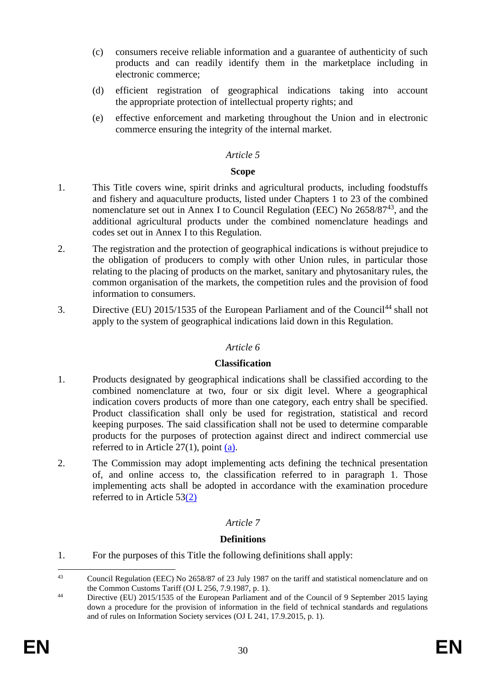- (c) consumers receive reliable information and a guarantee of authenticity of such products and can readily identify them in the marketplace including in electronic commerce;
- (d) efficient registration of geographical indications taking into account the appropriate protection of intellectual property rights; and
- (e) effective enforcement and marketing throughout the Union and in electronic commerce ensuring the integrity of the internal market.

#### **Scope**

- 1. This Title covers wine, spirit drinks and agricultural products, including foodstuffs and fishery and aquaculture products, listed under Chapters 1 to 23 of the combined nomenclature set out in Annex I to Council Regulation (EEC) No 2658/87<sup>43</sup>, and the additional agricultural products under the combined nomenclature headings and codes set out in Annex I to this Regulation.
- 2. The registration and the protection of geographical indications is without prejudice to the obligation of producers to comply with other Union rules, in particular those relating to the placing of products on the market, sanitary and phytosanitary rules, the common organisation of the markets, the competition rules and the provision of food information to consumers.
- 3. Directive (EU) 2015/1535 of the European Parliament and of the Council<sup>44</sup> shall not apply to the system of geographical indications laid down in this Regulation.

#### *Article 6*

#### **Classification**

- 1. Products designated by geographical indications shall be classified according to the combined nomenclature at two, four or six digit level. Where a geographical indication covers products of more than one category, each entry shall be specified. Product classification shall only be used for registration, statistical and record keeping purposes. The said classification shall not be used to determine comparable products for the purposes of protection against direct and indirect commercial use referred to in Article 27(1), point [\(a\).](#page-43-1)
- 2. The Commission may adopt implementing acts defining the technical presentation of, and online access to, the classification referred to in paragraph 1. Those implementing acts shall be adopted in accordance with the examination procedure referred to in Article 5[3\(2\)](#page-59-0)

# *Article 7*

#### **Definitions**

1. For the purposes of this Title the following definitions shall apply:

 $43$ <sup>43</sup> Council Regulation (EEC) No 2658/87 of 23 July 1987 on the tariff and statistical nomenclature and on the Common Customs Tariff (OJ L 256, 7.9.1987, p. 1).

<sup>&</sup>lt;sup>44</sup> Directive (EU) 2015/1535 of the European Parliament and of the Council of 9 September 2015 laying down a procedure for the provision of information in the field of technical standards and regulations and of rules on Information Society services (OJ L 241, 17.9.2015, p. 1).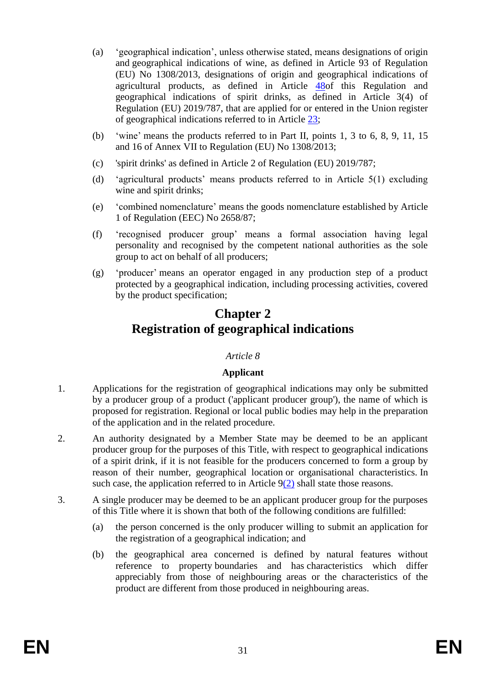- (a) 'geographical indication', unless otherwise stated, means designations of origin and geographical indications of wine, as defined in Article 93 of Regulation (EU) No 1308/2013, designations of origin and geographical indications of agricultural products, as defined in Article [48o](#page-55-0)f this Regulation and geographical indications of spirit drinks, as defined in Article 3(4) of Regulation (EU) 2019/787, that are applied for or entered in the Union register of geographical indications referred to in Article [23;](#page-40-0)
- (b) 'wine' means the products referred to in Part II, points 1, 3 to 6, 8, 9, 11, 15 and 16 of Annex VII to Regulation (EU) No 1308/2013;
- (c) 'spirit drinks' as defined in Article 2 of Regulation (EU) 2019/787;
- (d) 'agricultural products' means products referred to in Article 5(1) excluding wine and spirit drinks;
- (e) 'combined nomenclature' means the goods nomenclature established by Article 1 of Regulation (EEC) No 2658/87;
- (f) 'recognised producer group' means a formal association having legal personality and recognised by the competent national authorities as the sole group to act on behalf of all producers;
- (g) 'producer' means an operator engaged in any production step of a product protected by a geographical indication, including processing activities, covered by the product specification;

# **Chapter 2 Registration of geographical indications**

# *Article 8*

# **Applicant**

- 1. Applications for the registration of geographical indications may only be submitted by a producer group of a product ('applicant producer group'), the name of which is proposed for registration. Regional or local public bodies may help in the preparation of the application and in the related procedure.
- 2. An authority designated by a Member State may be deemed to be an applicant producer group for the purposes of this Title, with respect to geographical indications of a spirit drink, if it is not feasible for the producers concerned to form a group by reason of their number, geographical location or organisational characteristics. In such case, the application referred to in Article  $9(2)$  shall state those reasons.
- 3. A single producer may be deemed to be an applicant producer group for the purposes of this Title where it is shown that both of the following conditions are fulfilled:
	- (a) the person concerned is the only producer willing to submit an application for the registration of a geographical indication; and
	- (b) the geographical area concerned is defined by natural features without reference to property boundaries and has characteristics which differ appreciably from those of neighbouring areas or the characteristics of the product are different from those produced in neighbouring areas.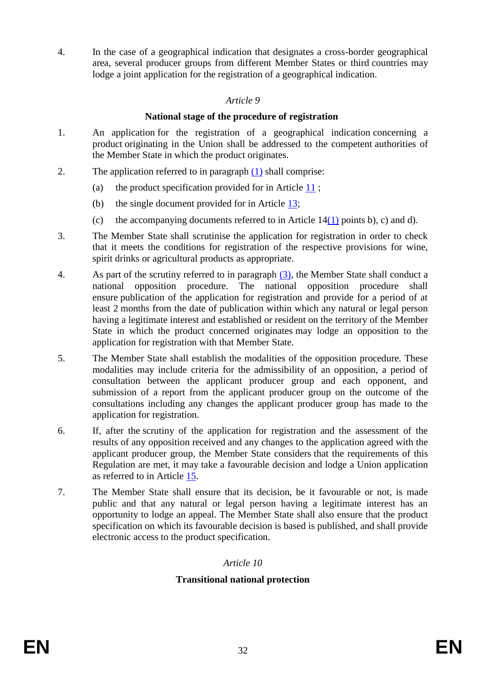<span id="page-32-3"></span>4. In the case of a geographical indication that designates a cross-border geographical area, several producer groups from different Member States or third countries may lodge a joint application for the registration of a geographical indication.

### *Article 9*

### **National stage of the procedure of registration**

- <span id="page-32-1"></span>1. An application for the registration of a geographical indication concerning a product originating in the Union shall be addressed to the competent authorities of the Member State in which the product originates.
- <span id="page-32-0"></span>2. The application referred to in paragraph [\(1\)](#page-32-1) shall comprise:
	- (a) the product specification provided for in Article [11](#page-33-0) ;
	- (b) the single document provided for in Article [13;](#page-34-0)
	- (c) the accompanying documents referred to in Article  $14(1)$  $14(1)$  points b), c) and d).
- <span id="page-32-2"></span>3. The Member State shall scrutinise the application for registration in order to check that it meets the conditions for registration of the respective provisions for wine, spirit drinks or agricultural products as appropriate.
- 4. As part of the scrutiny referred to in paragraph [\(3\),](#page-32-2) the Member State shall conduct a national opposition procedure. The national opposition procedure shall ensure publication of the application for registration and provide for a period of at least 2 months from the date of publication within which any natural or legal person having a legitimate interest and established or resident on the territory of the Member State in which the product concerned originates may lodge an opposition to the application for registration with that Member State.
- 5. The Member State shall establish the modalities of the opposition procedure. These modalities may include criteria for the admissibility of an opposition, a period of consultation between the applicant producer group and each opponent, and submission of a report from the applicant producer group on the outcome of the consultations including any changes the applicant producer group has made to the application for registration.
- 6. If, after the scrutiny of the application for registration and the assessment of the results of any opposition received and any changes to the application agreed with the applicant producer group, the Member State considers that the requirements of this Regulation are met, it may take a favourable decision and lodge a Union application as referred to in Article [15.](#page-34-2)
- 7. The Member State shall ensure that its decision, be it favourable or not, is made public and that any natural or legal person having a legitimate interest has an opportunity to lodge an appeal. The Member State shall also ensure that the product specification on which its favourable decision is based is published, and shall provide electronic access to the product specification.

# *Article 10*

# **Transitional national protection**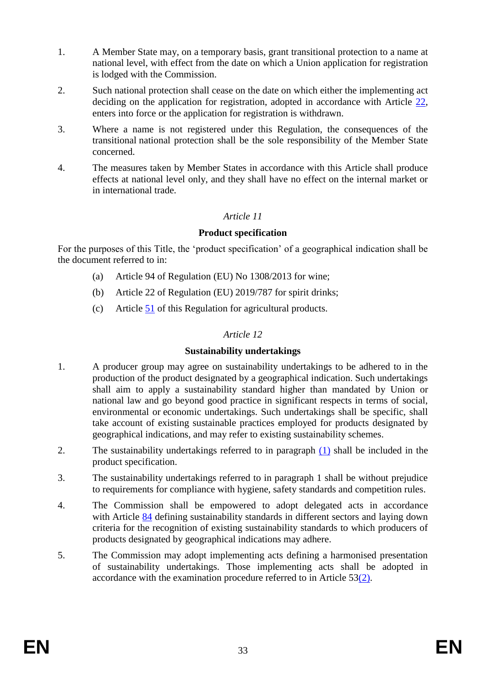- 1. A Member State may, on a temporary basis, grant transitional protection to a name at national level, with effect from the date on which a Union application for registration is lodged with the Commission.
- 2. Such national protection shall cease on the date on which either the implementing act deciding on the application for registration, adopted in accordance with Article [22,](#page-39-0) enters into force or the application for registration is withdrawn.
- 3. Where a name is not registered under this Regulation, the consequences of the transitional national protection shall be the sole responsibility of the Member State concerned.
- <span id="page-33-0"></span>4. The measures taken by Member States in accordance with this Article shall produce effects at national level only, and they shall have no effect on the internal market or in international trade.

# **Product specification**

For the purposes of this Title, the 'product specification' of a geographical indication shall be the document referred to in:

- (a) Article 94 of Regulation (EU) No 1308/2013 for wine;
- (b) Article 22 of Regulation (EU) 2019/787 for spirit drinks;
- (c) Article [51](#page-57-0) of this Regulation for agricultural products.

# *Article 12*

#### **Sustainability undertakings**

- <span id="page-33-1"></span>1. A producer group may agree on sustainability undertakings to be adhered to in the production of the product designated by a geographical indication. Such undertakings shall aim to apply a sustainability standard higher than mandated by Union or national law and go beyond good practice in significant respects in terms of social, environmental or economic undertakings. Such undertakings shall be specific, shall take account of existing sustainable practices employed for products designated by geographical indications, and may refer to existing sustainability schemes.
- 2. The sustainability undertakings referred to in paragraph [\(1\)](#page-33-1) shall be included in the product specification.
- 3. The sustainability undertakings referred to in paragraph 1 shall be without prejudice to requirements for compliance with hygiene, safety standards and competition rules.
- 4. The Commission shall be empowered to adopt delegated acts in accordance with Article [84](#page-74-0) defining sustainability standards in different sectors and laying down criteria for the recognition of existing sustainability standards to which producers of products designated by geographical indications may adhere.
- 5. The Commission may adopt implementing acts defining a harmonised presentation of sustainability undertakings. Those implementing acts shall be adopted in accordance with the examination procedure referred to in Article 5[3\(2\).](#page-59-0)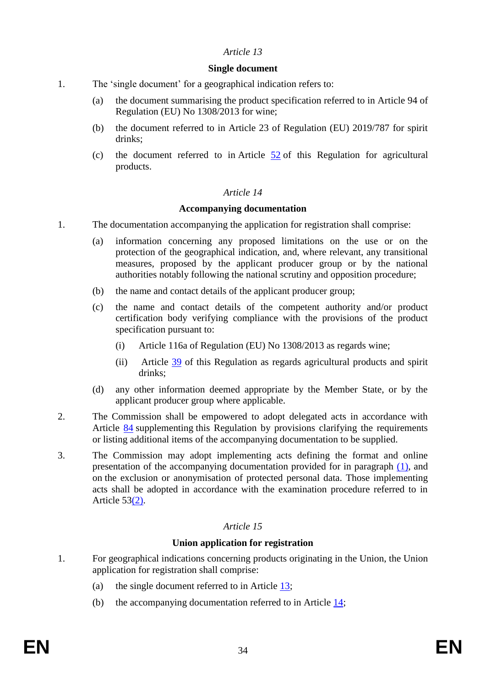#### **Single document**

- <span id="page-34-0"></span>1. The 'single document' for a geographical indication refers to:
	- (a) the document summarising the product specification referred to in Article 94 of Regulation (EU) No 1308/2013 for wine;
	- (b) the document referred to in Article 23 of Regulation (EU) 2019/787 for spirit drinks;
	- (c) the document referred to in Article  $\frac{52}{2}$  $\frac{52}{2}$  $\frac{52}{2}$  of this Regulation for agricultural products.

### *Article 14*

#### **Accompanying documentation**

- <span id="page-34-3"></span><span id="page-34-1"></span>1. The documentation accompanying the application for registration shall comprise:
	- (a) information concerning any proposed limitations on the use or on the protection of the geographical indication, and, where relevant, any transitional measures, proposed by the applicant producer group or by the national authorities notably following the national scrutiny and opposition procedure;
	- (b) the name and contact details of the applicant producer group;
	- (c) the name and contact details of the competent authority and/or product certification body verifying compliance with the provisions of the product specification pursuant to:
		- (i) Article 116a of Regulation (EU) No 1308/2013 as regards wine;
		- (ii) Article [39](#page-51-0) of this Regulation as regards agricultural products and spirit drinks;
	- (d) any other information deemed appropriate by the Member State, or by the applicant producer group where applicable.
- 2. The Commission shall be empowered to adopt delegated acts in accordance with Article [84](#page-74-0) supplementing this Regulation by provisions clarifying the requirements or listing additional items of the accompanying documentation to be supplied.
- 3. The Commission may adopt implementing acts defining the format and online presentation of the accompanying documentation provided for in paragraph [\(1\),](#page-34-1) and on the exclusion or anonymisation of protected personal data. Those implementing acts shall be adopted in accordance with the examination procedure referred to in Article 5[3\(2\).](#page-59-0)

# *Article 15*

# **Union application for registration**

- <span id="page-34-2"></span>1. For geographical indications concerning products originating in the Union, the Union application for registration shall comprise:
	- (a) the single document referred to in Article [13;](#page-34-0)
	- (b) the accompanying documentation referred to in Article [14;](#page-34-3)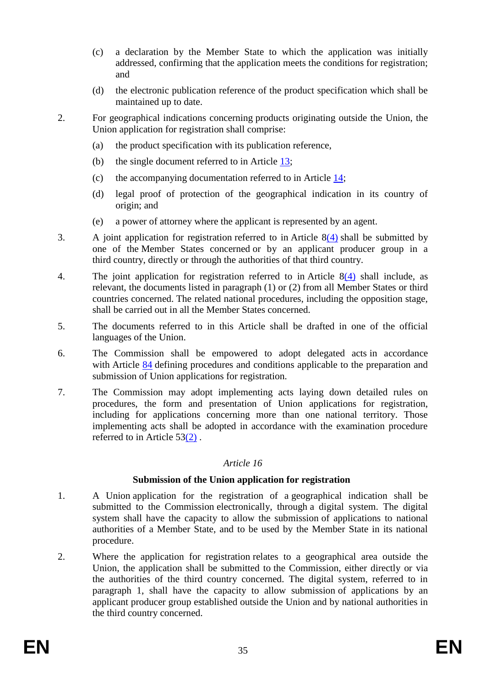- (c) a declaration by the Member State to which the application was initially addressed, confirming that the application meets the conditions for registration; and
- (d) the electronic publication reference of the product specification which shall be maintained up to date.
- 2. For geographical indications concerning products originating outside the Union, the Union application for registration shall comprise:
	- (a) the product specification with its publication reference,
	- (b) the single document referred to in Article [13;](#page-34-0)
	- (c) the accompanying documentation referred to in Article [14;](#page-34-3)
	- (d) legal proof of protection of the geographical indication in its country of origin; and
	- (e) a power of attorney where the applicant is represented by an agent.
- 3. A joint application for registration referred to in Article [8\(4\)](#page-32-3) shall be submitted by one of the Member States concerned or by an applicant producer group in a third country, directly or through the authorities of that third country.
- 4. The joint application for registration referred to in Article [8\(4\)](#page-32-3) shall include, as relevant, the documents listed in paragraph (1) or (2) from all Member States or third countries concerned. The related national procedures, including the opposition stage, shall be carried out in all the Member States concerned.
- 5. The documents referred to in this Article shall be drafted in one of the official languages of the Union.
- 6. The Commission shall be empowered to adopt delegated acts in accordance with Article [84](#page-74-0) defining procedures and conditions applicable to the preparation and submission of Union applications for registration.
- 7. The Commission may adopt implementing acts laying down detailed rules on procedures, the form and presentation of Union applications for registration, including for applications concerning more than one national territory. Those implementing acts shall be adopted in accordance with the examination procedure referred to in Article  $53(2)$  $53(2)$ .

#### **Submission of the Union application for registration**

- 1. A Union application for the registration of a geographical indication shall be submitted to the Commission electronically, through a digital system. The digital system shall have the capacity to allow the submission of applications to national authorities of a Member State, and to be used by the Member State in its national procedure.
- 2. Where the application for registration relates to a geographical area outside the Union, the application shall be submitted to the Commission, either directly or via the authorities of the third country concerned. The digital system, referred to in paragraph 1, shall have the capacity to allow submission of applications by an applicant producer group established outside the Union and by national authorities in the third country concerned.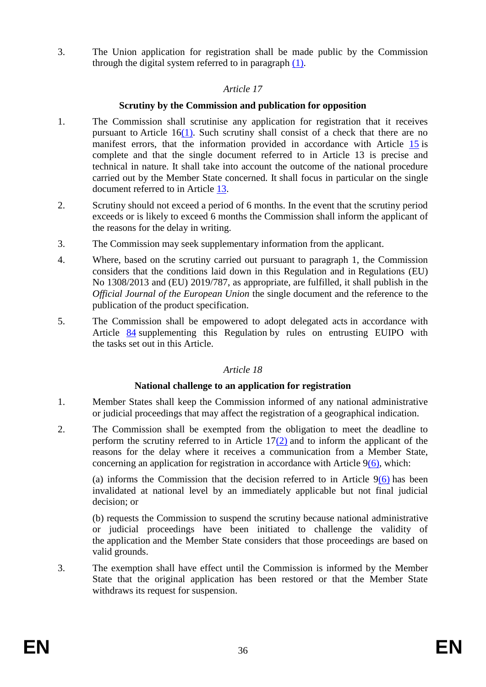<span id="page-36-2"></span>3. The Union application for registration shall be made public by the Commission through the digital system referred to in paragraph [\(1\).](#page-35-0)

## *Article 17*

## **Scrutiny by the Commission and publication for opposition**

- 1. The Commission shall scrutinise any application for registration that it receives pursuant to Article 1[6\(1\).](#page-35-0) Such scrutiny shall consist of a check that there are no manifest errors, that the information provided in accordance with Article [15](#page-34-0) is complete and that the single document referred to in Article 13 is precise and technical in nature. It shall take into account the outcome of the national procedure carried out by the Member State concerned. It shall focus in particular on the single document referred to in Article [13.](#page-34-1)
- <span id="page-36-0"></span>2. Scrutiny should not exceed a period of 6 months. In the event that the scrutiny period exceeds or is likely to exceed 6 months the Commission shall inform the applicant of the reasons for the delay in writing.
- 3. The Commission may seek supplementary information from the applicant.
- <span id="page-36-1"></span>4. Where, based on the scrutiny carried out pursuant to paragraph 1, the Commission considers that the conditions laid down in this Regulation and in Regulations (EU) No 1308/2013 and (EU) 2019/787, as appropriate, are fulfilled, it shall publish in the *Official Journal of the European Union* the single document and the reference to the publication of the product specification.
- 5. The Commission shall be empowered to adopt delegated acts in accordance with Article [84](#page-74-0) supplementing this Regulation by rules on entrusting EUIPO with the tasks set out in this Article.

## *Article 18*

#### **National challenge to an application for registration**

- 1. Member States shall keep the Commission informed of any national administrative or judicial proceedings that may affect the registration of a geographical indication.
- 2. The Commission shall be exempted from the obligation to meet the deadline to perform the scrutiny referred to in Article 1[7\(2\)](#page-36-0) and to inform the applicant of the reasons for the delay where it receives a communication from a Member State, concerning an application for registration in accordance with Article  $9(6)$ , which:

(a) informs the Commission that the decision referred to in Article  $9(6)$  has been invalidated at national level by an immediately applicable but not final judicial decision; or

(b) requests the Commission to suspend the scrutiny because national administrative or judicial proceedings have been initiated to challenge the validity of the application and the Member State considers that those proceedings are based on valid grounds.

3. The exemption shall have effect until the Commission is informed by the Member State that the original application has been restored or that the Member State withdraws its request for suspension.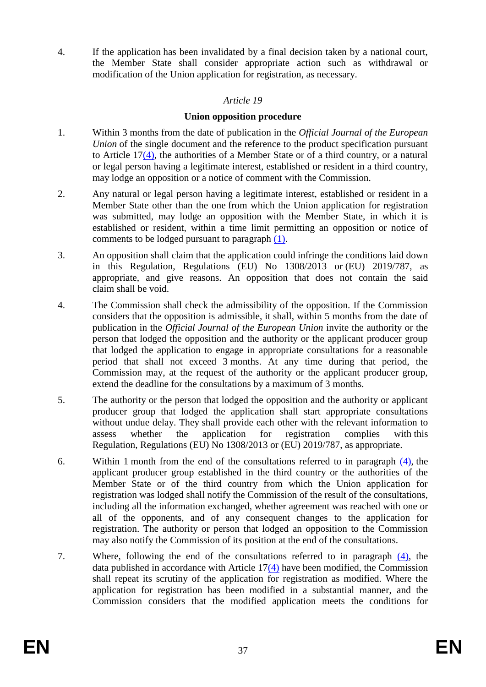<span id="page-37-2"></span>4. If the application has been invalidated by a final decision taken by a national court, the Member State shall consider appropriate action such as withdrawal or modification of the Union application for registration, as necessary.

## *Article 19*

## **Union opposition procedure**

- <span id="page-37-0"></span>1. Within 3 months from the date of publication in the *Official Journal of the European Union* of the single document and the reference to the product specification pursuant to Article 1[7\(4\),](#page-36-1) the authorities of a Member State or of a third country, or a natural or legal person having a legitimate interest, established or resident in a third country, may lodge an opposition or a notice of comment with the Commission.
- 2. Any natural or legal person having a legitimate interest, established or resident in a Member State other than the one from which the Union application for registration was submitted, may lodge an opposition with the Member State, in which it is established or resident, within a time limit permitting an opposition or notice of comments to be lodged pursuant to paragraph [\(1\).](#page-37-0)
- 3. An opposition shall claim that the application could infringe the conditions laid down in this Regulation, Regulations (EU) No 1308/2013 or (EU) 2019/787, as appropriate, and give reasons. An opposition that does not contain the said claim shall be void.
- <span id="page-37-1"></span>4. The Commission shall check the admissibility of the opposition. If the Commission considers that the opposition is admissible, it shall, within 5 months from the date of publication in the *Official Journal of the European Union* invite the authority or the person that lodged the opposition and the authority or the applicant producer group that lodged the application to engage in appropriate consultations for a reasonable period that shall not exceed 3 months. At any time during that period, the Commission may, at the request of the authority or the applicant producer group, extend the deadline for the consultations by a maximum of 3 months.
- 5. The authority or the person that lodged the opposition and the authority or applicant producer group that lodged the application shall start appropriate consultations without undue delay. They shall provide each other with the relevant information to assess whether the application for registration complies with this Regulation, Regulations (EU) No 1308/2013 or (EU) 2019/787, as appropriate.
- 6. Within 1 month from the end of the consultations referred to in paragraph [\(4\),](#page-37-1) the applicant producer group established in the third country or the authorities of the Member State or of the third country from which the Union application for registration was lodged shall notify the Commission of the result of the consultations, including all the information exchanged, whether agreement was reached with one or all of the opponents, and of any consequent changes to the application for registration. The authority or person that lodged an opposition to the Commission may also notify the Commission of its position at the end of the consultations.
- 7. Where, following the end of the consultations referred to in paragraph [\(4\),](#page-37-1) the data published in accordance with Article 1[7\(4\)](#page-36-1) have been modified, the Commission shall repeat its scrutiny of the application for registration as modified. Where the application for registration has been modified in a substantial manner, and the Commission considers that the modified application meets the conditions for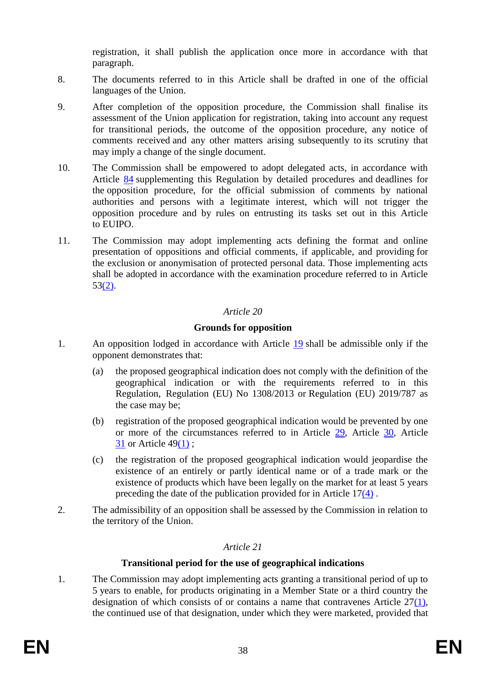registration, it shall publish the application once more in accordance with that paragraph.

- 8. The documents referred to in this Article shall be drafted in one of the official languages of the Union.
- 9. After completion of the opposition procedure, the Commission shall finalise its assessment of the Union application for registration, taking into account any request for transitional periods, the outcome of the opposition procedure, any notice of comments received and any other matters arising subsequently to its scrutiny that may imply a change of the single document.
- 10. The Commission shall be empowered to adopt delegated acts, in accordance with Article [84](#page-74-0) supplementing this Regulation by detailed procedures and deadlines for the opposition procedure, for the official submission of comments by national authorities and persons with a legitimate interest, which will not trigger the opposition procedure and by rules on entrusting its tasks set out in this Article to EUIPO.
- 11. The Commission may adopt implementing acts defining the format and online presentation of oppositions and official comments, if applicable, and providing for the exclusion or anonymisation of protected personal data. Those implementing acts shall be adopted in accordance with the examination procedure referred to in Article 5[3\(2\).](#page-59-0)

## *Article 20*

## **Grounds for opposition**

- <span id="page-38-1"></span>1. An opposition lodged in accordance with Article [19](#page-37-2) shall be admissible only if the opponent demonstrates that:
	- (a) the proposed geographical indication does not comply with the definition of the geographical indication or with the requirements referred to in this Regulation, Regulation (EU) No 1308/2013 or Regulation (EU) 2019/787 as the case may be;
	- (b) registration of the proposed geographical indication would be prevented by one or more of the circumstances referred to in Article [29,](#page-45-0) Article [30,](#page-45-1) Article [31](#page-46-0) or Article 4[9\(1\)](#page-56-0) ;
	- (c) the registration of the proposed geographical indication would jeopardise the existence of an entirely or partly identical name or of a trade mark or the existence of products which have been legally on the market for at least 5 years preceding the date of the publication provided for in Article 1[7\(4\)](#page-36-1) .
- 2. The admissibility of an opposition shall be assessed by the Commission in relation to the territory of the Union.

## *Article 21*

#### **Transitional period for the use of geographical indications**

<span id="page-38-0"></span>1. The Commission may adopt implementing acts granting a transitional period of up to 5 years to enable, for products originating in a Member State or a third country the designation of which consists of or contains a name that contravenes Article  $27(1)$ , the continued use of that designation, under which they were marketed, provided that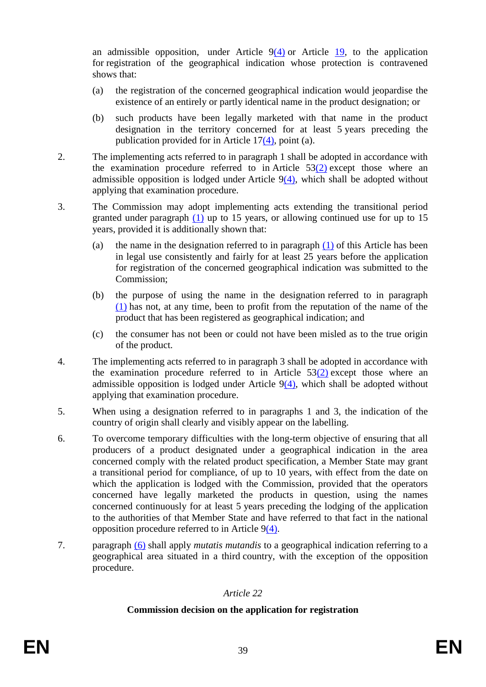an admissible opposition, under Article  $9(4)$  or Article [19,](#page-37-2) to the application for registration of the geographical indication whose protection is contravened shows that:

- (a) the registration of the concerned geographical indication would jeopardise the existence of an entirely or partly identical name in the product designation; or
- (b) such products have been legally marketed with that name in the product designation in the territory concerned for at least 5 years preceding the publication provided for in Article 1[7\(4\),](#page-36-1) point (a).
- 2. The implementing acts referred to in paragraph 1 shall be adopted in accordance with the examination procedure referred to in Article  $53(2)$  $53(2)$  except those where an admissible opposition is lodged under Article  $9(4)$ , which shall be adopted without applying that examination procedure.
- 3. The Commission may adopt implementing acts extending the transitional period granted under paragraph  $(1)$  up to 15 years, or allowing continued use for up to 15 years, provided it is additionally shown that:
	- (a) the name in the designation referred to in paragraph [\(1\)](#page-38-0) of this Article has been in legal use consistently and fairly for at least 25 years before the application for registration of the concerned geographical indication was submitted to the Commission;
	- (b) the purpose of using the name in the designation referred to in paragraph [\(1\)](#page-38-0) has not, at any time, been to profit from the reputation of the name of the product that has been registered as geographical indication; and
	- (c) the consumer has not been or could not have been misled as to the true origin of the product.
- 4. The implementing acts referred to in paragraph 3 shall be adopted in accordance with the examination procedure referred to in Article  $53(2)$  $53(2)$  except those where an admissible opposition is lodged under Article  $9(4)$ , which shall be adopted without applying that examination procedure.
- 5. When using a designation referred to in paragraphs 1 and 3, the indication of the country of origin shall clearly and visibly appear on the labelling.
- <span id="page-39-0"></span>6. To overcome temporary difficulties with the long-term objective of ensuring that all producers of a product designated under a geographical indication in the area concerned comply with the related product specification, a Member State may grant a transitional period for compliance, of up to 10 years, with effect from the date on which the application is lodged with the Commission, provided that the operators concerned have legally marketed the products in question, using the names concerned continuously for at least 5 years preceding the lodging of the application to the authorities of that Member State and have referred to that fact in the national opposition procedure referred to in Article [9\(4\).](#page-32-1)
- <span id="page-39-1"></span>7. paragraph [\(6\)](#page-39-0) shall apply *mutatis mutandis* to a geographical indication referring to a geographical area situated in a third country, with the exception of the opposition procedure.

## *Article 22*

## **Commission decision on the application for registration**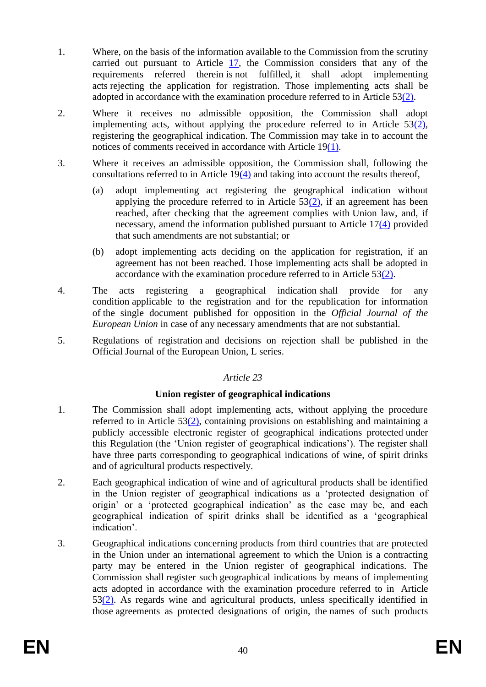- 1. Where, on the basis of the information available to the Commission from the scrutiny carried out pursuant to Article [17,](#page-36-2) the Commission considers that any of the requirements referred therein is not fulfilled, it shall adopt implementing acts rejecting the application for registration. Those implementing acts shall be adopted in accordance with the examination procedure referred to in Article 5[3\(2\).](#page-59-0)
- 2. Where it receives no admissible opposition, the Commission shall adopt implementing acts, without applying the procedure referred to in Article  $53(2)$ , registering the geographical indication. The Commission may take in to account the notices of comments received in accordance with Article 1[9\(1\).](#page-37-0)
- 3. Where it receives an admissible opposition, the Commission shall, following the consultations referred to in Article 1[9\(4\)](#page-37-1) and taking into account the results thereof,
	- (a) adopt implementing act registering the geographical indication without applying the procedure referred to in Article  $53(2)$ , if an agreement has been reached, after checking that the agreement complies with Union law, and, if necessary, amend the information published pursuant to Article 1[7\(4\)](#page-36-1) provided that such amendments are not substantial; or
	- (b) adopt implementing acts deciding on the application for registration, if an agreement has not been reached. Those implementing acts shall be adopted in accordance with the examination procedure referred to in Article 5[3\(2\).](#page-59-0)
- 4. The acts registering a geographical indication shall provide for any condition applicable to the registration and for the republication for information of the single document published for opposition in the *Official Journal of the European Union* in case of any necessary amendments that are not substantial.
- 5. Regulations of registration and decisions on rejection shall be published in the Official Journal of the European Union, L series.

## **Union register of geographical indications**

- 1. The Commission shall adopt implementing acts, without applying the procedure referred to in Article 5[3\(2\),](#page-59-0) containing provisions on establishing and maintaining a publicly accessible electronic register of geographical indications protected under this Regulation (the 'Union register of geographical indications'). The register shall have three parts corresponding to geographical indications of wine, of spirit drinks and of agricultural products respectively.
- 2. Each geographical indication of wine and of agricultural products shall be identified in the Union register of geographical indications as a 'protected designation of origin' or a 'protected geographical indication' as the case may be, and each geographical indication of spirit drinks shall be identified as a 'geographical indication'.
- <span id="page-40-0"></span>3. Geographical indications concerning products from third countries that are protected in the Union under an international agreement to which the Union is a contracting party may be entered in the Union register of geographical indications. The Commission shall register such geographical indications by means of implementing acts adopted in accordance with the examination procedure referred to in Article 5[3\(2\).](#page-59-0) As regards wine and agricultural products, unless specifically identified in those agreements as protected designations of origin, the names of such products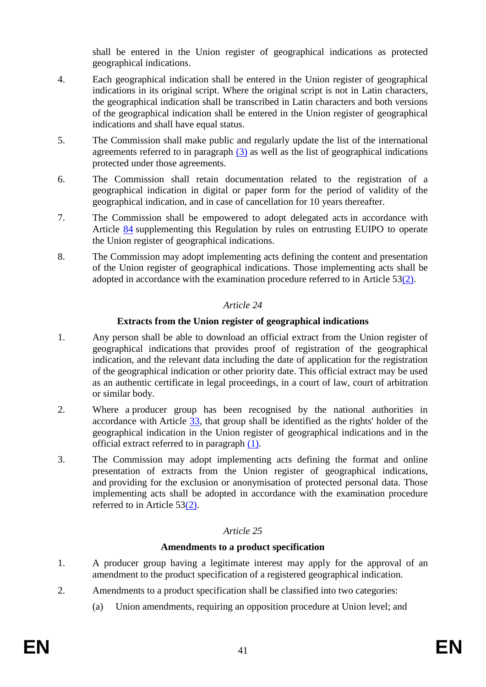shall be entered in the Union register of geographical indications as protected geographical indications.

- 4. Each geographical indication shall be entered in the Union register of geographical indications in its original script. Where the original script is not in Latin characters, the geographical indication shall be transcribed in Latin characters and both versions of the geographical indication shall be entered in the Union register of geographical indications and shall have equal status.
- 5. The Commission shall make public and regularly update the list of the international agreements referred to in paragraph  $(3)$  as well as the list of geographical indications protected under those agreements.
- 6. The Commission shall retain documentation related to the registration of a geographical indication in digital or paper form for the period of validity of the geographical indication, and in case of cancellation for 10 years thereafter.
- 7. The Commission shall be empowered to adopt delegated acts in accordance with Article [84](#page-74-0) supplementing this Regulation by rules on entrusting EUIPO to operate the Union register of geographical indications.
- 8. The Commission may adopt implementing acts defining the content and presentation of the Union register of geographical indications. Those implementing acts shall be adopted in accordance with the examination procedure referred to in Article 5[3\(2\).](#page-59-0)

## *Article 24*

## **Extracts from the Union register of geographical indications**

- <span id="page-41-0"></span>1. Any person shall be able to download an official extract from the Union register of geographical indications that provides proof of registration of the geographical indication, and the relevant data including the date of application for the registration of the geographical indication or other priority date. This official extract may be used as an authentic certificate in legal proceedings, in a court of law, court of arbitration or similar body.
- 2. Where a producer group has been recognised by the national authorities in accordance with Article [33,](#page-47-0) that group shall be identified as the rights' holder of the geographical indication in the Union register of geographical indications and in the official extract referred to in paragraph [\(1\).](#page-41-0)
- 3. The Commission may adopt implementing acts defining the format and online presentation of extracts from the Union register of geographical indications, and providing for the exclusion or anonymisation of protected personal data. Those implementing acts shall be adopted in accordance with the examination procedure referred to in Article 5[3\(2\).](#page-59-0)

## *Article 25*

## **Amendments to a product specification**

- 1. A producer group having a legitimate interest may apply for the approval of an amendment to the product specification of a registered geographical indication.
- 2. Amendments to a product specification shall be classified into two categories:
	- (a) Union amendments, requiring an opposition procedure at Union level; and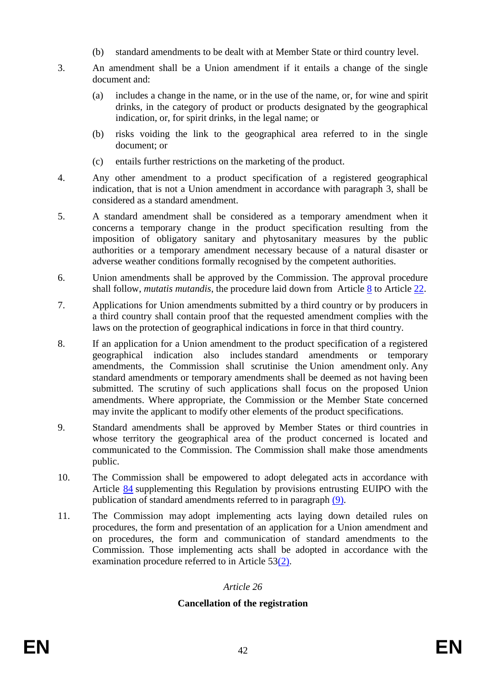- (b) standard amendments to be dealt with at Member State or third country level.
- 3. An amendment shall be a Union amendment if it entails a change of the single document and:
	- (a) includes a change in the name, or in the use of the name, or, for wine and spirit drinks, in the category of product or products designated by the geographical indication, or, for spirit drinks, in the legal name; or
	- (b) risks voiding the link to the geographical area referred to in the single document; or
	- (c) entails further restrictions on the marketing of the product.
- 4. Any other amendment to a product specification of a registered geographical indication, that is not a Union amendment in accordance with paragraph 3, shall be considered as a standard amendment.
- 5. A standard amendment shall be considered as a temporary amendment when it concerns a temporary change in the product specification resulting from the imposition of obligatory sanitary and phytosanitary measures by the public authorities or a temporary amendment necessary because of a natural disaster or adverse weather conditions formally recognised by the competent authorities.
- 6. Union amendments shall be approved by the Commission. The approval procedure shall follow, *mutatis mutandis*, the procedure laid down from Article  $8$  to Article  $22$ .
- 7. Applications for Union amendments submitted by a third country or by producers in a third country shall contain proof that the requested amendment complies with the laws on the protection of geographical indications in force in that third country.
- 8. If an application for a Union amendment to the product specification of a registered geographical indication also includes standard amendments or temporary amendments, the Commission shall scrutinise the Union amendment only. Any standard amendments or temporary amendments shall be deemed as not having been submitted. The scrutiny of such applications shall focus on the proposed Union amendments. Where appropriate, the Commission or the Member State concerned may invite the applicant to modify other elements of the product specifications.
- <span id="page-42-0"></span>9. Standard amendments shall be approved by Member States or third countries in whose territory the geographical area of the product concerned is located and communicated to the Commission. The Commission shall make those amendments public.
- 10. The Commission shall be empowered to adopt delegated acts in accordance with Article [84](#page-74-0) supplementing this Regulation by provisions entrusting EUIPO with the publication of standard amendments referred to in paragraph [\(9\).](#page-42-0)
- 11. The Commission may adopt implementing acts laying down detailed rules on procedures, the form and presentation of an application for a Union amendment and on procedures, the form and communication of standard amendments to the Commission. Those implementing acts shall be adopted in accordance with the examination procedure referred to in Article 5[3\(2\).](#page-59-0)

## **Cancellation of the registration**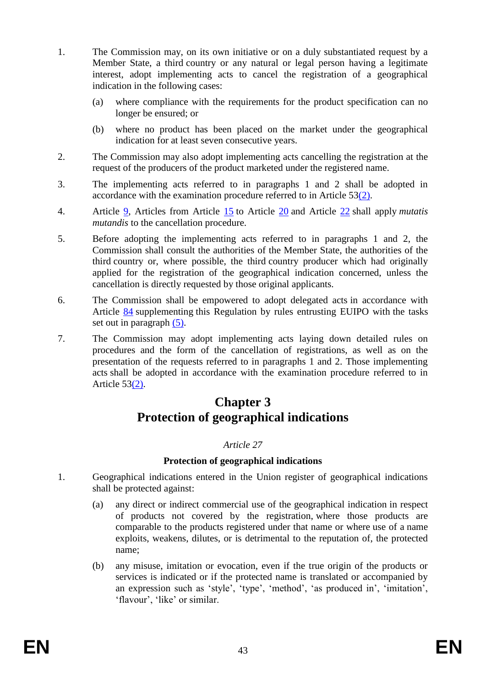- 1. The Commission may, on its own initiative or on a duly substantiated request by a Member State, a third country or any natural or legal person having a legitimate interest, adopt implementing acts to cancel the registration of a geographical indication in the following cases:
	- (a) where compliance with the requirements for the product specification can no longer be ensured; or
	- (b) where no product has been placed on the market under the geographical indication for at least seven consecutive years.
- 2. The Commission may also adopt implementing acts cancelling the registration at the request of the producers of the product marketed under the registered name.
- 3. The implementing acts referred to in paragraphs 1 and 2 shall be adopted in accordance with the examination procedure referred to in Article 5[3\(2\).](#page-59-0)
- 4. Article [9,](#page-32-2) Articles from Article [15](#page-34-0) to Article [20](#page-38-1) and Article [22](#page-39-1) shall apply *mutatis mutandis* to the cancellation procedure.
- <span id="page-43-1"></span>5. Before adopting the implementing acts referred to in paragraphs 1 and 2, the Commission shall consult the authorities of the Member State, the authorities of the third country or, where possible, the third country producer which had originally applied for the registration of the geographical indication concerned, unless the cancellation is directly requested by those original applicants.
- 6. The Commission shall be empowered to adopt delegated acts in accordance with Article [84](#page-74-0) supplementing this Regulation by rules entrusting EUIPO with the tasks set out in paragraph [\(5\).](#page-43-1)
- 7. The Commission may adopt implementing acts laying down detailed rules on procedures and the form of the cancellation of registrations, as well as on the presentation of the requests referred to in paragraphs 1 and 2. Those implementing acts shall be adopted in accordance with the examination procedure referred to in Article 5[3\(2\).](#page-59-0)

# **Chapter 3 Protection of geographical indications**

## *Article 27*

#### **Protection of geographical indications**

- <span id="page-43-4"></span><span id="page-43-3"></span><span id="page-43-2"></span><span id="page-43-0"></span>1. Geographical indications entered in the Union register of geographical indications shall be protected against:
	- (a) any direct or indirect commercial use of the geographical indication in respect of products not covered by the registration, where those products are comparable to the products registered under that name or where use of a name exploits, weakens, dilutes, or is detrimental to the reputation of, the protected name;
	- (b) any misuse, imitation or evocation, even if the true origin of the products or services is indicated or if the protected name is translated or accompanied by an expression such as 'style', 'type', 'method', 'as produced in', 'imitation', 'flavour', 'like' or similar.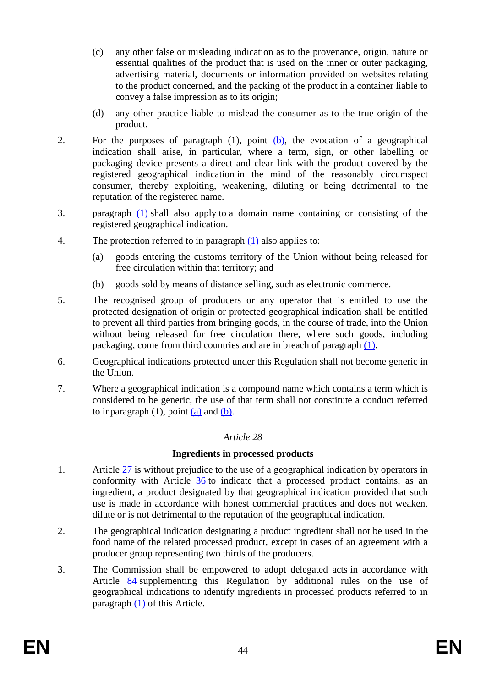- (c) any other false or misleading indication as to the provenance, origin, nature or essential qualities of the product that is used on the inner or outer packaging, advertising material, documents or information provided on websites relating to the product concerned, and the packing of the product in a container liable to convey a false impression as to its origin;
- (d) any other practice liable to mislead the consumer as to the true origin of the product.
- 2. For the purposes of paragraph (1), point [\(b\),](#page-43-2) the evocation of a geographical indication shall arise, in particular, where a term, sign, or other labelling or packaging device presents a direct and clear link with the product covered by the registered geographical indication in the mind of the reasonably circumspect consumer, thereby exploiting, weakening, diluting or being detrimental to the reputation of the registered name.
- 3. paragraph [\(1\)](#page-43-0) shall also apply to a domain name containing or consisting of the registered geographical indication.
- 4. The protection referred to in paragraph [\(1\)](#page-43-0) also applies to:
	- (a) goods entering the customs territory of the Union without being released for free circulation within that territory; and
	- (b) goods sold by means of distance selling, such as electronic commerce.
- 5. The recognised group of producers or any operator that is entitled to use the protected designation of origin or protected geographical indication shall be entitled to prevent all third parties from bringing goods, in the course of trade, into the Union without being released for free circulation there, where such goods, including packaging, come from third countries and are in breach of paragraph [\(1\).](#page-43-0)
- 6. Geographical indications protected under this Regulation shall not become generic in the Union.
- <span id="page-44-1"></span>7. Where a geographical indication is a compound name which contains a term which is considered to be generic, the use of that term shall not constitute a conduct referred to inparagraph  $(1)$ , point  $(a)$  and  $(b)$ .

#### **Ingredients in processed products**

- <span id="page-44-0"></span>1. Article [27](#page-43-4) is without prejudice to the use of a geographical indication by operators in conformity with Article [36](#page-49-0) to indicate that a processed product contains, as an ingredient, a product designated by that geographical indication provided that such use is made in accordance with honest commercial practices and does not weaken, dilute or is not detrimental to the reputation of the geographical indication.
- 2. The geographical indication designating a product ingredient shall not be used in the food name of the related processed product, except in cases of an agreement with a producer group representing two thirds of the producers.
- 3. The Commission shall be empowered to adopt delegated acts in accordance with Article [84](#page-74-0) supplementing this Regulation by additional rules on the use of geographical indications to identify ingredients in processed products referred to in paragraph [\(1\)](#page-44-0) of this Article.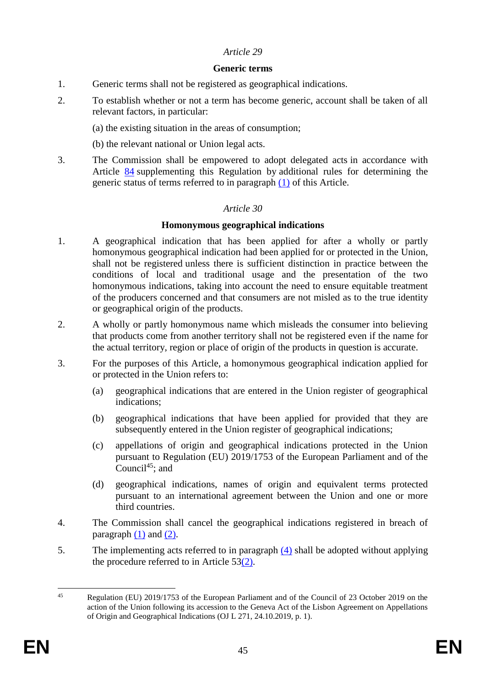#### **Generic terms**

- <span id="page-45-2"></span><span id="page-45-0"></span>1. Generic terms shall not be registered as geographical indications.
- 2. To establish whether or not a term has become generic, account shall be taken of all relevant factors, in particular:
	- (a) the existing situation in the areas of consumption;
	- (b) the relevant national or Union legal acts.
- <span id="page-45-1"></span>3. The Commission shall be empowered to adopt delegated acts in accordance with Article [84](#page-74-0) supplementing this Regulation by additional rules for determining the generic status of terms referred to in paragraph [\(1\)](#page-45-2) of this Article.

## *Article 30*

#### **Homonymous geographical indications**

- <span id="page-45-3"></span>1. A geographical indication that has been applied for after a wholly or partly homonymous geographical indication had been applied for or protected in the Union, shall not be registered unless there is sufficient distinction in practice between the conditions of local and traditional usage and the presentation of the two homonymous indications, taking into account the need to ensure equitable treatment of the producers concerned and that consumers are not misled as to the true identity or geographical origin of the products.
- <span id="page-45-4"></span>2. A wholly or partly homonymous name which misleads the consumer into believing that products come from another territory shall not be registered even if the name for the actual territory, region or place of origin of the products in question is accurate.
- 3. For the purposes of this Article, a homonymous geographical indication applied for or protected in the Union refers to:
	- (a) geographical indications that are entered in the Union register of geographical indications;
	- (b) geographical indications that have been applied for provided that they are subsequently entered in the Union register of geographical indications;
	- (c) appellations of origin and geographical indications protected in the Union pursuant to Regulation (EU) 2019/1753 of the European Parliament and of the Council<sup>45</sup>; and
	- (d) geographical indications, names of origin and equivalent terms protected pursuant to an international agreement between the Union and one or more third countries.
- <span id="page-45-5"></span>4. The Commission shall cancel the geographical indications registered in breach of paragraph  $(1)$  and  $(2)$ .
- 5. The implementing acts referred to in paragraph [\(4\)](#page-45-5) shall be adopted without applying the procedure referred to in Article 5[3\(2\).](#page-59-0)

 $45$ Regulation (EU) 2019/1753 of the European Parliament and of the Council of 23 October 2019 on the action of the Union following its accession to the Geneva Act of the Lisbon Agreement on Appellations of Origin and Geographical Indications (OJ L 271, 24.10.2019, p. 1).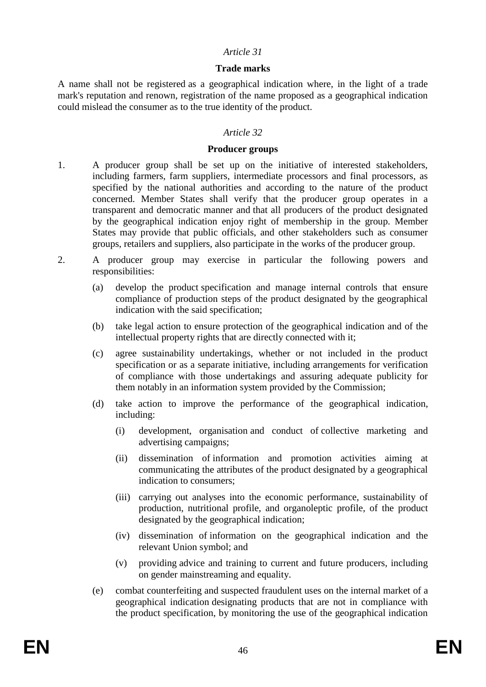#### **Trade marks**

<span id="page-46-0"></span>A name shall not be registered as a geographical indication where, in the light of a trade mark's reputation and renown, registration of the name proposed as a geographical indication could mislead the consumer as to the true identity of the product.

#### *Article 32*

#### **Producer groups**

- 1. A producer group shall be set up on the initiative of interested stakeholders, including farmers, farm suppliers, intermediate processors and final processors, as specified by the national authorities and according to the nature of the product concerned. Member States shall verify that the producer group operates in a transparent and democratic manner and that all producers of the product designated by the geographical indication enjoy right of membership in the group. Member States may provide that public officials, and other stakeholders such as consumer groups, retailers and suppliers, also participate in the works of the producer group.
- <span id="page-46-1"></span>2. A producer group may exercise in particular the following powers and responsibilities:
	- (a) develop the product specification and manage internal controls that ensure compliance of production steps of the product designated by the geographical indication with the said specification;
	- (b) take legal action to ensure protection of the geographical indication and of the intellectual property rights that are directly connected with it;
	- (c) agree sustainability undertakings, whether or not included in the product specification or as a separate initiative, including arrangements for verification of compliance with those undertakings and assuring adequate publicity for them notably in an information system provided by the Commission;
	- (d) take action to improve the performance of the geographical indication, including:
		- (i) development, organisation and conduct of collective marketing and advertising campaigns;
		- (ii) dissemination of information and promotion activities aiming at communicating the attributes of the product designated by a geographical indication to consumers;
		- (iii) carrying out analyses into the economic performance, sustainability of production, nutritional profile, and organoleptic profile, of the product designated by the geographical indication;
		- (iv) dissemination of information on the geographical indication and the relevant Union symbol; and
		- (v) providing advice and training to current and future producers, including on gender mainstreaming and equality.
	- (e) combat counterfeiting and suspected fraudulent uses on the internal market of a geographical indication designating products that are not in compliance with the product specification, by monitoring the use of the geographical indication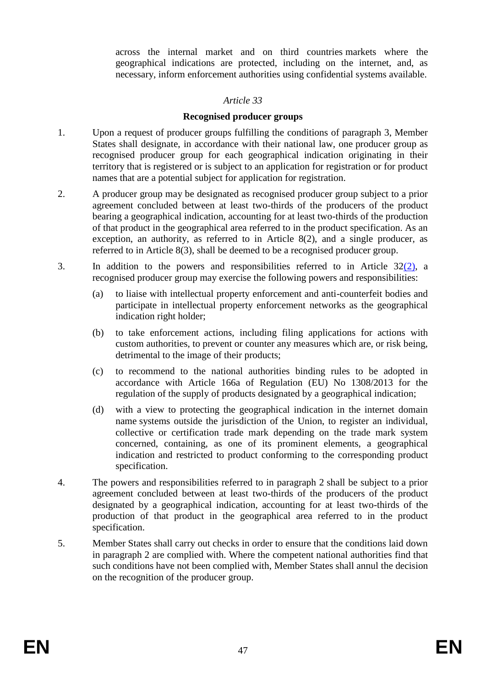across the internal market and on third countries markets where the geographical indications are protected, including on the internet, and, as necessary, inform enforcement authorities using confidential systems available.

## *Article 33*

## **Recognised producer groups**

- <span id="page-47-0"></span>1. Upon a request of producer groups fulfilling the conditions of paragraph 3, Member States shall designate, in accordance with their national law, one producer group as recognised producer group for each geographical indication originating in their territory that is registered or is subject to an application for registration or for product names that are a potential subject for application for registration.
- 2. A producer group may be designated as recognised producer group subject to a prior agreement concluded between at least two-thirds of the producers of the product bearing a geographical indication, accounting for at least two-thirds of the production of that product in the geographical area referred to in the product specification. As an exception, an authority, as referred to in Article 8(2), and a single producer, as referred to in Article 8(3), shall be deemed to be a recognised producer group.
- 3. In addition to the powers and responsibilities referred to in Article 3[2\(2\),](#page-46-1) a recognised producer group may exercise the following powers and responsibilities:
	- (a) to liaise with intellectual property enforcement and anti-counterfeit bodies and participate in intellectual property enforcement networks as the geographical indication right holder;
	- (b) to take enforcement actions, including filing applications for actions with custom authorities, to prevent or counter any measures which are, or risk being, detrimental to the image of their products;
	- (c) to recommend to the national authorities binding rules to be adopted in accordance with Article 166a of Regulation (EU) No 1308/2013 for the regulation of the supply of products designated by a geographical indication;
	- (d) with a view to protecting the geographical indication in the internet domain name systems outside the jurisdiction of the Union, to register an individual, collective or certification trade mark depending on the trade mark system concerned, containing, as one of its prominent elements, a geographical indication and restricted to product conforming to the corresponding product specification.
- 4. The powers and responsibilities referred to in paragraph 2 shall be subject to a prior agreement concluded between at least two-thirds of the producers of the product designated by a geographical indication, accounting for at least two-thirds of the production of that product in the geographical area referred to in the product specification.
- 5. Member States shall carry out checks in order to ensure that the conditions laid down in paragraph 2 are complied with. Where the competent national authorities find that such conditions have not been complied with, Member States shall annul the decision on the recognition of the producer group.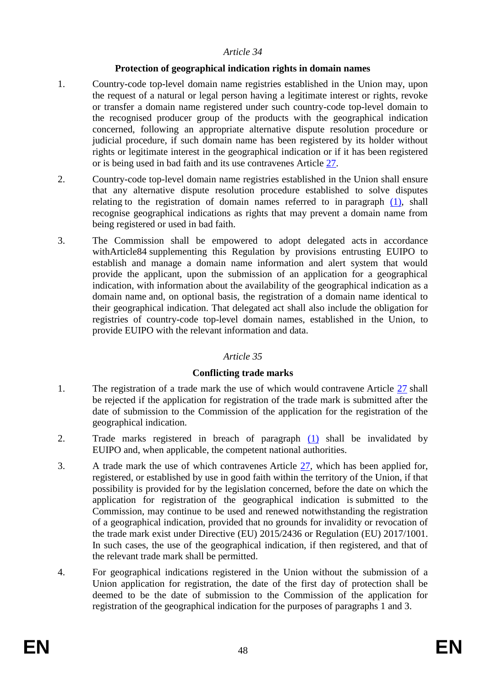#### **Protection of geographical indication rights in domain names**

- <span id="page-48-0"></span>1. Country-code top-level domain name registries established in the Union may, upon the request of a natural or legal person having a legitimate interest or rights, revoke or transfer a domain name registered under such country-code top-level domain to the recognised producer group of the products with the geographical indication concerned, following an appropriate alternative dispute resolution procedure or judicial procedure, if such domain name has been registered by its holder without rights or legitimate interest in the geographical indication or if it has been registered or is being used in bad faith and its use contravenes Article [27.](#page-43-4)
- 2. Country-code top-level domain name registries established in the Union shall ensure that any alternative dispute resolution procedure established to solve disputes relating to the registration of domain names referred to in paragraph [\(1\),](#page-48-0) shall recognise geographical indications as rights that may prevent a domain name from being registered or used in bad faith.
- 3. The Commission shall be empowered to adopt delegated acts in accordance withArticle84 supplementing this Regulation by provisions entrusting EUIPO to establish and manage a domain name information and alert system that would provide the applicant, upon the submission of an application for a geographical indication, with information about the availability of the geographical indication as a domain name and, on optional basis, the registration of a domain name identical to their geographical indication. That delegated act shall also include the obligation for registries of country-code top-level domain names, established in the Union, to provide EUIPO with the relevant information and data.

#### *Article 35*

## **Conflicting trade marks**

- <span id="page-48-1"></span>1. The registration of a trade mark the use of which would contravene Article [27](#page-43-4) shall be rejected if the application for registration of the trade mark is submitted after the date of submission to the Commission of the application for the registration of the geographical indication.
- 2. Trade marks registered in breach of paragraph [\(1\)](#page-48-1) shall be invalidated by EUIPO and, when applicable, the competent national authorities.
- 3. A trade mark the use of which contravenes Article [27,](#page-43-4) which has been applied for, registered, or established by use in good faith within the territory of the Union, if that possibility is provided for by the legislation concerned, before the date on which the application for registration of the geographical indication is submitted to the Commission, may continue to be used and renewed notwithstanding the registration of a geographical indication, provided that no grounds for invalidity or revocation of the trade mark exist under Directive (EU) 2015/2436 or Regulation (EU) 2017/1001. In such cases, the use of the geographical indication, if then registered, and that of the relevant trade mark shall be permitted.
- 4. For geographical indications registered in the Union without the submission of a Union application for registration, the date of the first day of protection shall be deemed to be the date of submission to the Commission of the application for registration of the geographical indication for the purposes of paragraphs 1 and 3.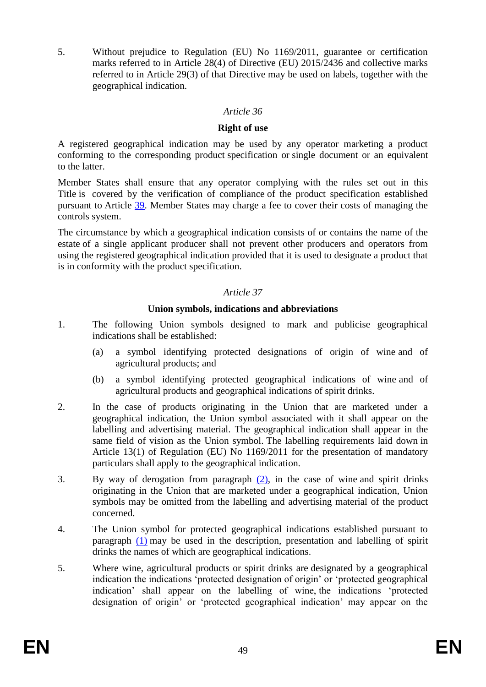5. Without prejudice to Regulation (EU) No 1169/2011, guarantee or certification marks referred to in Article 28(4) of Directive (EU) 2015/2436 and collective marks referred to in Article 29(3) of that Directive may be used on labels, together with the geographical indication.

#### *Article 36*

#### **Right of use**

<span id="page-49-0"></span>A registered geographical indication may be used by any operator marketing a product conforming to the corresponding product specification or single document or an equivalent to the latter.

Member States shall ensure that any operator complying with the rules set out in this Title is covered by the verification of compliance of the product specification established pursuant to Article [39.](#page-51-0) Member States may charge a fee to cover their costs of managing the controls system.

The circumstance by which a geographical indication consists of or contains the name of the estate of a single applicant producer shall not prevent other producers and operators from using the registered geographical indication provided that it is used to designate a product that is in conformity with the product specification.

## *Article 37*

## **Union symbols, indications and abbreviations**

- <span id="page-49-2"></span>1. The following Union symbols designed to mark and publicise geographical indications shall be established:
	- (a) a symbol identifying protected designations of origin of wine and of agricultural products; and
	- (b) a symbol identifying protected geographical indications of wine and of agricultural products and geographical indications of spirit drinks.
- <span id="page-49-1"></span>2. In the case of products originating in the Union that are marketed under a geographical indication, the Union symbol associated with it shall appear on the labelling and advertising material. The geographical indication shall appear in the same field of vision as the Union symbol. The labelling requirements laid down in Article 13(1) of Regulation (EU) No 1169/2011 for the presentation of mandatory particulars shall apply to the geographical indication.
- 3. By way of derogation from paragraph [\(2\),](#page-49-1) in the case of wine and spirit drinks originating in the Union that are marketed under a geographical indication, Union symbols may be omitted from the labelling and advertising material of the product concerned.
- <span id="page-49-3"></span>4. The Union symbol for protected geographical indications established pursuant to paragraph [\(1\)](#page-49-2) may be used in the description, presentation and labelling of spirit drinks the names of which are geographical indications.
- 5. Where wine, agricultural products or spirit drinks are designated by a geographical indication the indications 'protected designation of origin' or 'protected geographical indication' shall appear on the labelling of wine, the indications 'protected designation of origin' or 'protected geographical indication' may appear on the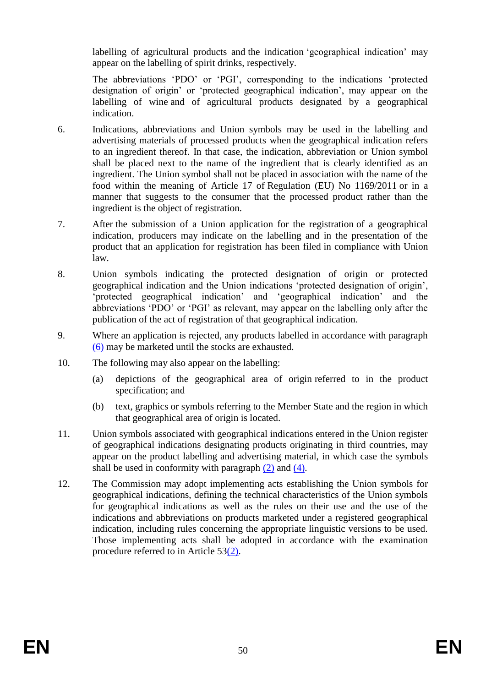labelling of agricultural products and the indication 'geographical indication' may appear on the labelling of spirit drinks, respectively.

The abbreviations 'PDO' or 'PGI', corresponding to the indications 'protected designation of origin' or 'protected geographical indication', may appear on the labelling of wine and of agricultural products designated by a geographical indication.

- <span id="page-50-0"></span>6. Indications, abbreviations and Union symbols may be used in the labelling and advertising materials of processed products when the geographical indication refers to an ingredient thereof. In that case, the indication, abbreviation or Union symbol shall be placed next to the name of the ingredient that is clearly identified as an ingredient. The Union symbol shall not be placed in association with the name of the food within the meaning of Article 17 of Regulation (EU) No 1169/2011 or in a manner that suggests to the consumer that the processed product rather than the ingredient is the object of registration.
- 7. After the submission of a Union application for the registration of a geographical indication, producers may indicate on the labelling and in the presentation of the product that an application for registration has been filed in compliance with Union law.
- 8. Union symbols indicating the protected designation of origin or protected geographical indication and the Union indications 'protected designation of origin', 'protected geographical indication' and 'geographical indication' and the abbreviations 'PDO' or 'PGI' as relevant, may appear on the labelling only after the publication of the act of registration of that geographical indication.
- 9. Where an application is rejected, any products labelled in accordance with paragraph [\(6\)](#page-50-0) may be marketed until the stocks are exhausted.
- 10. The following may also appear on the labelling:
	- (a) depictions of the geographical area of origin referred to in the product specification; and
	- (b) text, graphics or symbols referring to the Member State and the region in which that geographical area of origin is located.
- 11. Union symbols associated with geographical indications entered in the Union register of geographical indications designating products originating in third countries, may appear on the product labelling and advertising material, in which case the symbols shall be used in conformity with paragraph  $(2)$  and  $(4)$ .
- 12. The Commission may adopt implementing acts establishing the Union symbols for geographical indications, defining the technical characteristics of the Union symbols for geographical indications as well as the rules on their use and the use of the indications and abbreviations on products marketed under a registered geographical indication, including rules concerning the appropriate linguistic versions to be used. Those implementing acts shall be adopted in accordance with the examination procedure referred to in Article 5[3\(2\).](#page-59-0)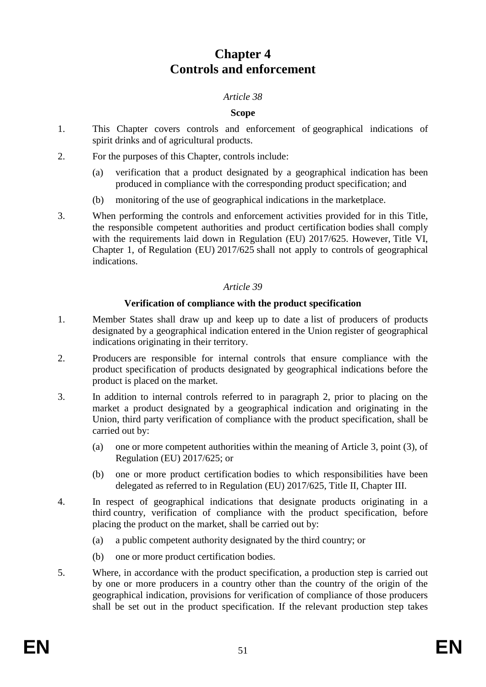# **Chapter 4 Controls and enforcement**

## *Article 38*

## **Scope**

- 1. This Chapter covers controls and enforcement of geographical indications of spirit drinks and of agricultural products.
- 2. For the purposes of this Chapter, controls include:
	- (a) verification that a product designated by a geographical indication has been produced in compliance with the corresponding product specification; and
	- (b) monitoring of the use of geographical indications in the marketplace.
- 3. When performing the controls and enforcement activities provided for in this Title, the responsible competent authorities and product certification bodies shall comply with the requirements laid down in Regulation (EU) 2017/625. However, Title VI, Chapter 1, of Regulation (EU) 2017/625 shall not apply to controls of geographical indications.

## *Article 39*

## **Verification of compliance with the product specification**

- <span id="page-51-0"></span>1. Member States shall draw up and keep up to date a list of producers of products designated by a geographical indication entered in the Union register of geographical indications originating in their territory.
- 2. Producers are responsible for internal controls that ensure compliance with the product specification of products designated by geographical indications before the product is placed on the market.
- <span id="page-51-1"></span>3. In addition to internal controls referred to in paragraph 2, prior to placing on the market a product designated by a geographical indication and originating in the Union, third party verification of compliance with the product specification, shall be carried out by:
	- (a) one or more competent authorities within the meaning of Article 3, point (3), of Regulation (EU) 2017/625; or
	- (b) one or more product certification bodies to which responsibilities have been delegated as referred to in Regulation (EU) 2017/625, Title II, Chapter III.
- <span id="page-51-3"></span><span id="page-51-2"></span>4. In respect of geographical indications that designate products originating in a third country, verification of compliance with the product specification, before placing the product on the market, shall be carried out by:
	- (a) a public competent authority designated by the third country; or
	- (b) one or more product certification bodies.
- <span id="page-51-4"></span>5. Where, in accordance with the product specification, a production step is carried out by one or more producers in a country other than the country of the origin of the geographical indication, provisions for verification of compliance of those producers shall be set out in the product specification. If the relevant production step takes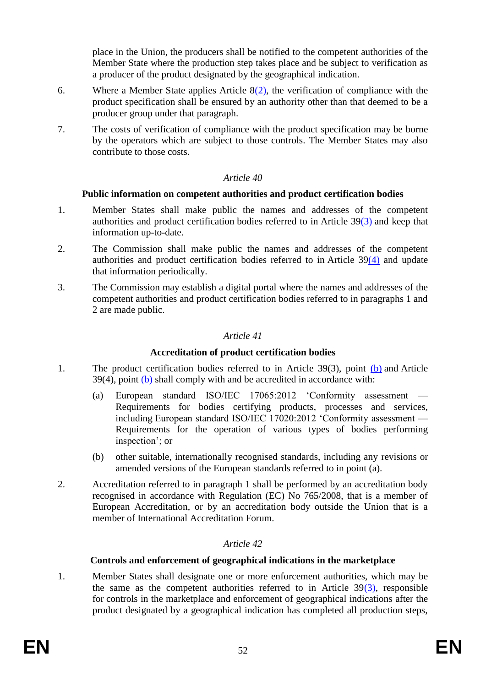place in the Union, the producers shall be notified to the competent authorities of the Member State where the production step takes place and be subject to verification as a producer of the product designated by the geographical indication.

- 6. Where a Member State applies Article [8\(2\),](#page-31-1) the verification of compliance with the product specification shall be ensured by an authority other than that deemed to be a producer group under that paragraph.
- 7. The costs of verification of compliance with the product specification may be borne by the operators which are subject to those controls. The Member States may also contribute to those costs.

## *Article 40*

## **Public information on competent authorities and product certification bodies**

- 1. Member States shall make public the names and addresses of the competent authorities and product certification bodies referred to in Article 3[9\(3\)](#page-51-1) and keep that information up-to-date.
- 2. The Commission shall make public the names and addresses of the competent authorities and product certification bodies referred to in Article 3[9\(4\)](#page-51-2) and update that information periodically.
- 3. The Commission may establish a digital portal where the names and addresses of the competent authorities and product certification bodies referred to in paragraphs 1 and 2 are made public.

## *Article 41*

#### **Accreditation of product certification bodies**

- 1. The product certification bodies referred to in Article 39(3), point [\(b\)](#page-51-3) and Article 39(4), point [\(b\)](#page-51-4) shall comply with and be accredited in accordance with:
	- (a) European standard ISO/IEC 17065:2012 'Conformity assessment Requirements for bodies certifying products, processes and services, including European standard ISO/IEC 17020:2012 'Conformity assessment — Requirements for the operation of various types of bodies performing inspection'; or
	- (b) other suitable, internationally recognised standards, including any revisions or amended versions of the European standards referred to in point (a).
- 2. Accreditation referred to in paragraph 1 shall be performed by an accreditation body recognised in accordance with Regulation (EC) No 765/2008, that is a member of European Accreditation, or by an accreditation body outside the Union that is a member of International Accreditation Forum.

## *Article 42*

## **Controls and enforcement of geographical indications in the marketplace**

1. Member States shall designate one or more enforcement authorities, which may be the same as the competent authorities referred to in Article  $39(3)$ , responsible for controls in the marketplace and enforcement of geographical indications after the product designated by a geographical indication has completed all production steps,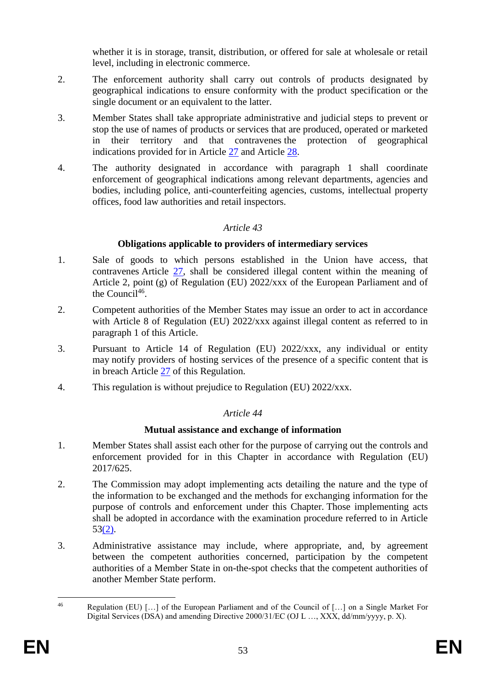whether it is in storage, transit, distribution, or offered for sale at wholesale or retail level, including in electronic commerce.

- 2. The enforcement authority shall carry out controls of products designated by geographical indications to ensure conformity with the product specification or the single document or an equivalent to the latter.
- 3. Member States shall take appropriate administrative and judicial steps to prevent or stop the use of names of products or services that are produced, operated or marketed in their territory and that contravenes the protection of geographical indications provided for in Article [27](#page-43-4) and Article [28.](#page-44-1)
- 4. The authority designated in accordance with paragraph 1 shall coordinate enforcement of geographical indications among relevant departments, agencies and bodies, including police, anti-counterfeiting agencies, customs, intellectual property offices, food law authorities and retail inspectors.

## *Article 43*

## **Obligations applicable to providers of intermediary services**

- 1. Sale of goods to which persons established in the Union have access, that contravenes Article [27,](#page-43-4) shall be considered illegal content within the meaning of Article 2, point (g) of Regulation (EU) 2022/xxx of the European Parliament and of the Council<sup>46</sup>.
- 2. Competent authorities of the Member States may issue an order to act in accordance with Article 8 of Regulation (EU) 2022/xxx against illegal content as referred to in paragraph 1 of this Article.
- 3. Pursuant to Article 14 of Regulation (EU) 2022/xxx, any individual or entity may notify providers of hosting services of the presence of a specific content that is in breach Article [27](#page-43-4) of this Regulation.
- 4. This regulation is without prejudice to Regulation (EU) 2022/xxx.

## *Article 44*

## **Mutual assistance and exchange of information**

- 1. Member States shall assist each other for the purpose of carrying out the controls and enforcement provided for in this Chapter in accordance with Regulation (EU) 2017/625.
- 2. The Commission may adopt implementing acts detailing the nature and the type of the information to be exchanged and the methods for exchanging information for the purpose of controls and enforcement under this Chapter. Those implementing acts shall be adopted in accordance with the examination procedure referred to in Article  $53(2)$ .
- 3. Administrative assistance may include, where appropriate, and, by agreement between the competent authorities concerned, participation by the competent authorities of a Member State in on-the-spot checks that the competent authorities of another Member State perform.

 $46$ Regulation (EU) [...] of the European Parliament and of the Council of [...] on a Single Market For Digital Services (DSA) and amending Directive 2000/31/EC (OJ L …, XXX, dd/mm/yyyy, p. X).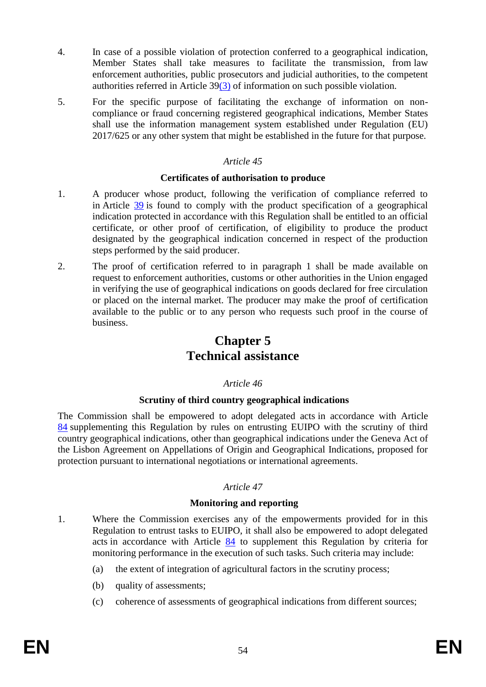- 4. In case of a possible violation of protection conferred to a geographical indication, Member States shall take measures to facilitate the transmission, from law enforcement authorities, public prosecutors and judicial authorities, to the competent authorities referred in Article 3[9\(3\)](#page-51-1) of information on such possible violation.
- 5. For the specific purpose of facilitating the exchange of information on noncompliance or fraud concerning registered geographical indications, Member States shall use the information management system established under Regulation (EU) 2017/625 or any other system that might be established in the future for that purpose.

#### **Certificates of authorisation to produce**

- 1. A producer whose product, following the verification of compliance referred to in Article [39](#page-51-0) is found to comply with the product specification of a geographical indication protected in accordance with this Regulation shall be entitled to an official certificate, or other proof of certification, of eligibility to produce the product designated by the geographical indication concerned in respect of the production steps performed by the said producer.
- 2. The proof of certification referred to in paragraph 1 shall be made available on request to enforcement authorities, customs or other authorities in the Union engaged in verifying the use of geographical indications on goods declared for free circulation or placed on the internal market. The producer may make the proof of certification available to the public or to any person who requests such proof in the course of business.

# **Chapter 5 Technical assistance**

#### *Article 46*

#### **Scrutiny of third country geographical indications**

The Commission shall be empowered to adopt delegated acts in accordance with Article [84](#page-74-0) supplementing this Regulation by rules on entrusting EUIPO with the scrutiny of third country geographical indications, other than geographical indications under the Geneva Act of the Lisbon Agreement on Appellations of Origin and Geographical Indications, proposed for protection pursuant to international negotiations or international agreements.

#### *Article 47*

#### **Monitoring and reporting**

- 1. Where the Commission exercises any of the empowerments provided for in this Regulation to entrust tasks to EUIPO, it shall also be empowered to adopt delegated acts in accordance with Article [84](#page-74-0) to supplement this Regulation by criteria for monitoring performance in the execution of such tasks. Such criteria may include:
	- (a) the extent of integration of agricultural factors in the scrutiny process;
	- (b) quality of assessments;
	- (c) coherence of assessments of geographical indications from different sources;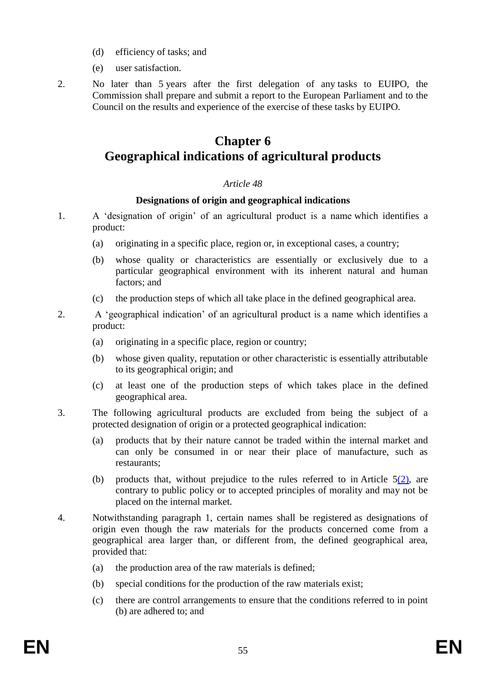- (d) efficiency of tasks; and
- (e) user satisfaction.
- 2. No later than 5 years after the first delegation of any tasks to EUIPO, the Commission shall prepare and submit a report to the European Parliament and to the Council on the results and experience of the exercise of these tasks by EUIPO.

# **Chapter 6 Geographical indications of agricultural products**

#### *Article 48*

#### **Designations of origin and geographical indications**

- <span id="page-55-5"></span><span id="page-55-1"></span>1. A 'designation of origin' of an agricultural product is a name which identifies a product:
	- (a) originating in a specific place, region or, in exceptional cases, a country;
	- (b) whose quality or characteristics are essentially or exclusively due to a particular geographical environment with its inherent natural and human factors; and
	- (c) the production steps of which all take place in the defined geographical area.
- <span id="page-55-3"></span><span id="page-55-0"></span>2. A 'geographical indication' of an agricultural product is a name which identifies a product:
	- (a) originating in a specific place, region or country;
	- (b) whose given quality, reputation or other characteristic is essentially attributable to its geographical origin; and
	- (c) at least one of the production steps of which takes place in the defined geographical area.
- <span id="page-55-4"></span>3. The following agricultural products are excluded from being the subject of a protected designation of origin or a protected geographical indication:
	- (a) products that by their nature cannot be traded within the internal market and can only be consumed in or near their place of manufacture, such as restaurants;
	- (b) products that, without prejudice to the rules referred to in Article  $5(2)$ , are contrary to public policy or to accepted principles of morality and may not be placed on the internal market.
- <span id="page-55-2"></span>4. Notwithstanding paragraph 1, certain names shall be registered as designations of origin even though the raw materials for the products concerned come from a geographical area larger than, or different from, the defined geographical area, provided that:
	- (a) the production area of the raw materials is defined;
	- (b) special conditions for the production of the raw materials exist;
	- (c) there are control arrangements to ensure that the conditions referred to in point (b) are adhered to; and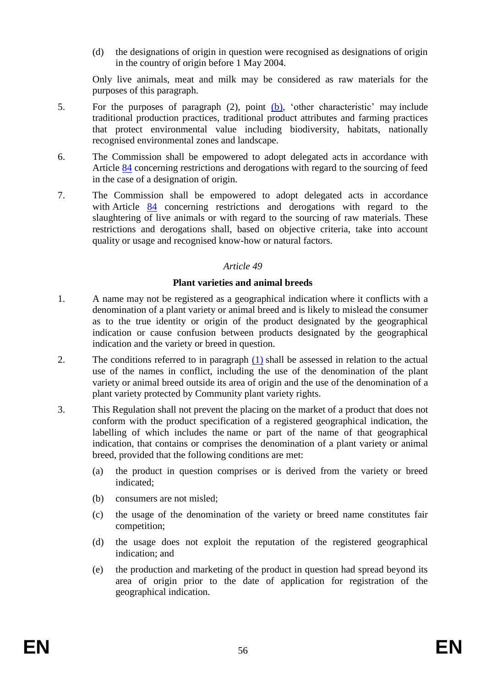(d) the designations of origin in question were recognised as designations of origin in the country of origin before 1 May 2004.

Only live animals, meat and milk may be considered as raw materials for the purposes of this paragraph.

- 5. For the purposes of paragraph (2), point [\(b\),](#page-55-0) 'other characteristic' may include traditional production practices, traditional product attributes and farming practices that protect environmental value including biodiversity, habitats, nationally recognised environmental zones and landscape.
- 6. The Commission shall be empowered to adopt delegated acts in accordance with Article [84](#page-74-0) concerning restrictions and derogations with regard to the sourcing of feed in the case of a designation of origin.
- 7. The Commission shall be empowered to adopt delegated acts in accordance with Article [84](#page-74-0) concerning restrictions and derogations with regard to the slaughtering of live animals or with regard to the sourcing of raw materials. These restrictions and derogations shall, based on objective criteria, take into account quality or usage and recognised know-how or natural factors.

## *Article 49*

## **Plant varieties and animal breeds**

- <span id="page-56-0"></span>1. A name may not be registered as a geographical indication where it conflicts with a denomination of a plant variety or animal breed and is likely to mislead the consumer as to the true identity or origin of the product designated by the geographical indication or cause confusion between products designated by the geographical indication and the variety or breed in question.
- 2. The conditions referred to in paragraph [\(1\)](#page-56-0) shall be assessed in relation to the actual use of the names in conflict, including the use of the denomination of the plant variety or animal breed outside its area of origin and the use of the denomination of a plant variety protected by Community plant variety rights.
- 3. This Regulation shall not prevent the placing on the market of a product that does not conform with the product specification of a registered geographical indication, the labelling of which includes the name or part of the name of that geographical indication, that contains or comprises the denomination of a plant variety or animal breed, provided that the following conditions are met:
	- (a) the product in question comprises or is derived from the variety or breed indicated;
	- (b) consumers are not misled;
	- (c) the usage of the denomination of the variety or breed name constitutes fair competition;
	- (d) the usage does not exploit the reputation of the registered geographical indication; and
	- (e) the production and marketing of the product in question had spread beyond its area of origin prior to the date of application for registration of the geographical indication.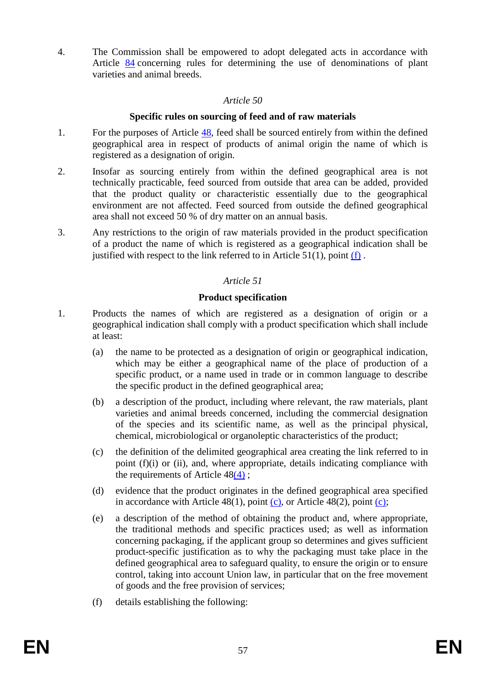4. The Commission shall be empowered to adopt delegated acts in accordance with Article [84](#page-74-0) concerning rules for determining the use of denominations of plant varieties and animal breeds.

#### *Article 50*

#### **Specific rules on sourcing of feed and of raw materials**

- 1. For the purposes of Article [48,](#page-55-1) feed shall be sourced entirely from within the defined geographical area in respect of products of animal origin the name of which is registered as a designation of origin.
- 2. Insofar as sourcing entirely from within the defined geographical area is not technically practicable, feed sourced from outside that area can be added, provided that the product quality or characteristic essentially due to the geographical environment are not affected. Feed sourced from outside the defined geographical area shall not exceed 50 % of dry matter on an annual basis.
- 3. Any restrictions to the origin of raw materials provided in the product specification of a product the name of which is registered as a geographical indication shall be justified with respect to the link referred to in Article  $51(1)$ , point  $(f)$ .

## *Article 51*

## **Product specification**

- <span id="page-57-0"></span>1. Products the names of which are registered as a designation of origin or a geographical indication shall comply with a product specification which shall include at least:
	- (a) the name to be protected as a designation of origin or geographical indication, which may be either a geographical name of the place of production of a specific product, or a name used in trade or in common language to describe the specific product in the defined geographical area;
	- (b) a description of the product, including where relevant, the raw materials, plant varieties and animal breeds concerned, including the commercial designation of the species and its scientific name, as well as the principal physical, chemical, microbiological or organoleptic characteristics of the product;
	- (c) the definition of the delimited geographical area creating the link referred to in point (f)(i) or (ii), and, where appropriate, details indicating compliance with the requirements of Article  $48(4)$  $48(4)$ ;
	- (d) evidence that the product originates in the defined geographical area specified in accordance with Article  $48(1)$ , point [\(c\),](#page-55-3) or Article  $48(2)$ , point [\(c\);](#page-55-4)
	- (e) a description of the method of obtaining the product and, where appropriate, the traditional methods and specific practices used; as well as information concerning packaging, if the applicant group so determines and gives sufficient product-specific justification as to why the packaging must take place in the defined geographical area to safeguard quality, to ensure the origin or to ensure control, taking into account Union law, in particular that on the free movement of goods and the free provision of services;
	- (f) details establishing the following: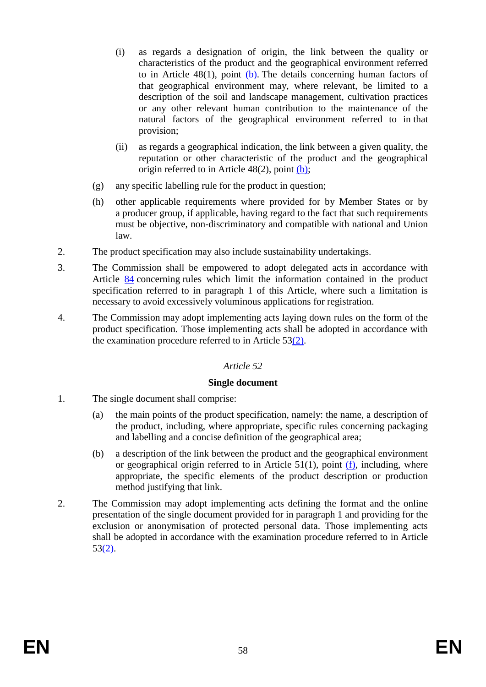- (i) as regards a designation of origin, the link between the quality or characteristics of the product and the geographical environment referred to in Article  $48(1)$ , point [\(b\).](#page-55-5) The details concerning human factors of that geographical environment may, where relevant, be limited to a description of the soil and landscape management, cultivation practices or any other relevant human contribution to the maintenance of the natural factors of the geographical environment referred to in that provision;
- (ii) as regards a geographical indication, the link between a given quality, the reputation or other characteristic of the product and the geographical origin referred to in Article 48(2), point [\(b\);](#page-55-0)
- (g) any specific labelling rule for the product in question;
- (h) other applicable requirements where provided for by Member States or by a producer group, if applicable, having regard to the fact that such requirements must be objective, non-discriminatory and compatible with national and Union law.
- 2. The product specification may also include sustainability undertakings.
- 3. The Commission shall be empowered to adopt delegated acts in accordance with Article [84](#page-74-0) concerning rules which limit the information contained in the product specification referred to in paragraph 1 of this Article, where such a limitation is necessary to avoid excessively voluminous applications for registration.
- 4. The Commission may adopt implementing acts laying down rules on the form of the product specification. Those implementing acts shall be adopted in accordance with the examination procedure referred to in Article 5[3\(2\).](#page-59-0)

#### **Single document**

- 1. The single document shall comprise:
	- (a) the main points of the product specification, namely: the name, a description of the product, including, where appropriate, specific rules concerning packaging and labelling and a concise definition of the geographical area;
	- (b) a description of the link between the product and the geographical environment or geographical origin referred to in Article 51(1), point [\(f\),](#page-57-0) including, where appropriate, the specific elements of the product description or production method justifying that link.
- 2. The Commission may adopt implementing acts defining the format and the online presentation of the single document provided for in paragraph 1 and providing for the exclusion or anonymisation of protected personal data. Those implementing acts shall be adopted in accordance with the examination procedure referred to in Article 5[3\(2\).](#page-59-0)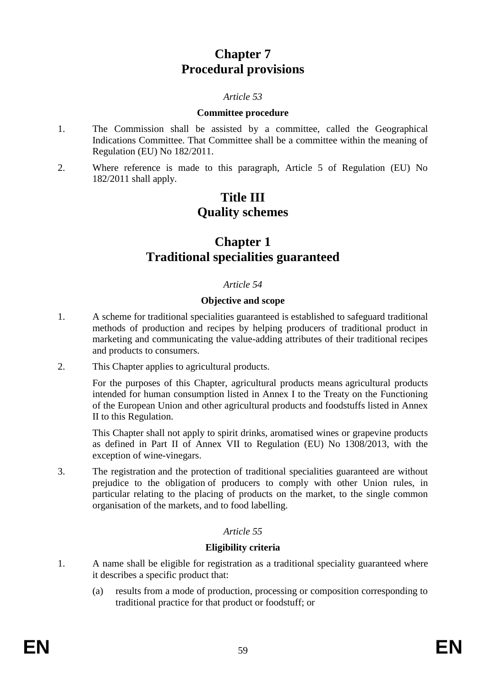# **Chapter 7 Procedural provisions**

## *Article 53*

#### **Committee procedure**

- 1. The Commission shall be assisted by a committee, called the Geographical Indications Committee. That Committee shall be a committee within the meaning of Regulation (EU) No 182/2011.
- <span id="page-59-0"></span>2. Where reference is made to this paragraph, Article 5 of Regulation (EU) No 182/2011 shall apply.

# **Title III Quality schemes**

# **Chapter 1 Traditional specialities guaranteed**

#### *Article 54*

#### **Objective and scope**

- 1. A scheme for traditional specialities guaranteed is established to safeguard traditional methods of production and recipes by helping producers of traditional product in marketing and communicating the value-adding attributes of their traditional recipes and products to consumers.
- 2. This Chapter applies to agricultural products.

For the purposes of this Chapter, agricultural products means agricultural products intended for human consumption listed in Annex I to the Treaty on the Functioning of the European Union and other agricultural products and foodstuffs listed in Annex II to this Regulation.

This Chapter shall not apply to spirit drinks, aromatised wines or grapevine products as defined in Part II of Annex VII to Regulation (EU) No 1308/2013, with the exception of wine-vinegars.

3. The registration and the protection of traditional specialities guaranteed are without prejudice to the obligation of producers to comply with other Union rules, in particular relating to the placing of products on the market, to the single common organisation of the markets, and to food labelling.

#### *Article 55*

#### **Eligibility criteria**

- <span id="page-59-1"></span>1. A name shall be eligible for registration as a traditional speciality guaranteed where it describes a specific product that:
	- (a) results from a mode of production, processing or composition corresponding to traditional practice for that product or foodstuff; or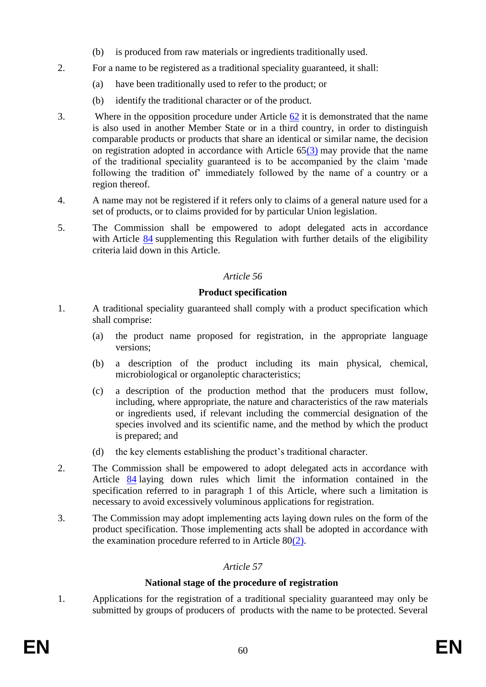- (b) is produced from raw materials or ingredients traditionally used.
- 2. For a name to be registered as a traditional speciality guaranteed, it shall:
	- (a) have been traditionally used to refer to the product; or
	- (b) identify the traditional character or of the product.
- 3. Where in the opposition procedure under Article [62](#page-63-0) it is demonstrated that the name is also used in another Member State or in a third country, in order to distinguish comparable products or products that share an identical or similar name, the decision on registration adopted in accordance with Article  $65(3)$  $65(3)$  may provide that the name of the traditional speciality guaranteed is to be accompanied by the claim 'made following the tradition of' immediately followed by the name of a country or a region thereof.
- 4. A name may not be registered if it refers only to claims of a general nature used for a set of products, or to claims provided for by particular Union legislation.
- <span id="page-60-0"></span>5. The Commission shall be empowered to adopt delegated acts in accordance with Article [84](#page-74-0) supplementing this Regulation with further details of the eligibility criteria laid down in this Article.

## **Product specification**

- 1. A traditional speciality guaranteed shall comply with a product specification which shall comprise:
	- (a) the product name proposed for registration, in the appropriate language versions;
	- (b) a description of the product including its main physical, chemical, microbiological or organoleptic characteristics;
	- (c) a description of the production method that the producers must follow, including, where appropriate, the nature and characteristics of the raw materials or ingredients used, if relevant including the commercial designation of the species involved and its scientific name, and the method by which the product is prepared; and
	- (d) the key elements establishing the product's traditional character.
- 2. The Commission shall be empowered to adopt delegated acts in accordance with Article [84](#page-74-0) laying down rules which limit the information contained in the specification referred to in paragraph 1 of this Article, where such a limitation is necessary to avoid excessively voluminous applications for registration.
- <span id="page-60-2"></span>3. The Commission may adopt implementing acts laying down rules on the form of the product specification. Those implementing acts shall be adopted in accordance with the examination procedure referred to in Article 8[0\(2\).](#page-71-0)

## *Article 57*

## **National stage of the procedure of registration**

<span id="page-60-1"></span>1. Applications for the registration of a traditional speciality guaranteed may only be submitted by groups of producers of products with the name to be protected. Several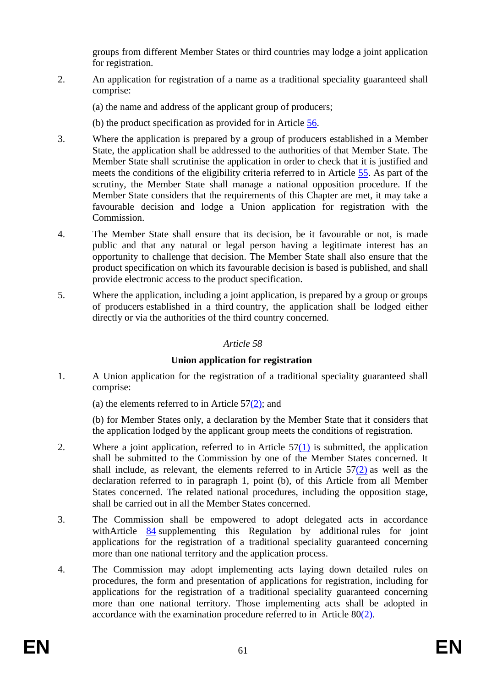groups from different Member States or third countries may lodge a joint application for registration.

- <span id="page-61-0"></span>2. An application for registration of a name as a traditional speciality guaranteed shall comprise:
	- (a) the name and address of the applicant group of producers;
	- (b) the product specification as provided for in Article [56.](#page-60-0)
- <span id="page-61-2"></span>3. Where the application is prepared by a group of producers established in a Member State, the application shall be addressed to the authorities of that Member State. The Member State shall scrutinise the application in order to check that it is justified and meets the conditions of the eligibility criteria referred to in Article [55.](#page-59-1) As part of the scrutiny, the Member State shall manage a national opposition procedure. If the Member State considers that the requirements of this Chapter are met, it may take a favourable decision and lodge a Union application for registration with the Commission.
- 4. The Member State shall ensure that its decision, be it favourable or not, is made public and that any natural or legal person having a legitimate interest has an opportunity to challenge that decision. The Member State shall also ensure that the product specification on which its favourable decision is based is published, and shall provide electronic access to the product specification.
- <span id="page-61-1"></span>5. Where the application, including a joint application, is prepared by a group or groups of producers established in a third country, the application shall be lodged either directly or via the authorities of the third country concerned.

## *Article 58*

## **Union application for registration**

- 1. A Union application for the registration of a traditional speciality guaranteed shall comprise:
	- (a) the elements referred to in Article  $57(2)$ ; and

(b) for Member States only, a declaration by the Member State that it considers that the application lodged by the applicant group meets the conditions of registration.

- 2. Where a joint application, referred to in Article  $57(1)$  $57(1)$  is submitted, the application shall be submitted to the Commission by one of the Member States concerned. It shall include, as relevant, the elements referred to in Article 5[7\(2\)](#page-61-0) as well as the declaration referred to in paragraph 1, point (b), of this Article from all Member States concerned. The related national procedures, including the opposition stage, shall be carried out in all the Member States concerned.
- <span id="page-61-3"></span>3. The Commission shall be empowered to adopt delegated acts in accordance withArticle [84](#page-74-0) supplementing this Regulation by additional rules for joint applications for the registration of a traditional speciality guaranteed concerning more than one national territory and the application process.
- 4. The Commission may adopt implementing acts laying down detailed rules on procedures, the form and presentation of applications for registration, including for applications for the registration of a traditional speciality guaranteed concerning more than one national territory. Those implementing acts shall be adopted in accordance with the examination procedure referred to in Article 8[0\(2\).](#page-71-0)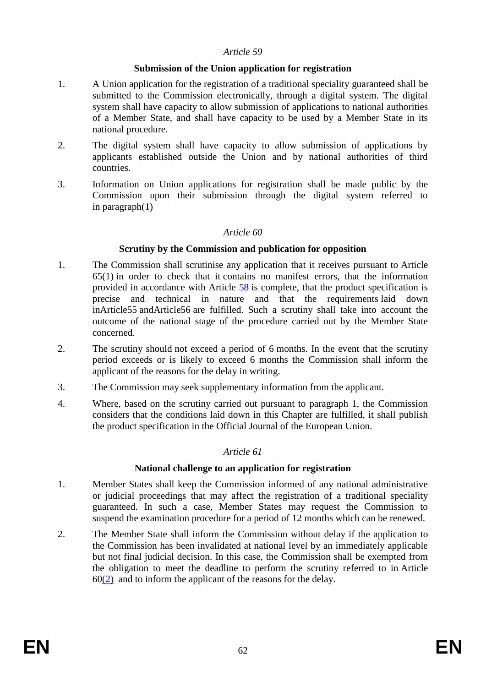#### **Submission of the Union application for registration**

- 1. A Union application for the registration of a traditional speciality guaranteed shall be submitted to the Commission electronically, through a digital system. The digital system shall have capacity to allow submission of applications to national authorities of a Member State, and shall have capacity to be used by a Member State in its national procedure.
- 2. The digital system shall have capacity to allow submission of applications by applicants established outside the Union and by national authorities of third countries.
- 3. Information on Union applications for registration shall be made public by the Commission upon their submission through the digital system referred to in paragraph(1)

#### *Article 60*

## **Scrutiny by the Commission and publication for opposition**

- 1. The Commission shall scrutinise any application that it receives pursuant to Article 65(1) in order to check that it contains no manifest errors, that the information provided in accordance with Article [58](#page-61-1) is complete, that the product specification is precise and technical in nature and that the requirements laid down inArticle55 andArticle56 are fulfilled. Such a scrutiny shall take into account the outcome of the national stage of the procedure carried out by the Member State concerned.
- <span id="page-62-0"></span>2. The scrutiny should not exceed a period of 6 months. In the event that the scrutiny period exceeds or is likely to exceed 6 months the Commission shall inform the applicant of the reasons for the delay in writing.
- 3. The Commission may seek supplementary information from the applicant.
- <span id="page-62-1"></span>4. Where, based on the scrutiny carried out pursuant to paragraph 1, the Commission considers that the conditions laid down in this Chapter are fulfilled, it shall publish the product specification in the Official Journal of the European Union.

#### *Article 61*

#### **National challenge to an application for registration**

- 1. Member States shall keep the Commission informed of any national administrative or judicial proceedings that may affect the registration of a traditional speciality guaranteed. In such a case, Member States may request the Commission to suspend the examination procedure for a period of 12 months which can be renewed.
- 2. The Member State shall inform the Commission without delay if the application to the Commission has been invalidated at national level by an immediately applicable but not final judicial decision. In this case, the Commission shall be exempted from the obligation to meet the deadline to perform the scrutiny referred to in Article  $60(2)$  and to inform the applicant of the reasons for the delay.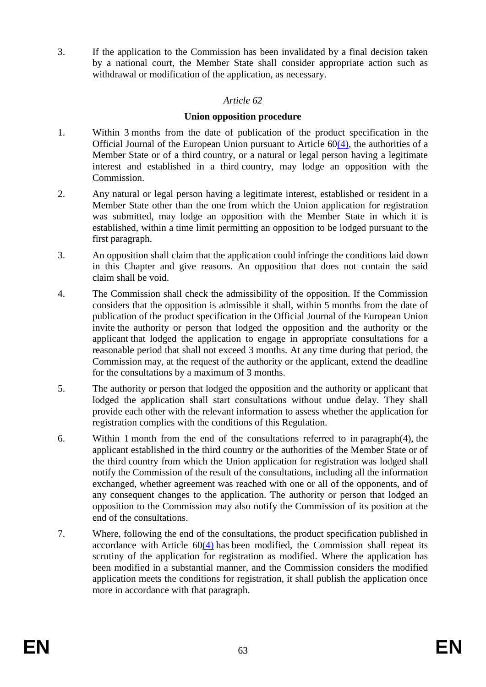<span id="page-63-0"></span>3. If the application to the Commission has been invalidated by a final decision taken by a national court, the Member State shall consider appropriate action such as withdrawal or modification of the application, as necessary.

## *Article 62*

## **Union opposition procedure**

- 1. Within 3 months from the date of publication of the product specification in the Official Journal of the European Union pursuant to Article  $60(4)$ , the authorities of a Member State or of a third country, or a natural or legal person having a legitimate interest and established in a third country, may lodge an opposition with the Commission.
- 2. Any natural or legal person having a legitimate interest, established or resident in a Member State other than the one from which the Union application for registration was submitted, may lodge an opposition with the Member State in which it is established, within a time limit permitting an opposition to be lodged pursuant to the first paragraph.
- 3. An opposition shall claim that the application could infringe the conditions laid down in this Chapter and give reasons. An opposition that does not contain the said claim shall be void.
- 4. The Commission shall check the admissibility of the opposition. If the Commission considers that the opposition is admissible it shall, within 5 months from the date of publication of the product specification in the Official Journal of the European Union invite the authority or person that lodged the opposition and the authority or the applicant that lodged the application to engage in appropriate consultations for a reasonable period that shall not exceed 3 months. At any time during that period, the Commission may, at the request of the authority or the applicant, extend the deadline for the consultations by a maximum of 3 months.
- 5. The authority or person that lodged the opposition and the authority or applicant that lodged the application shall start consultations without undue delay. They shall provide each other with the relevant information to assess whether the application for registration complies with the conditions of this Regulation.
- 6. Within 1 month from the end of the consultations referred to in paragraph(4), the applicant established in the third country or the authorities of the Member State or of the third country from which the Union application for registration was lodged shall notify the Commission of the result of the consultations, including all the information exchanged, whether agreement was reached with one or all of the opponents, and of any consequent changes to the application. The authority or person that lodged an opposition to the Commission may also notify the Commission of its position at the end of the consultations.
- 7. Where, following the end of the consultations, the product specification published in accordance with Article  $60(4)$  $60(4)$  has been modified, the Commission shall repeat its scrutiny of the application for registration as modified. Where the application has been modified in a substantial manner, and the Commission considers the modified application meets the conditions for registration, it shall publish the application once more in accordance with that paragraph.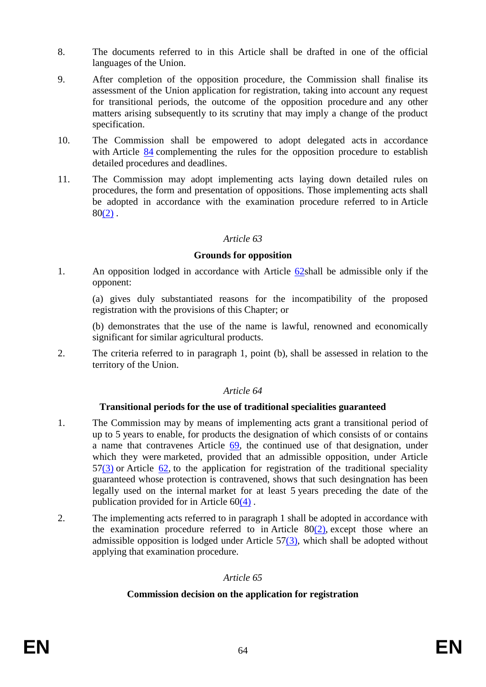- 8. The documents referred to in this Article shall be drafted in one of the official languages of the Union.
- 9. After completion of the opposition procedure, the Commission shall finalise its assessment of the Union application for registration, taking into account any request for transitional periods, the outcome of the opposition procedure and any other matters arising subsequently to its scrutiny that may imply a change of the product specification.
- 10. The Commission shall be empowered to adopt delegated acts in accordance with Article [84](#page-74-0) complementing the rules for the opposition procedure to establish detailed procedures and deadlines.
- 11. The Commission may adopt implementing acts laying down detailed rules on procedures, the form and presentation of oppositions. Those implementing acts shall be adopted in accordance with the examination procedure referred to in Article  $80(2)$  $80(2)$ .

#### **Grounds for opposition**

<span id="page-64-1"></span>1. An opposition lodged in accordance with Article [62s](#page-63-0)hall be admissible only if the opponent:

(a) gives duly substantiated reasons for the incompatibility of the proposed registration with the provisions of this Chapter; or

(b) demonstrates that the use of the name is lawful, renowned and economically significant for similar agricultural products.

2. The criteria referred to in paragraph 1, point (b), shall be assessed in relation to the territory of the Union.

#### *Article 64*

#### **Transitional periods for the use of traditional specialities guaranteed**

- 1. The Commission may by means of implementing acts grant a transitional period of up to 5 years to enable, for products the designation of which consists of or contains a name that contravenes Article [69,](#page-66-0) the continued use of that designation, under which they were marketed, provided that an admissible opposition, under Article  $57(3)$  $57(3)$  or Article [62,](#page-63-0) to the application for registration of the traditional speciality guaranteed whose protection is contravened, shows that such desingnation has been legally used on the internal market for at least 5 years preceding the date of the publication provided for in Article 6[0\(4\)](#page-62-1) .
- <span id="page-64-0"></span>2. The implementing acts referred to in paragraph 1 shall be adopted in accordance with the examination procedure referred to in Article  $80(2)$ , except those where an admissible opposition is lodged under Article  $57(3)$ , which shall be adopted without applying that examination procedure.

## *Article 65*

#### **Commission decision on the application for registration**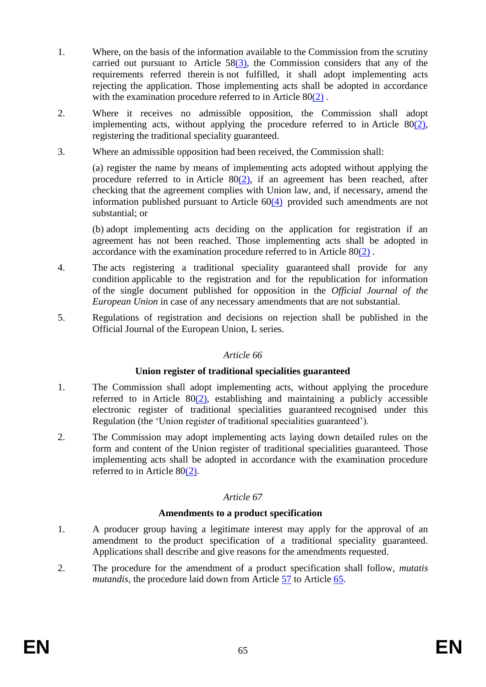- 1. Where, on the basis of the information available to the Commission from the scrutiny carried out pursuant to Article  $58(3)$ , the Commission considers that any of the requirements referred therein is not fulfilled, it shall adopt implementing acts rejecting the application. Those implementing acts shall be adopted in accordance with the examination procedure referred to in Article 8[0\(2\)](#page-71-0).
- 2. Where it receives no admissible opposition, the Commission shall adopt implementing acts, without applying the procedure referred to in Article  $80(2)$ , registering the traditional speciality guaranteed.
- <span id="page-65-0"></span>3. Where an admissible opposition had been received, the Commission shall:

(a) register the name by means of implementing acts adopted without applying the procedure referred to in Article  $80(2)$ , if an agreement has been reached, after checking that the agreement complies with Union law, and, if necessary, amend the information published pursuant to Article 6[0\(4\)](#page-62-1) provided such amendments are not substantial; or

(b) adopt implementing acts deciding on the application for registration if an agreement has not been reached. Those implementing acts shall be adopted in accordance with the examination procedure referred to in Article 8[0\(2\)](#page-71-0) .

- 4. The acts registering a traditional speciality guaranteed shall provide for any condition applicable to the registration and for the republication for information of the single document published for opposition in the *Official Journal of the European Union* in case of any necessary amendments that are not substantial.
- 5. Regulations of registration and decisions on rejection shall be published in the Official Journal of the European Union, L series.

## *Article 66*

#### **Union register of traditional specialities guaranteed**

- 1. The Commission shall adopt implementing acts, without applying the procedure referred to in Article  $80(2)$ , establishing and maintaining a publicly accessible electronic register of traditional specialities guaranteed recognised under this Regulation (the 'Union register of traditional specialities guaranteed').
- 2. The Commission may adopt implementing acts laying down detailed rules on the form and content of the Union register of traditional specialities guaranteed. Those implementing acts shall be adopted in accordance with the examination procedure referred to in Article 8[0\(2\).](#page-71-0)

## *Article 67*

#### **Amendments to a product specification**

- 1. A producer group having a legitimate interest may apply for the approval of an amendment to the product specification of a traditional speciality guaranteed. Applications shall describe and give reasons for the amendments requested.
- 2. The procedure for the amendment of a product specification shall follow, *mutatis mutandis*, the procedure laid down from Article [57](#page-60-2) to Article [65.](#page-64-0)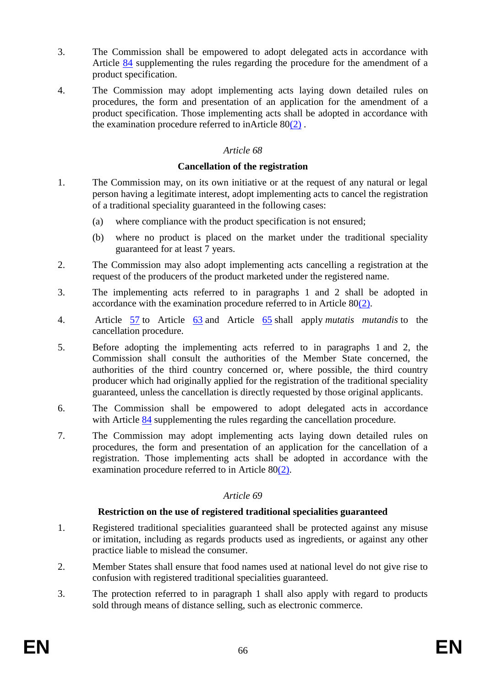- 3. The Commission shall be empowered to adopt delegated acts in accordance with Article [84](#page-74-0) supplementing the rules regarding the procedure for the amendment of a product specification.
- 4. The Commission may adopt implementing acts laying down detailed rules on procedures, the form and presentation of an application for the amendment of a product specification. Those implementing acts shall be adopted in accordance with the examination procedure referred to inArticle  $80(2)$  $80(2)$ .

#### **Cancellation of the registration**

- 1. The Commission may, on its own initiative or at the request of any natural or legal person having a legitimate interest, adopt implementing acts to cancel the registration of a traditional speciality guaranteed in the following cases:
	- (a) where compliance with the product specification is not ensured;
	- (b) where no product is placed on the market under the traditional speciality guaranteed for at least 7 years.
- 2. The Commission may also adopt implementing acts cancelling a registration at the request of the producers of the product marketed under the registered name.
- 3. The implementing acts referred to in paragraphs 1 and 2 shall be adopted in accordance with the examination procedure referred to in Article 8[0\(2\).](#page-71-0)
- 4. Article [57](#page-60-2) to Article [63](#page-64-1) and Article [65](#page-64-0) shall apply *mutatis mutandis* to the cancellation procedure.
- 5. Before adopting the implementing acts referred to in paragraphs 1 and 2, the Commission shall consult the authorities of the Member State concerned, the authorities of the third country concerned or, where possible, the third country producer which had originally applied for the registration of the traditional speciality guaranteed, unless the cancellation is directly requested by those original applicants.
- 6. The Commission shall be empowered to adopt delegated acts in accordance with Article [84](#page-74-0) supplementing the rules regarding the cancellation procedure.
- 7. The Commission may adopt implementing acts laying down detailed rules on procedures, the form and presentation of an application for the cancellation of a registration. Those implementing acts shall be adopted in accordance with the examination procedure referred to in Article 8[0\(2\).](#page-71-0)

#### *Article 69*

#### **Restriction on the use of registered traditional specialities guaranteed**

- <span id="page-66-0"></span>1. Registered traditional specialities guaranteed shall be protected against any misuse or imitation, including as regards products used as ingredients, or against any other practice liable to mislead the consumer.
- 2. Member States shall ensure that food names used at national level do not give rise to confusion with registered traditional specialities guaranteed.
- 3. The protection referred to in paragraph 1 shall also apply with regard to products sold through means of distance selling, such as electronic commerce.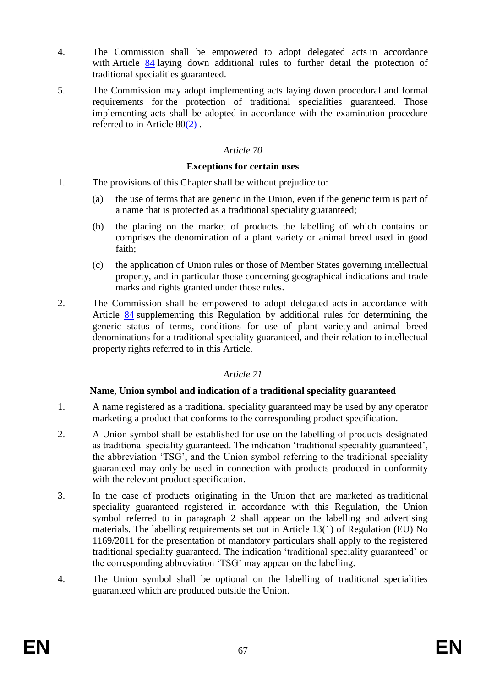- 4. The Commission shall be empowered to adopt delegated acts in accordance with Article [84](#page-74-0) laying down additional rules to further detail the protection of traditional specialities guaranteed.
- 5. The Commission may adopt implementing acts laying down procedural and formal requirements for the protection of traditional specialities guaranteed. Those implementing acts shall be adopted in accordance with the examination procedure referred to in Article 8[0\(2\)](#page-71-0) .

#### **Exceptions for certain uses**

- 1. The provisions of this Chapter shall be without prejudice to:
	- (a) the use of terms that are generic in the Union, even if the generic term is part of a name that is protected as a traditional speciality guaranteed;
	- (b) the placing on the market of products the labelling of which contains or comprises the denomination of a plant variety or animal breed used in good faith;
	- (c) the application of Union rules or those of Member States governing intellectual property, and in particular those concerning geographical indications and trade marks and rights granted under those rules.
- 2. The Commission shall be empowered to adopt delegated acts in accordance with Article [84](#page-74-0) supplementing this Regulation by additional rules for determining the generic status of terms, conditions for use of plant variety and animal breed denominations for a traditional speciality guaranteed, and their relation to intellectual property rights referred to in this Article.

## *Article 71*

## **Name, Union symbol and indication of a traditional speciality guaranteed**

- 1. A name registered as a traditional speciality guaranteed may be used by any operator marketing a product that conforms to the corresponding product specification.
- <span id="page-67-0"></span>2. A Union symbol shall be established for use on the labelling of products designated as traditional speciality guaranteed. The indication 'traditional speciality guaranteed', the abbreviation 'TSG', and the Union symbol referring to the traditional speciality guaranteed may only be used in connection with products produced in conformity with the relevant product specification.
- 3. In the case of products originating in the Union that are marketed as traditional speciality guaranteed registered in accordance with this Regulation, the Union symbol referred to in paragraph 2 shall appear on the labelling and advertising materials. The labelling requirements set out in Article 13(1) of Regulation (EU) No 1169/2011 for the presentation of mandatory particulars shall apply to the registered traditional speciality guaranteed. The indication 'traditional speciality guaranteed' or the corresponding abbreviation 'TSG' may appear on the labelling.
- 4. The Union symbol shall be optional on the labelling of traditional specialities guaranteed which are produced outside the Union.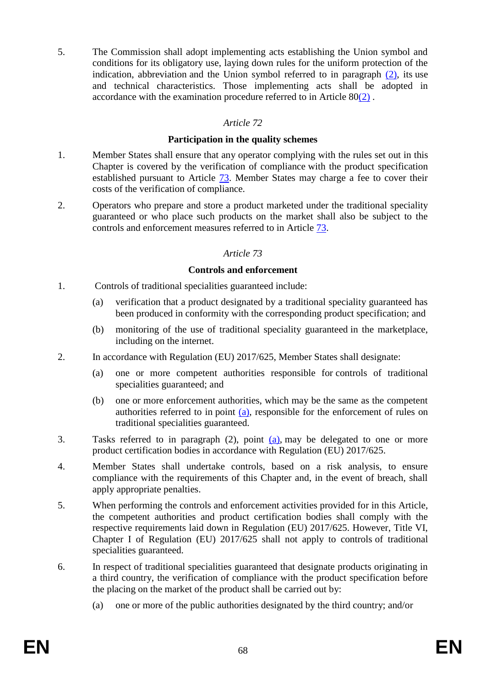5. The Commission shall adopt implementing acts establishing the Union symbol and conditions for its obligatory use, laying down rules for the uniform protection of the indication, abbreviation and the Union symbol referred to in paragraph [\(2\),](#page-67-0) its use and technical characteristics. Those implementing acts shall be adopted in accordance with the examination procedure referred to in Article 8[0\(2\)](#page-71-0) .

## *Article 72*

#### **Participation in the quality schemes**

- 1. Member States shall ensure that any operator complying with the rules set out in this Chapter is covered by the verification of compliance with the product specification established pursuant to Article [73.](#page-68-0) Member States may charge a fee to cover their costs of the verification of compliance.
- <span id="page-68-0"></span>2. Operators who prepare and store a product marketed under the traditional speciality guaranteed or who place such products on the market shall also be subject to the controls and enforcement measures referred to in Article [73.](#page-68-0)

## *Article 73*

## **Controls and enforcement**

- 1. Controls of traditional specialities guaranteed include:
	- (a) verification that a product designated by a traditional speciality guaranteed has been produced in conformity with the corresponding product specification; and
	- (b) monitoring of the use of traditional speciality guaranteed in the marketplace, including on the internet.
- <span id="page-68-1"></span>2. In accordance with Regulation (EU) 2017/625, Member States shall designate:
	- (a) one or more competent authorities responsible for controls of traditional specialities guaranteed; and
	- (b) one or more enforcement authorities, which may be the same as the competent authorities referred to in point [\(a\),](#page-68-1) responsible for the enforcement of rules on traditional specialities guaranteed.
- 3. Tasks referred to in paragraph (2), point [\(a\),](#page-68-1) may be delegated to one or more product certification bodies in accordance with Regulation (EU) 2017/625.
- 4. Member States shall undertake controls, based on a risk analysis, to ensure compliance with the requirements of this Chapter and, in the event of breach, shall apply appropriate penalties.
- 5. When performing the controls and enforcement activities provided for in this Article, the competent authorities and product certification bodies shall comply with the respective requirements laid down in Regulation (EU) 2017/625. However, Title VI, Chapter I of Regulation (EU) 2017/625 shall not apply to controls of traditional specialities guaranteed.
- 6. In respect of traditional specialities guaranteed that designate products originating in a third country, the verification of compliance with the product specification before the placing on the market of the product shall be carried out by:
	- (a) one or more of the public authorities designated by the third country; and/or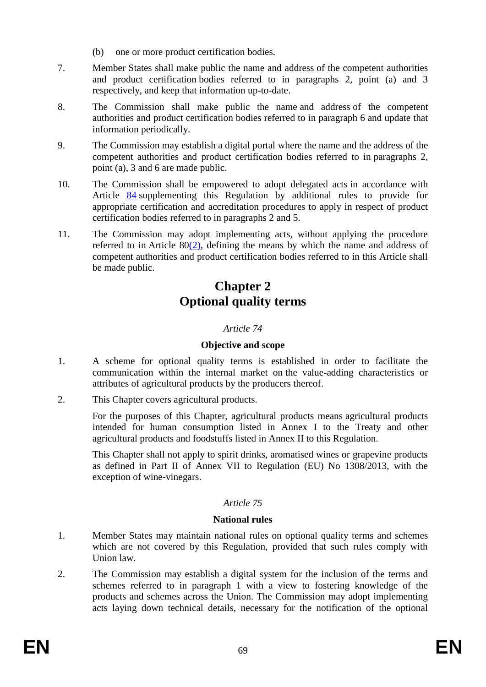- (b) one or more product certification bodies.
- 7. Member States shall make public the name and address of the competent authorities and product certification bodies referred to in paragraphs 2, point (a) and 3 respectively, and keep that information up-to-date.
- 8. The Commission shall make public the name and address of the competent authorities and product certification bodies referred to in paragraph 6 and update that information periodically.
- 9. The Commission may establish a digital portal where the name and the address of the competent authorities and product certification bodies referred to in paragraphs 2, point (a), 3 and 6 are made public.
- 10. The Commission shall be empowered to adopt delegated acts in accordance with Article [84](#page-74-0) supplementing this Regulation by additional rules to provide for appropriate certification and accreditation procedures to apply in respect of product certification bodies referred to in paragraphs 2 and 5.
- 11. The Commission may adopt implementing acts, without applying the procedure referred to in Article  $80(2)$ , defining the means by which the name and address of competent authorities and product certification bodies referred to in this Article shall be made public.

# **Chapter 2 Optional quality terms**

## *Article 74*

## **Objective and scope**

- 1. A scheme for optional quality terms is established in order to facilitate the communication within the internal market on the value-adding characteristics or attributes of agricultural products by the producers thereof.
- 2. This Chapter covers agricultural products.

For the purposes of this Chapter, agricultural products means agricultural products intended for human consumption listed in Annex I to the Treaty and other agricultural products and foodstuffs listed in Annex II to this Regulation.

This Chapter shall not apply to spirit drinks, aromatised wines or grapevine products as defined in Part II of Annex VII to Regulation (EU) No 1308/2013, with the exception of wine-vinegars.

## *Article 75*

## **National rules**

- 1. Member States may maintain national rules on optional quality terms and schemes which are not covered by this Regulation, provided that such rules comply with Union law.
- 2. The Commission may establish a digital system for the inclusion of the terms and schemes referred to in paragraph 1 with a view to fostering knowledge of the products and schemes across the Union. The Commission may adopt implementing acts laying down technical details, necessary for the notification of the optional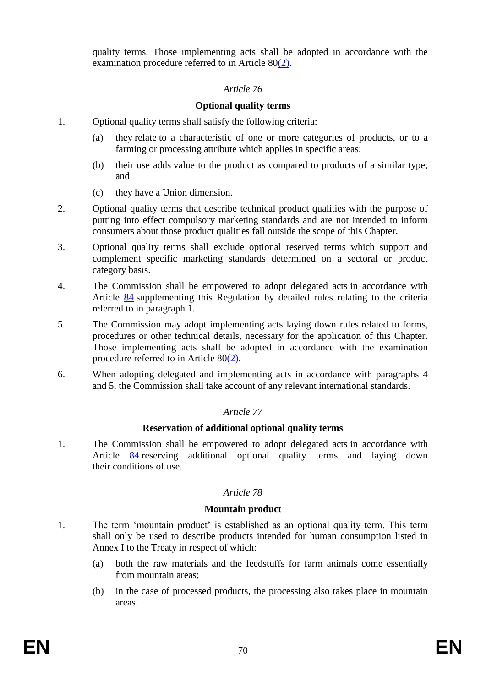quality terms. Those implementing acts shall be adopted in accordance with the examination procedure referred to in Article  $80(2)$ .

## *Article 76*

## **Optional quality terms**

- 1. Optional quality terms shall satisfy the following criteria:
	- (a) they relate to a characteristic of one or more categories of products, or to a farming or processing attribute which applies in specific areas;
	- (b) their use adds value to the product as compared to products of a similar type; and
	- (c) they have a Union dimension.
- 2. Optional quality terms that describe technical product qualities with the purpose of putting into effect compulsory marketing standards and are not intended to inform consumers about those product qualities fall outside the scope of this Chapter.
- 3. Optional quality terms shall exclude optional reserved terms which support and complement specific marketing standards determined on a sectoral or product category basis.
- 4. The Commission shall be empowered to adopt delegated acts in accordance with Article [84](#page-74-0) supplementing this Regulation by detailed rules relating to the criteria referred to in paragraph 1.
- 5. The Commission may adopt implementing acts laying down rules related to forms, procedures or other technical details, necessary for the application of this Chapter. Those implementing acts shall be adopted in accordance with the examination procedure referred to in Article 8[0\(2\).](#page-71-0)
- 6. When adopting delegated and implementing acts in accordance with paragraphs 4 and 5, the Commission shall take account of any relevant international standards.

## *Article 77*

## **Reservation of additional optional quality terms**

1. The Commission shall be empowered to adopt delegated acts in accordance with Article [84](#page-74-0) reserving additional optional quality terms and laying down their conditions of use.

## *Article 78*

#### **Mountain product**

- 1. The term 'mountain product' is established as an optional quality term. This term shall only be used to describe products intended for human consumption listed in Annex I to the Treaty in respect of which:
	- (a) both the raw materials and the feedstuffs for farm animals come essentially from mountain areas;
	- (b) in the case of processed products, the processing also takes place in mountain areas.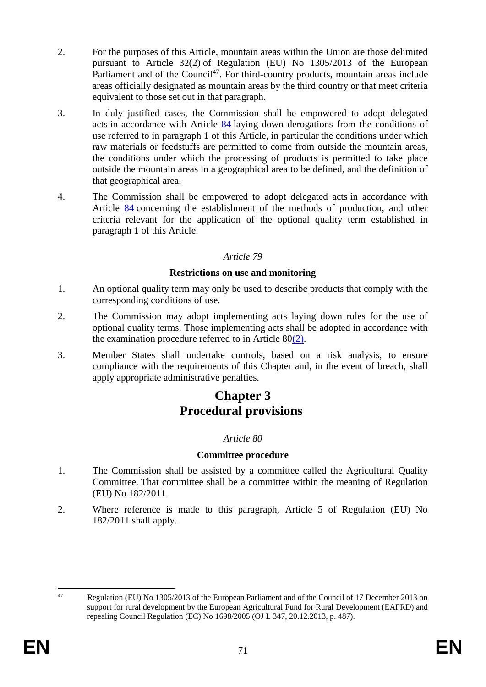- 2. For the purposes of this Article, mountain areas within the Union are those delimited pursuant to Article 32(2) of Regulation (EU) No 1305/2013 of the European Parliament and of the Council<sup>47</sup>. For third-country products, mountain areas include areas officially designated as mountain areas by the third country or that meet criteria equivalent to those set out in that paragraph.
- 3. In duly justified cases, the Commission shall be empowered to adopt delegated acts in accordance with Article [84](#page-74-0) laying down derogations from the conditions of use referred to in paragraph 1 of this Article, in particular the conditions under which raw materials or feedstuffs are permitted to come from outside the mountain areas, the conditions under which the processing of products is permitted to take place outside the mountain areas in a geographical area to be defined, and the definition of that geographical area.
- 4. The Commission shall be empowered to adopt delegated acts in accordance with Article [84](#page-74-0) concerning the establishment of the methods of production, and other criteria relevant for the application of the optional quality term established in paragraph 1 of this Article.

## **Restrictions on use and monitoring**

- 1. An optional quality term may only be used to describe products that comply with the corresponding conditions of use.
- 2. The Commission may adopt implementing acts laying down rules for the use of optional quality terms. Those implementing acts shall be adopted in accordance with the examination procedure referred to in Article 8[0\(2\).](#page-71-0)
- 3. Member States shall undertake controls, based on a risk analysis, to ensure compliance with the requirements of this Chapter and, in the event of breach, shall apply appropriate administrative penalties.

# **Chapter 3 Procedural provisions**

## *Article 80*

## **Committee procedure**

- 1. The Commission shall be assisted by a committee called the Agricultural Quality Committee. That committee shall be a committee within the meaning of Regulation (EU) No 182/2011.
- <span id="page-71-0"></span>2. Where reference is made to this paragraph, Article 5 of Regulation (EU) No 182/2011 shall apply.

<sup>47</sup> 

Regulation (EU) No 1305/2013 of the European Parliament and of the Council of 17 December 2013 on support for rural development by the European Agricultural Fund for Rural Development (EAFRD) and repealing Council Regulation (EC) No 1698/2005 (OJ L 347, 20.12.2013, p. 487).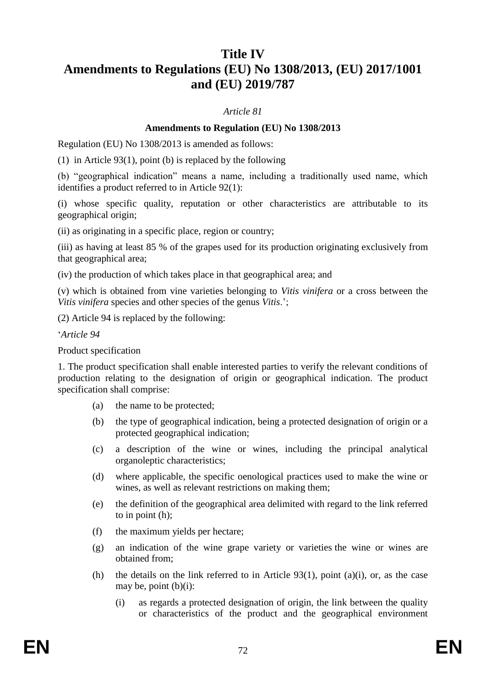# **Title IV**

# **Amendments to Regulations (EU) No 1308/2013, (EU) 2017/1001 and (EU) 2019/787**

## *Article 81*

# **Amendments to Regulation (EU) No 1308/2013**

Regulation (EU) No 1308/2013 is amended as follows:

(1) in Article 93(1), point (b) is replaced by the following

(b) "geographical indication" means a name, including a traditionally used name, which identifies a product referred to in Article 92(1):

(i) whose specific quality, reputation or other characteristics are attributable to its geographical origin;

(ii) as originating in a specific place, region or country;

(iii) as having at least 85 % of the grapes used for its production originating exclusively from that geographical area;

(iv) the production of which takes place in that geographical area; and

(v) which is obtained from vine varieties belonging to *Vitis vinifera* or a cross between the *Vitis vinifera* species and other species of the genus *Vitis*.';

(2) Article 94 is replaced by the following:

'*Article 94*

Product specification

1. The product specification shall enable interested parties to verify the relevant conditions of production relating to the designation of origin or geographical indication. The product specification shall comprise:

- (a) the name to be protected;
- (b) the type of geographical indication, being a protected designation of origin or a protected geographical indication;
- (c) a description of the wine or wines, including the principal analytical organoleptic characteristics;
- (d) where applicable, the specific oenological practices used to make the wine or wines, as well as relevant restrictions on making them;
- (e) the definition of the geographical area delimited with regard to the link referred to in point (h);
- (f) the maximum yields per hectare;
- (g) an indication of the wine grape variety or varieties the wine or wines are obtained from;
- (h) the details on the link referred to in Article  $93(1)$ , point (a)(i), or, as the case may be, point  $(b)(i)$ :
	- (i) as regards a protected designation of origin, the link between the quality or characteristics of the product and the geographical environment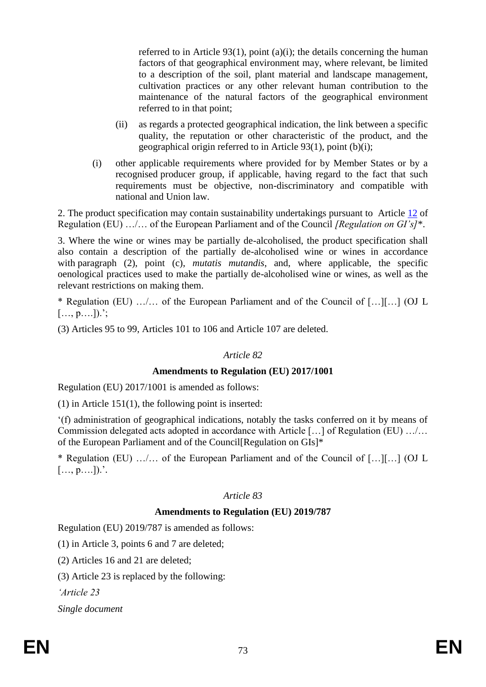referred to in Article 93(1), point (a)(i); the details concerning the human factors of that geographical environment may, where relevant, be limited to a description of the soil, plant material and landscape management, cultivation practices or any other relevant human contribution to the maintenance of the natural factors of the geographical environment referred to in that point;

- (ii) as regards a protected geographical indication, the link between a specific quality, the reputation or other characteristic of the product, and the geographical origin referred to in Article 93(1), point (b)(i);
- (i) other applicable requirements where provided for by Member States or by a recognised producer group, if applicable, having regard to the fact that such requirements must be objective, non-discriminatory and compatible with national and Union law.

2. The product specification may contain sustainability undertakings pursuant to Article [12](#page-33-0) of Regulation (EU) …/… of the European Parliament and of the Council *[Regulation on GI's]*\*.

3. Where the wine or wines may be partially de-alcoholised, the product specification shall also contain a description of the partially de-alcoholised wine or wines in accordance with paragraph (2), point (c), *mutatis mutandis*, and, where applicable, the specific oenological practices used to make the partially de-alcoholised wine or wines, as well as the relevant restrictions on making them.

\* Regulation (EU) …/… of the European Parliament and of the Council of […][…] (OJ L  $[..., p,...]$ ).';

(3) Articles 95 to 99, Articles 101 to 106 and Article 107 are deleted.

#### *Article 82*

#### **Amendments to Regulation (EU) 2017/1001**

Regulation (EU) 2017/1001 is amended as follows:

(1) in Article 151(1), the following point is inserted:

'(f) administration of geographical indications, notably the tasks conferred on it by means of Commission delegated acts adopted in accordance with Article […] of Regulation (EU) …/… of the European Parliament and of the Council[Regulation on GIs]\*

\* Regulation (EU) …/… of the European Parliament and of the Council of […][…] (OJ L  $[..., p,...]$ ).'.

# *Article 83*

# **Amendments to Regulation (EU) 2019/787**

Regulation (EU) 2019/787 is amended as follows:

(1) in Article 3, points 6 and 7 are deleted;

(2) Articles 16 and 21 are deleted;

(3) Article 23 is replaced by the following:

*'Article 23*

*Single document*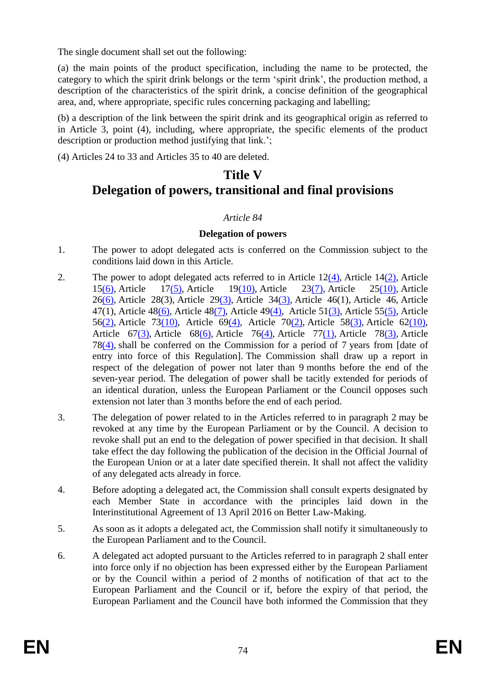The single document shall set out the following:

(a) the main points of the product specification, including the name to be protected, the category to which the spirit drink belongs or the term 'spirit drink', the production method, a description of the characteristics of the spirit drink, a concise definition of the geographical area, and, where appropriate, specific rules concerning packaging and labelling;

(b) a description of the link between the spirit drink and its geographical origin as referred to in Article 3, point (4), including, where appropriate, the specific elements of the product description or production method justifying that link.';

(4) Articles 24 to 33 and Articles 35 to 40 are deleted.

# **Title V Delegation of powers, transitional and final provisions**

# *Article 84*

# **Delegation of powers**

- 1. The power to adopt delegated acts is conferred on the Commission subject to the conditions laid down in this Article.
- 2. The power to adopt delegated acts referred to in Article  $12(4)$ , Article  $14(2)$ , Article 1[5\(6\),](#page-35-0) Article 1[7\(5\),](#page-36-0) Article 1[9\(10\),](#page-38-0) Article 2[3\(7\),](#page-41-0) Article 2[5\(10\),](#page-42-0) Article 2[6\(6\),](#page-43-0) Article 28(3), Article 2[9\(3\),](#page-45-0) Article 3[4\(3\),](#page-48-0) Article 46(1), Article 46, Article 47(1), Article 4[8\(6\),](#page-56-0) Article 4[8\(7\),](#page-56-1) Article 4[9\(4\),](#page-57-0) Article 5[1\(3\),](#page-58-0) Article 5[5\(5\),](#page-60-0) Article 5[6\(2\),](#page-60-1) Article 7[3\(10\),](#page-69-0) Article 6[9\(4\),](#page-67-0) Article 7[0\(2\),](#page-67-1) Article 5[8\(3\),](#page-61-0) Article 6[2\(10\),](#page-64-0) Article 6[7\(3\),](#page-66-0) Article 6[8\(6\),](#page-66-1) Article 7[6\(4\),](#page-70-0) Article 7[7\(1\),](#page-70-1) Article 7[8\(3\),](#page-71-0) Article 7[8\(4\),](#page-71-1) shall be conferred on the Commission for a period of 7 years from [date of entry into force of this Regulation]. The Commission shall draw up a report in respect of the delegation of power not later than 9 months before the end of the seven-year period. The delegation of power shall be tacitly extended for periods of an identical duration, unless the European Parliament or the Council opposes such extension not later than 3 months before the end of each period.
- 3. The delegation of power related to in the Articles referred to in paragraph 2 may be revoked at any time by the European Parliament or by the Council. A decision to revoke shall put an end to the delegation of power specified in that decision. It shall take effect the day following the publication of the decision in the Official Journal of the European Union or at a later date specified therein. It shall not affect the validity of any delegated acts already in force.
- 4. Before adopting a delegated act, the Commission shall consult experts designated by each Member State in accordance with the principles laid down in the Interinstitutional Agreement of 13 April 2016 on Better Law-Making.
- 5. As soon as it adopts a delegated act, the Commission shall notify it simultaneously to the European Parliament and to the Council.
- 6. A delegated act adopted pursuant to the Articles referred to in paragraph 2 shall enter into force only if no objection has been expressed either by the European Parliament or by the Council within a period of 2 months of notification of that act to the European Parliament and the Council or if, before the expiry of that period, the European Parliament and the Council have both informed the Commission that they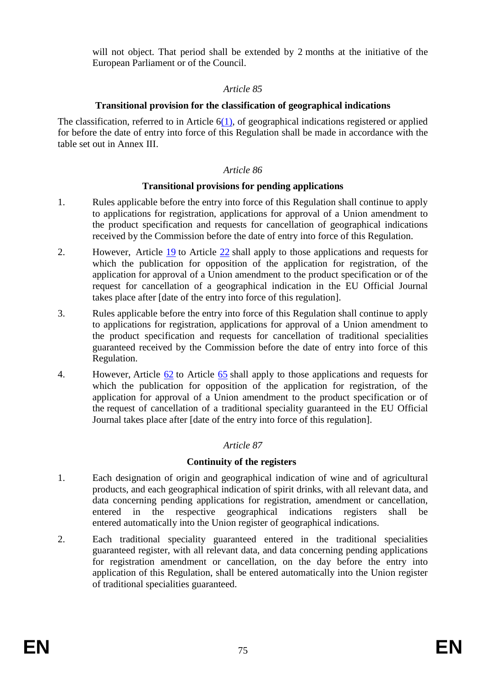will not object. That period shall be extended by 2 months at the initiative of the European Parliament or of the Council.

#### *Article 85*

# **Transitional provision for the classification of geographical indications**

The classification, referred to in Article  $6(1)$ , of geographical indications registered or applied for before the date of entry into force of this Regulation shall be made in accordance with the table set out in Annex III.

#### *Article 86*

#### **Transitional provisions for pending applications**

- 1. Rules applicable before the entry into force of this Regulation shall continue to apply to applications for registration, applications for approval of a Union amendment to the product specification and requests for cancellation of geographical indications received by the Commission before the date of entry into force of this Regulation.
- 2. However, Article  $\frac{19}{2}$  to Article  $\frac{22}{2}$  shall apply to those applications and requests for which the publication for opposition of the application for registration, of the application for approval of a Union amendment to the product specification or of the request for cancellation of a geographical indication in the EU Official Journal takes place after [date of the entry into force of this regulation].
- 3. Rules applicable before the entry into force of this Regulation shall continue to apply to applications for registration, applications for approval of a Union amendment to the product specification and requests for cancellation of traditional specialities guaranteed received by the Commission before the date of entry into force of this Regulation.
- 4. However, Article [62](#page-63-0) to Article [65](#page-64-1) shall apply to those applications and requests for which the publication for opposition of the application for registration, of the application for approval of a Union amendment to the product specification or of the request of cancellation of a traditional speciality guaranteed in the EU Official Journal takes place after [date of the entry into force of this regulation].

# *Article 87*

# **Continuity of the registers**

- 1. Each designation of origin and geographical indication of wine and of agricultural products, and each geographical indication of spirit drinks, with all relevant data, and data concerning pending applications for registration, amendment or cancellation, entered in the respective geographical indications registers shall be entered automatically into the Union register of geographical indications.
- 2. Each traditional speciality guaranteed entered in the traditional specialities guaranteed register, with all relevant data, and data concerning pending applications for registration amendment or cancellation, on the day before the entry into application of this Regulation, shall be entered automatically into the Union register of traditional specialities guaranteed.